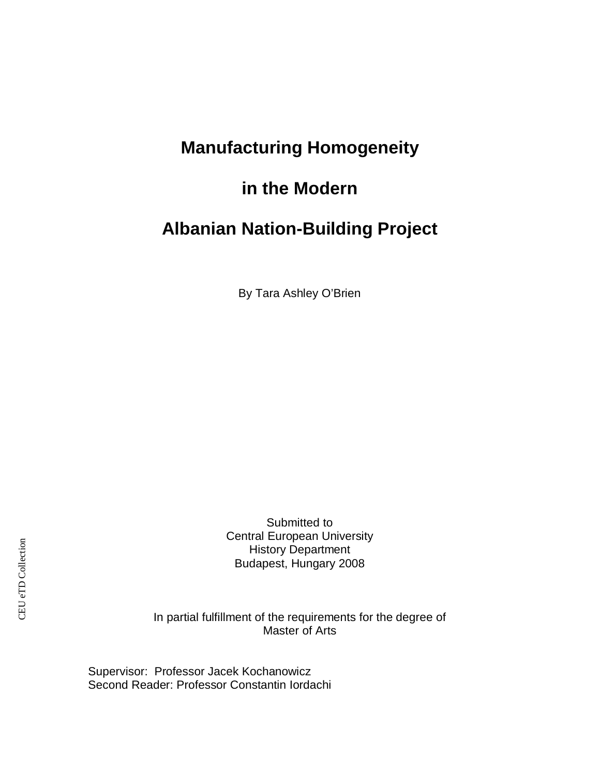## **Manufacturing Homogeneity**

### **in the Modern**

### **Albanian Nation-Building Project**

By Tara Ashley O'Brien

Submitted to Central European University History Department Budapest, Hungary 2008

In partial fulfillment of the requirements for the degree of Master of Arts

Supervisor: Professor Jacek Kochanowicz Second Reader: Professor Constantin Iordachi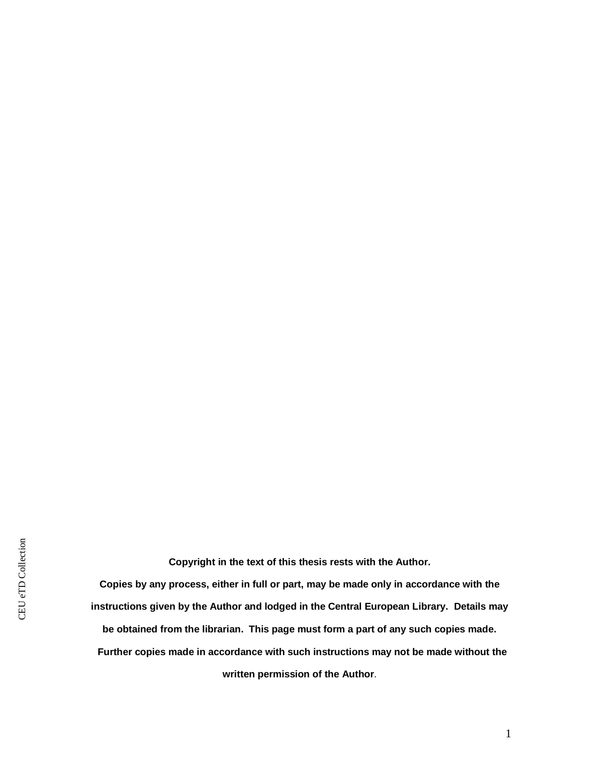**Copyright in the text of this thesis rests with the Author.**

**Copies by any process, either in full or part, may be made only in accordance with the instructions given by the Author and lodged in the Central European Library. Details may be obtained from the librarian. This page must form a part of any such copies made. Further copies made in accordance with such instructions may not be made without the written permission of the Author**.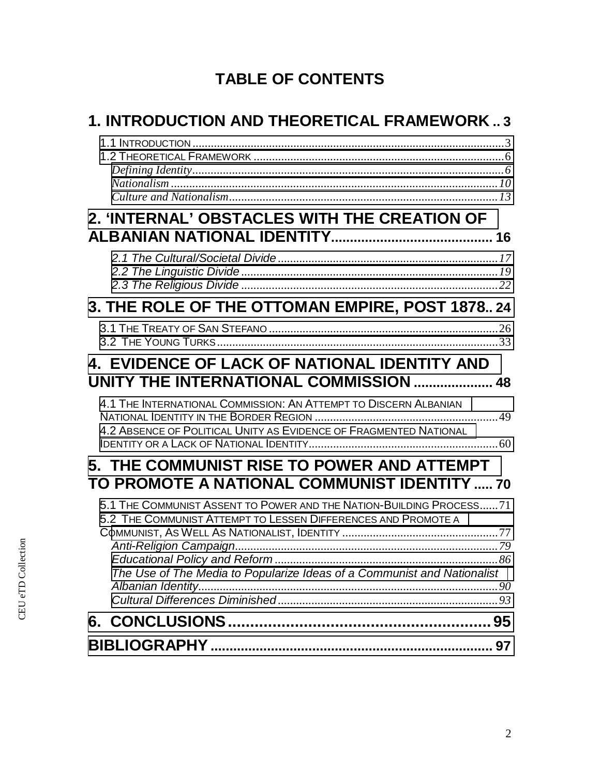# **TABLE OF CONTENTS**

| <b>1. INTRODUCTION AND THEORETICAL FRAMEWORK3</b>                                                                                                                                                                |
|------------------------------------------------------------------------------------------------------------------------------------------------------------------------------------------------------------------|
|                                                                                                                                                                                                                  |
| 2. 'INTERNAL' OBSTACLES WITH THE CREATION OF                                                                                                                                                                     |
|                                                                                                                                                                                                                  |
| 3. THE ROLE OF THE OTTOMAN EMPIRE, POST 1878 24                                                                                                                                                                  |
|                                                                                                                                                                                                                  |
| 4. EVIDENCE OF LACK OF NATIONAL IDENTITY AND<br>UNITY THE INTERNATIONAL COMMISSION  48                                                                                                                           |
| 4.1 THE INTERNATIONAL COMMISSION: AN ATTEMPT TO DISCERN ALBANIAN<br>4.2 ABSENCE OF POLITICAL UNITY AS EVIDENCE OF FRAGMENTED NATIONAL                                                                            |
| 5. THE COMMUNIST RISE TO POWER AND ATTEMPT<br>TO PROMOTE A NATIONAL COMMUNIST IDENTITY  70                                                                                                                       |
| 5.1 THE COMMUNIST ASSENT TO POWER AND THE NATION-BUILDING PROCESS 71<br>5.2 THE COMMUNIST ATTEMPT TO LESSEN DIFFERENCES AND PROMOTE A<br>The Use of The Media to Popularize Ideas of a Communist and Nationalist |
|                                                                                                                                                                                                                  |
| 97                                                                                                                                                                                                               |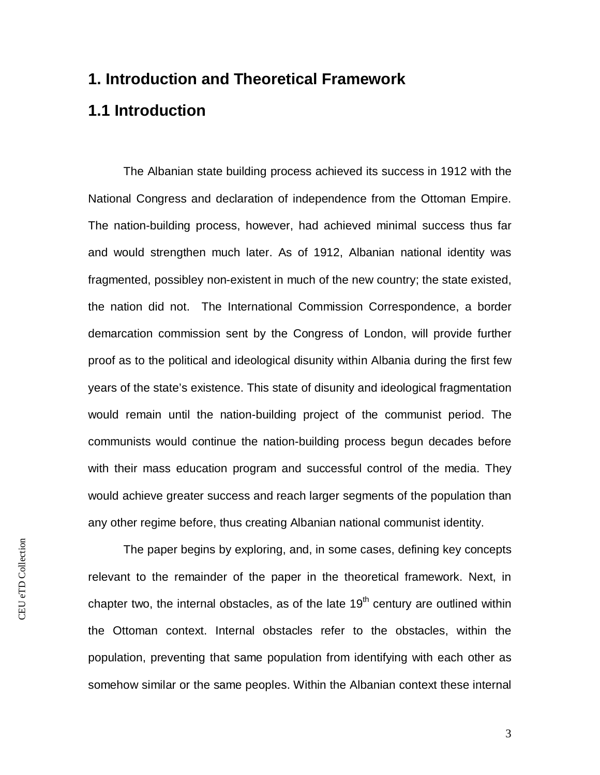### **1. Introduction and Theoretical Framework**

### <span id="page-3-0"></span>**1.1 Introduction**

The Albanian state building process achieved its success in 1912 with the National Congress and declaration of independence from the Ottoman Empire. The nation-building process, however, had achieved minimal success thus far and would strengthen much later. As of 1912, Albanian national identity was fragmented, possibley non-existent in much of the new country; the state existed, the nation did not. The International Commission Correspondence, a border demarcation commission sent by the Congress of London, will provide further proof as to the political and ideological disunity within Albania during the first few years of the state's existence. This state of disunity and ideological fragmentation would remain until the nation-building project of the communist period. The communists would continue the nation-building process begun decades before with their mass education program and successful control of the media. They would achieve greater success and reach larger segments of the population than any other regime before, thus creating Albanian national communist identity.

CEU eTD Collection CEU eTD Collection

The paper begins by exploring, and, in some cases, defining key concepts relevant to the remainder of the paper in the theoretical framework. Next, in chapter two, the internal obstacles, as of the late  $19<sup>th</sup>$  century are outlined within the Ottoman context. Internal obstacles refer to the obstacles, within the population, preventing that same population from identifying with each other as somehow similar or the same peoples. Within the Albanian context these internal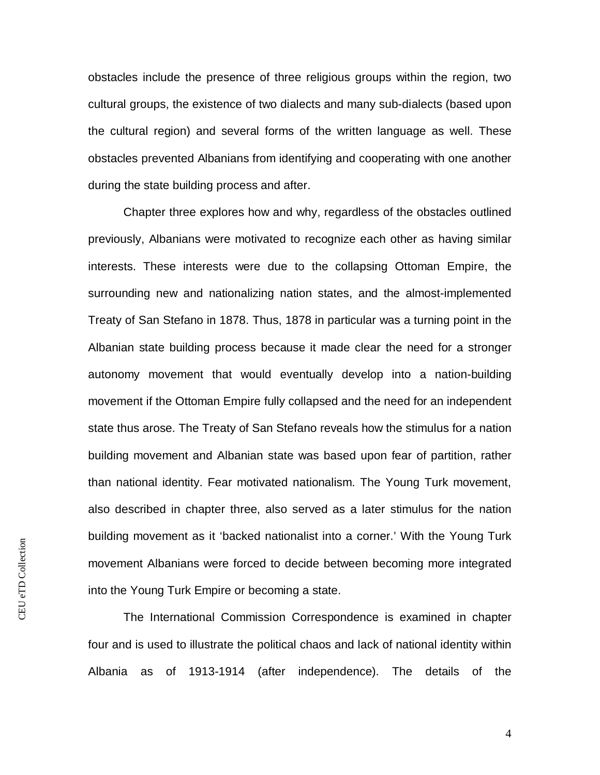obstacles include the presence of three religious groups within the region, two cultural groups, the existence of two dialects and many sub-dialects (based upon the cultural region) and several forms of the written language as well. These obstacles prevented Albanians from identifying and cooperating with one another during the state building process and after.

Chapter three explores how and why, regardless of the obstacles outlined previously, Albanians were motivated to recognize each other as having similar interests. These interests were due to the collapsing Ottoman Empire, the surrounding new and nationalizing nation states, and the almost-implemented Treaty of San Stefano in 1878. Thus, 1878 in particular was a turning point in the Albanian state building process because it made clear the need for a stronger autonomy movement that would eventually develop into a nation-building movement if the Ottoman Empire fully collapsed and the need for an independent state thus arose. The Treaty of San Stefano reveals how the stimulus for a nation building movement and Albanian state was based upon fear of partition, rather than national identity. Fear motivated nationalism. The Young Turk movement, also described in chapter three, also served as a later stimulus for the nation building movement as it 'backed nationalist into a corner.' With the Young Turk movement Albanians were forced to decide between becoming more integrated into the Young Turk Empire or becoming a state.

The International Commission Correspondence is examined in chapter four and is used to illustrate the political chaos and lack of national identity within Albania as of 1913-1914 (after independence). The details of the

CEU eTD Collection CEU eTD Collection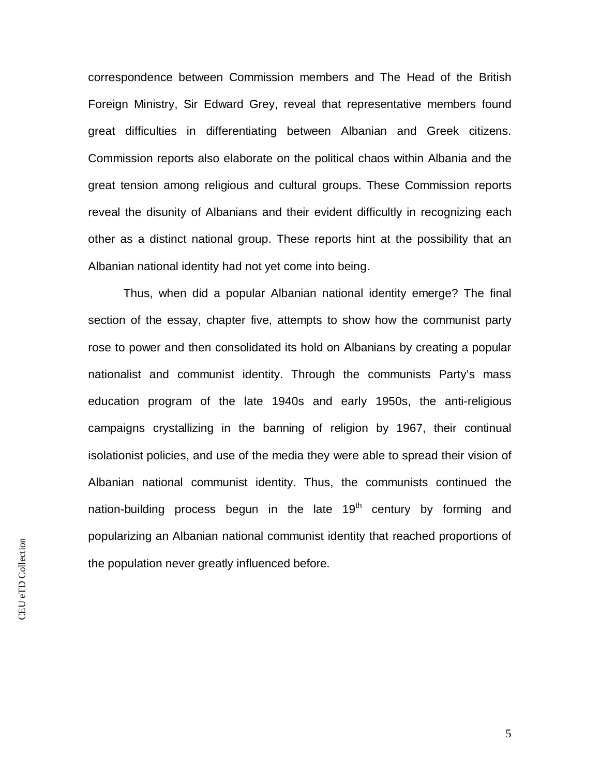correspondence between Commission members and The Head of the British Foreign Ministry, Sir Edward Grey, reveal that representative members found great difficulties in differentiating between Albanian and Greek citizens. Commission reports also elaborate on the political chaos within Albania and the great tension among religious and cultural groups. These Commission reports reveal the disunity of Albanians and their evident difficultly in recognizing each other as a distinct national group. These reports hint at the possibility that an Albanian national identity had not yet come into being.

Thus, when did a popular Albanian national identity emerge? The final section of the essay, chapter five, attempts to show how the communist party rose to power and then consolidated its hold on Albanians by creating a popular nationalist and communist identity. Through the communists Party's mass education program of the late 1940s and early 1950s, the anti-religious campaigns crystallizing in the banning of religion by 1967, their continual isolationist policies, and use of the media they were able to spread their vision of Albanian national communist identity. Thus, the communists continued the nation-building process begun in the late  $19<sup>th</sup>$  century by forming and popularizing an Albanian national communist identity that reached proportions of the population never greatly influenced before.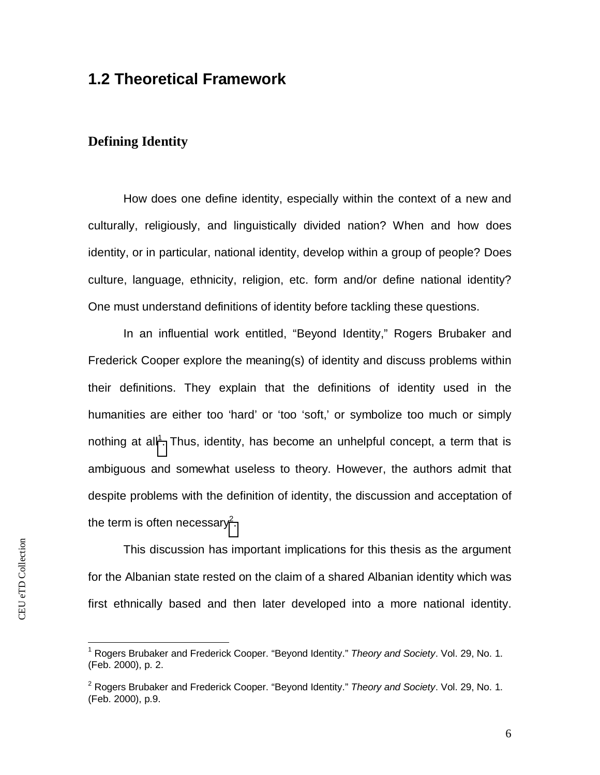### <span id="page-6-0"></span>**1.2 Theoretical Framework**

#### <span id="page-6-1"></span>**Defining Identity**

How does one define identity, especially within the context of a new and culturally, religiously, and linguistically divided nation? When and how does identity, or in particular, national identity, develop within a group of people? Does culture, language, ethnicity, religion, etc. form and/or define national identity? One must understand definitions of identity before tackling these questions.

In an influential work entitled, "Beyond Identity," Rogers Brubaker and Frederick Cooper explore the meaning(s) of identity and discuss problems within their definitions. They explain that the definitions of identity used in the humanities are either too 'hard' or 'too 'soft,' or symbolize too much or simply nothing at all<sup>1</sup>[.](#page-6-2) Thus, identity, has become an unhelpful concept, a term that is ambiguous and somewhat useless to theory. However, the authors admit that despite problems with the definition of identity, the discussion and acceptation of the term is often necessary<sup>2</sup>[.](#page-6-3)

This discussion has important implications for this thesis as the argument for the Albanian state rested on the claim of a shared Albanian identity which was first ethnically based and then later developed into a more national identity.

<span id="page-6-2"></span><sup>1</sup> Rogers Brubaker and Frederick Cooper. "Beyond Identity." *Theory and Society*. Vol. 29, No. 1. (Feb. 2000), p. 2.

<span id="page-6-3"></span><sup>2</sup> Rogers Brubaker and Frederick Cooper. "Beyond Identity." *Theory and Society*. Vol. 29, No. 1. (Feb. 2000), p.9.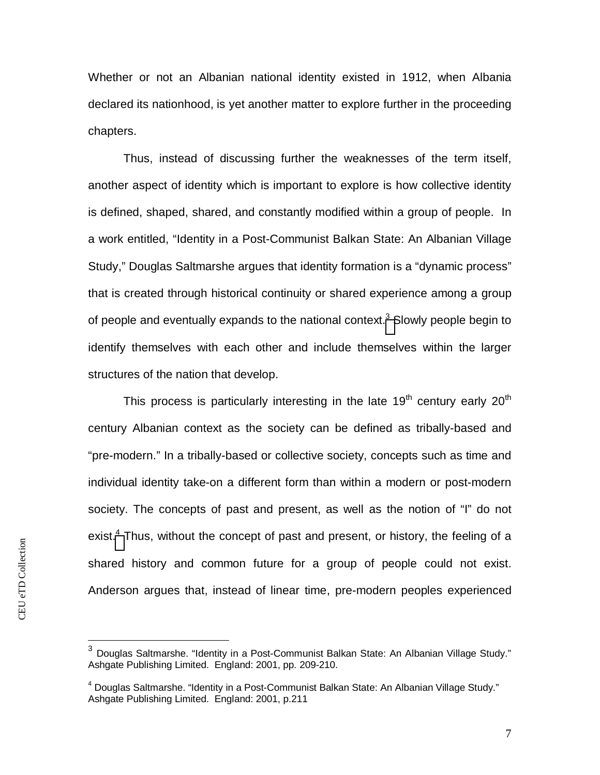Whether or not an Albanian national identity existed in 1912, when Albania declared its nationhood, is yet another matter to explore further in the proceeding chapters.

Thus, instead of discussing further the weaknesses of the term itself, another aspect of identity which is important to explore is how collective identity is defined, shaped, shared, and constantly modified within a group of people. In a work entitled, "Identity in a Post-Communist Balkan State: An Albanian Village Study," Douglas Saltmarshe argues that identity formation is a "dynamic process" that is created through historical continuity or shared experience among a group of people and eventually expands to the national context.<sup>3</sup> [S](#page-7-0)lowly people begin to identify themselves with each other and include themselves within the larger structures of the nation that develop.

This process is particularly interesting in the late 19<sup>th</sup> century early 20<sup>th</sup> century Albanian context as the society can be defined as tribally-based and "pre-modern." In a tribally-based or collective society, concepts such as time and individual identity take-on a different form than within a modern or post-modern society. The concepts of past and present, as well as the notion of "I" do not exist.<sup>4</sup> [T](#page-7-1)hus, without the concept of past and present, or history, the feeling of a shared history and common future for a group of people could not exist. Anderson argues that, instead of linear time, pre-modern peoples experienced

<span id="page-7-0"></span> $^3$  Douglas Saltmarshe. "Identity in a Post-Communist Balkan State: An Albanian Village Study." Ashgate Publishing Limited. England: 2001, pp. 209-210.

<span id="page-7-1"></span><sup>&</sup>lt;sup>4</sup> Douglas Saltmarshe. "Identity in a Post-Communist Balkan State: An Albanian Village Study." Ashgate Publishing Limited. England: 2001, p.211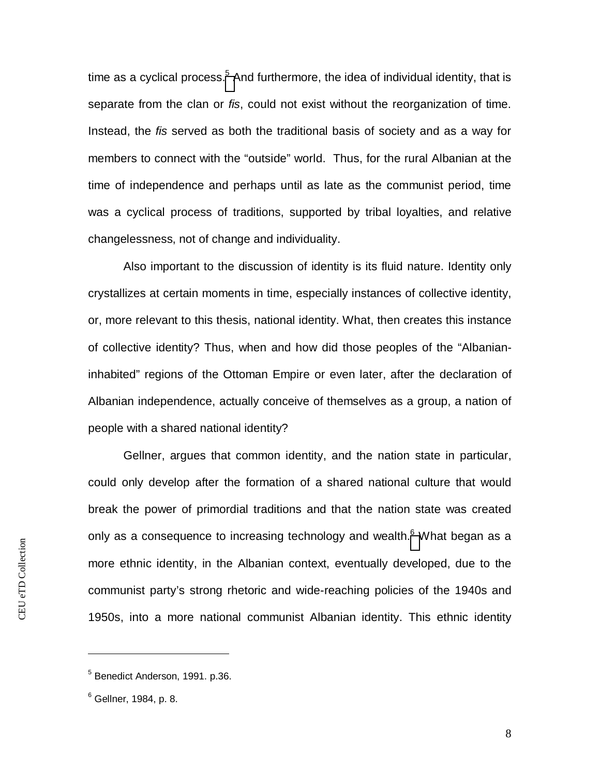time as a cyclical process.<sup>5</sup> [A](#page-8-0)nd furthermore, the idea of individual identity, that is separate from the clan or *fis*, could not exist without the reorganization of time. Instead, the *fis* served as both the traditional basis of society and as a way for members to connect with the "outside" world. Thus, for the rural Albanian at the time of independence and perhaps until as late as the communist period, time was a cyclical process of traditions, supported by tribal loyalties, and relative changelessness, not of change and individuality.

Also important to the discussion of identity is its fluid nature. Identity only crystallizes at certain moments in time, especially instances of collective identity, or, more relevant to this thesis, national identity. What, then creates this instance of collective identity? Thus, when and how did those peoples of the "Albanianinhabited" regions of the Ottoman Empire or even later, after the declaration of Albanian independence, actually conceive of themselves as a group, a nation of people with a shared national identity?

Gellner, argues that common identity, and the nation state in particular, could only develop after the formation of a shared national culture that would break the power of primordial traditions and that the nation state was created only as a consequence to increasing technology and wealth. $<sup>6</sup>$  [W](#page-8-1)hat began as a</sup> more ethnic identity, in the Albanian context, eventually developed, due to the communist party's strong rhetoric and wide-reaching policies of the 1940s and 1950s, into a more national communist Albanian identity. This ethnic identity

<span id="page-8-0"></span><sup>&</sup>lt;sup>5</sup> Benedict Anderson, 1991. p.36.

<span id="page-8-1"></span> $^6$  Gellner, 1984, p. 8.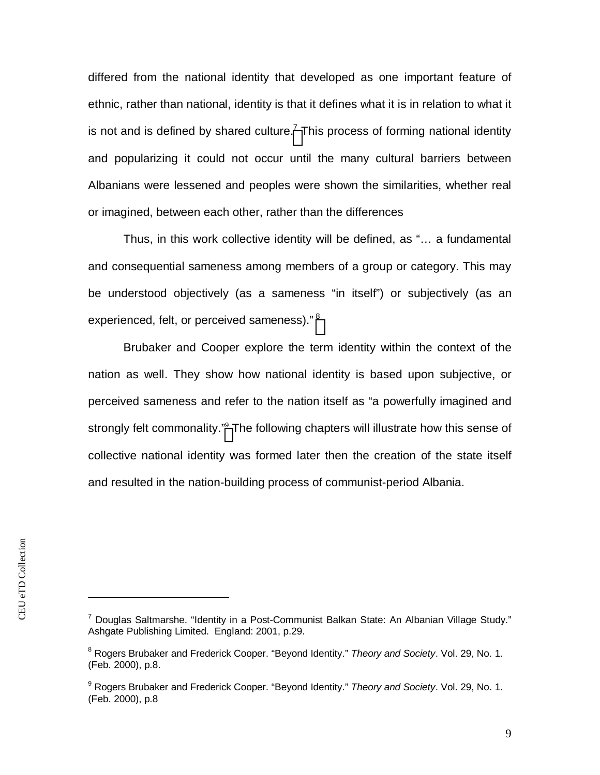differed from the national identity that developed as one important feature of ethnic, rather than national, identity is that it defines what it is in relation to what it is not and is defined by shared culture.<sup>7</sup> [T](#page-9-0)his process of forming national identity and popularizing it could not occur until the many cultural barriers between Albanians were lessened and peoples were shown the similarities, whether real or imagined, between each other, rather than the differences

Thus, in this work collective identity will be defined, as "… a fundamental and consequential sameness among members of a group or category. This may be understood objectively (as a sameness "in itself") or subjectively (as an experienced, felt, or perceived sameness)." [8](#page-9-1)

Brubaker and Cooper explore the term identity within the context of the nation as well. They show how national identity is based upon subjective, or perceived sameness and refer to the nation itself as "a powerfully imagined and strongly felt commonality."<sup>9</sup> [T](#page-9-2)he following chapters will illustrate how this sense of collective national identity was formed later then the creation of the state itself and resulted in the nation-building process of communist-period Albania.

<span id="page-9-0"></span><sup>&</sup>lt;sup>7</sup> Douglas Saltmarshe. "Identity in a Post-Communist Balkan State: An Albanian Village Study." Ashgate Publishing Limited. England: 2001, p.29.

<span id="page-9-1"></span><sup>8</sup> Rogers Brubaker and Frederick Cooper. "Beyond Identity." *Theory and Society*. Vol. 29, No. 1. (Feb. 2000), p.8.

<span id="page-9-2"></span><sup>9</sup> Rogers Brubaker and Frederick Cooper. "Beyond Identity." *Theory and Society*. Vol. 29, No. 1. (Feb. 2000), p.8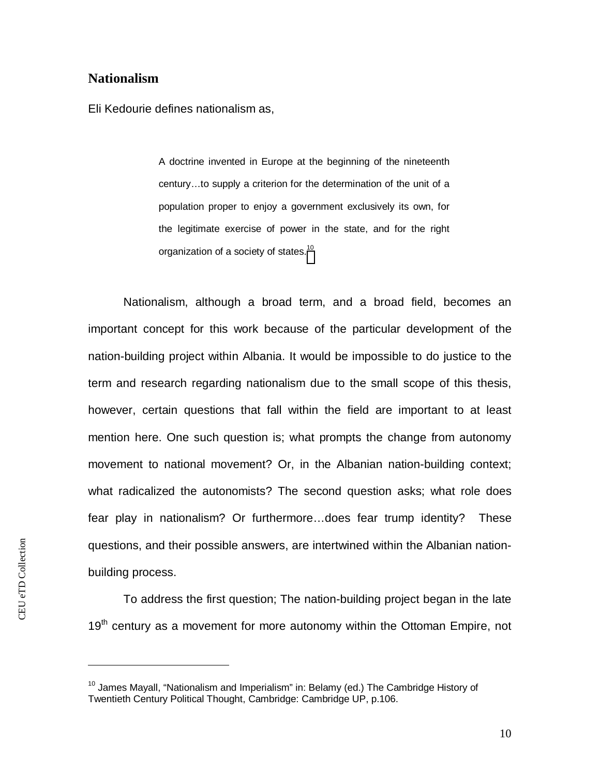#### <span id="page-10-0"></span>**Nationalism**

Eli Kedourie defines nationalism as,

A doctrine invented in Europe at the beginning of the nineteenth century…to supply a criterion for the determination of the unit of a population proper to enjoy a government exclusively its own, for the legitimate exercise of power in the state, and for the right organization of a society of states.<sup>10</sup>

Nationalism, although a broad term, and a broad field, becomes an important concept for this work because of the particular development of the nation-building project within Albania. It would be impossible to do justice to the term and research regarding nationalism due to the small scope of this thesis, however, certain questions that fall within the field are important to at least mention here. One such question is; what prompts the change from autonomy movement to national movement? Or, in the Albanian nation-building context; what radicalized the autonomists? The second question asks; what role does fear play in nationalism? Or furthermore…does fear trump identity? These questions, and their possible answers, are intertwined within the Albanian nationbuilding process.

To address the first question; The nation-building project began in the late 19<sup>th</sup> century as a movement for more autonomy within the Ottoman Empire, not

 $10$  James Mayall, "Nationalism and Imperialism" in: Belamy (ed.) The Cambridge History of Twentieth Century Political Thought, Cambridge: Cambridge UP, p.106.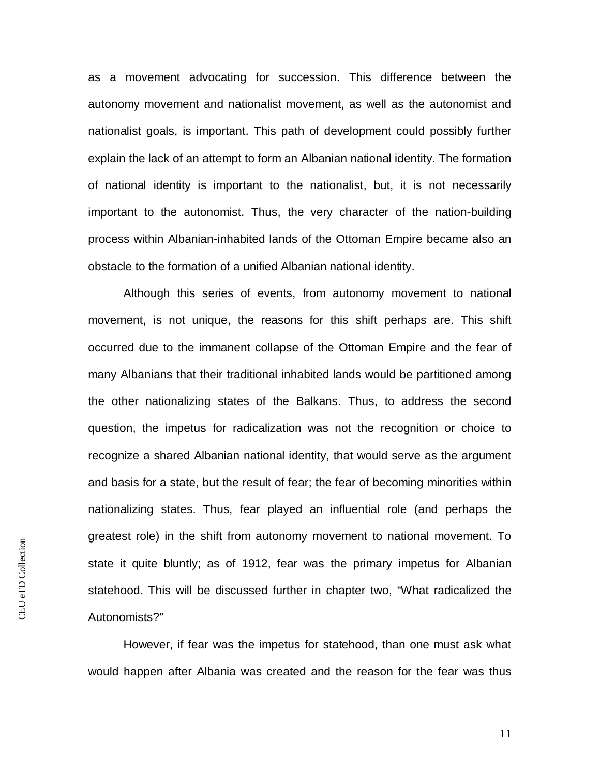as a movement advocating for succession. This difference between the autonomy movement and nationalist movement, as well as the autonomist and nationalist goals, is important. This path of development could possibly further explain the lack of an attempt to form an Albanian national identity. The formation of national identity is important to the nationalist, but, it is not necessarily important to the autonomist. Thus, the very character of the nation-building process within Albanian-inhabited lands of the Ottoman Empire became also an obstacle to the formation of a unified Albanian national identity.

Although this series of events, from autonomy movement to national movement, is not unique, the reasons for this shift perhaps are. This shift occurred due to the immanent collapse of the Ottoman Empire and the fear of many Albanians that their traditional inhabited lands would be partitioned among the other nationalizing states of the Balkans. Thus, to address the second question, the impetus for radicalization was not the recognition or choice to recognize a shared Albanian national identity, that would serve as the argument and basis for a state, but the result of fear; the fear of becoming minorities within nationalizing states. Thus, fear played an influential role (and perhaps the greatest role) in the shift from autonomy movement to national movement. To state it quite bluntly; as of 1912, fear was the primary impetus for Albanian statehood. This will be discussed further in chapter two, "What radicalized the Autonomists?"

However, if fear was the impetus for statehood, than one must ask what would happen after Albania was created and the reason for the fear was thus

CEU eTD Collection CEU eTD Collection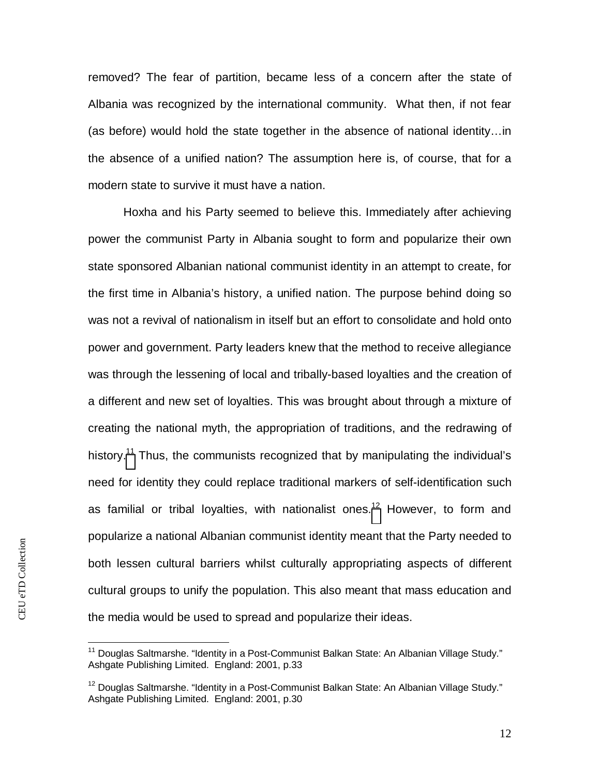removed? The fear of partition, became less of a concern after the state of Albania was recognized by the international community. What then, if not fear (as before) would hold the state together in the absence of national identity…in the absence of a unified nation? The assumption here is, of course, that for a modern state to survive it must have a nation.

Hoxha and his Party seemed to believe this. Immediately after achieving power the communist Party in Albania sought to form and popularize their own state sponsored Albanian national communist identity in an attempt to create, for the first time in Albania's history, a unified nation. The purpose behind doing so was not a revival of nationalism in itself but an effort to consolidate and hold onto power and government. Party leaders knew that the method to receive allegiance was through the lessening of local and tribally-based loyalties and the creation of a different and new set of loyalties. This was brought about through a mixture of creating the national myth, the appropriation of traditions, and the redrawing of history.<sup>[11](#page-12-0)</sup> Thus, the communists recognized that by manipulating the individual's need for identity they could replace traditional markers of self-identification such as familial or tribal loyalties, with nationalist ones.<sup>[12](#page-12-1)</sup> However, to form and popularize a national Albanian communist identity meant that the Party needed to both lessen cultural barriers whilst culturally appropriating aspects of different cultural groups to unify the population. This also meant that mass education and the media would be used to spread and popularize their ideas.

<span id="page-12-0"></span><sup>&</sup>lt;sup>11</sup> Douglas Saltmarshe. "Identity in a Post-Communist Balkan State: An Albanian Village Study." Ashgate Publishing Limited. England: 2001, p.33

<span id="page-12-1"></span> $12$  Douglas Saltmarshe. "Identity in a Post-Communist Balkan State: An Albanian Village Study." Ashgate Publishing Limited. England: 2001, p.30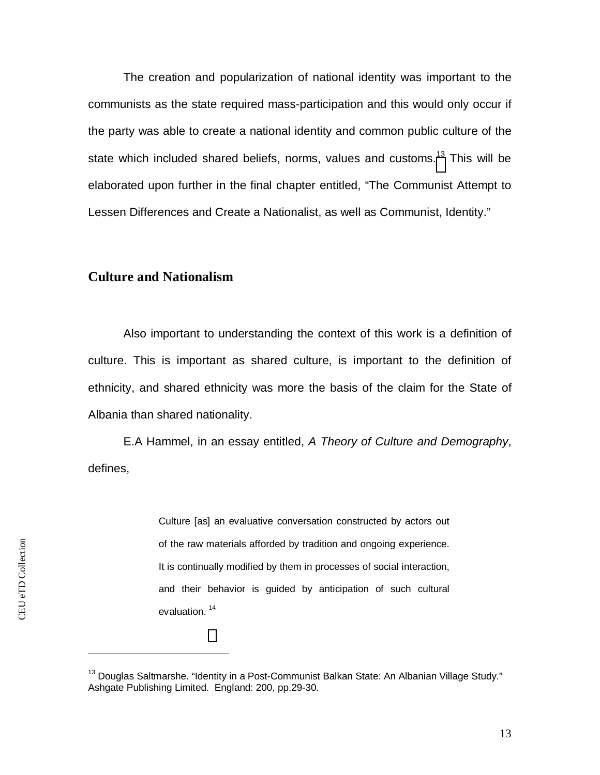The creation and popularization of national identity was important to the communists as the state required mass-participation and this would only occur if the party was able to create a national identity and common public culture of the state which included shared beliefs, norms, values and customs.<sup>[13](#page-13-1)</sup> This will be elaborated upon further in the final chapter entitled, "The Communist Attempt to Lessen Differences and Create a Nationalist, as well as Communist, Identity."

#### <span id="page-13-0"></span>**Culture and Nationalism**

Also important to understanding the context of this work is a definition of culture. This is important as shared culture, is important to the definition of ethnicity, and shared ethnicity was more the basis of the claim for the State of Albania than shared nationality.

E.A Hammel, in an essay entitled, *A Theory of Culture and Demography*, defines,

> Culture [as] an evaluative conversation constructed by actors out of the raw materials afforded by tradition and ongoing experience. It is continually modified by them in processes of social interaction, and their behavior is guided by anticipation of such cultural evaluation. <sup>14</sup>

<span id="page-13-1"></span> $13$  Douglas Saltmarshe. "Identity in a Post-Communist Balkan State: An Albanian Village Study." Ashgate Publishing Limited. England: 200, pp.29-30.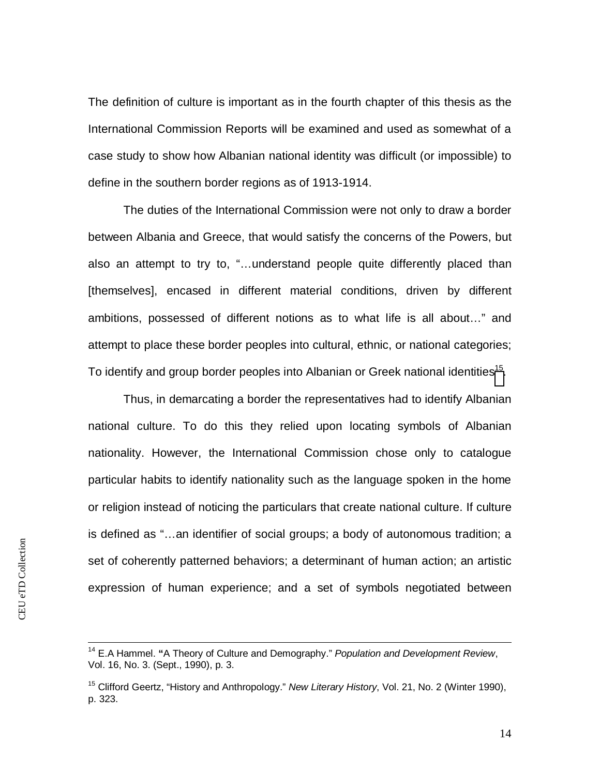The definition of culture is important as in the fourth chapter of this thesis as the International Commission Reports will be examined and used as somewhat of a case study to show how Albanian national identity was difficult (or impossible) to define in the southern border regions as of 1913-1914.

The duties of the International Commission were not only to draw a border between Albania and Greece, that would satisfy the concerns of the Powers, but also an attempt to try to, "…understand people quite differently placed than [themselves], encased in different material conditions, driven by different ambitions, possessed of different notions as to what life is all about…" and attempt to place these border peoples into cultural, ethnic, or national categories; To identify and group border peoples into Albanian or Greek national identities<sup>15</sup>[.](#page-14-0)

Thus, in demarcating a border the representatives had to identify Albanian national culture. To do this they relied upon locating symbols of Albanian nationality. However, the International Commission chose only to catalogue particular habits to identify nationality such as the language spoken in the home or religion instead of noticing the particulars that create national culture. If culture is defined as "…an identifier of social groups; a body of autonomous tradition; a set of coherently patterned behaviors; a determinant of human action; an artistic expression of human experience; and a set of symbols negotiated between

<sup>14</sup> E.A Hammel. **"**A Theory of Culture and Demography." *Population and Development Review*, Vol. 16, No. 3. (Sept., 1990), p. 3.

<span id="page-14-0"></span><sup>15</sup> Clifford Geertz, "History and Anthropology." *New Literary History*, Vol. 21, No. 2 (Winter 1990), p. 323.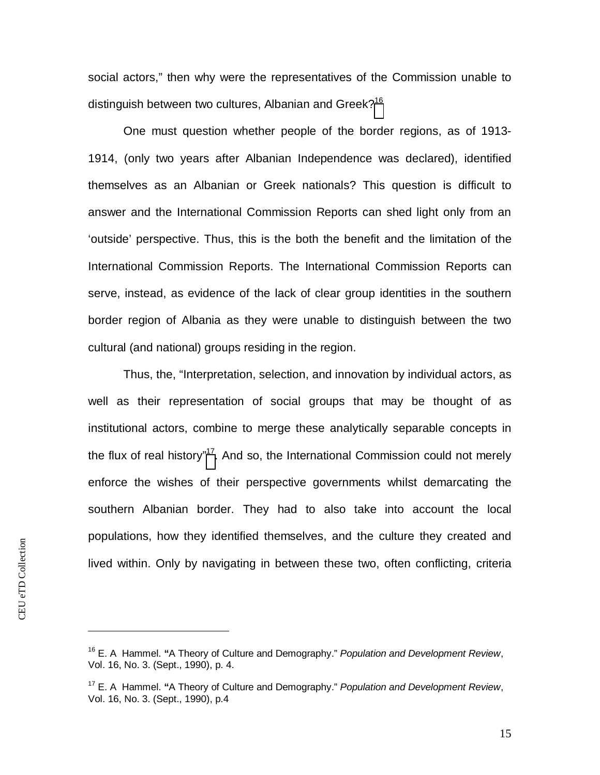social actors," then why were the representatives of the Commission unable to distinguish between two cultures, Albanian and Greek?<sup>[16](#page-15-0)</sup>

One must question whether people of the border regions, as of 1913- 1914, (only two years after Albanian Independence was declared), identified themselves as an Albanian or Greek nationals? This question is difficult to answer and the International Commission Reports can shed light only from an 'outside' perspective. Thus, this is the both the benefit and the limitation of the International Commission Reports. The International Commission Reports can serve, instead, as evidence of the lack of clear group identities in the southern border region of Albania as they were unable to distinguish between the two cultural (and national) groups residing in the region.

Thus, the, "Interpretation, selection, and innovation by individual actors, as well as their representation of social groups that may be thought of as institutional actors, combine to merge these analytically separable concepts in the flux of real history"<sup>17</sup>[.](#page-15-1) And so, the International Commission could not merely enforce the wishes of their perspective governments whilst demarcating the southern Albanian border. They had to also take into account the local populations, how they identified themselves, and the culture they created and lived within. Only by navigating in between these two, often conflicting, criteria

<span id="page-15-0"></span><sup>16</sup> E. A Hammel. **"**A Theory of Culture and Demography." *Population and Development Review*, Vol. 16, No. 3. (Sept., 1990), p. 4.

<span id="page-15-1"></span><sup>17</sup> E. A Hammel. **"**A Theory of Culture and Demography." *Population and Development Review*, Vol. 16, No. 3. (Sept., 1990), p.4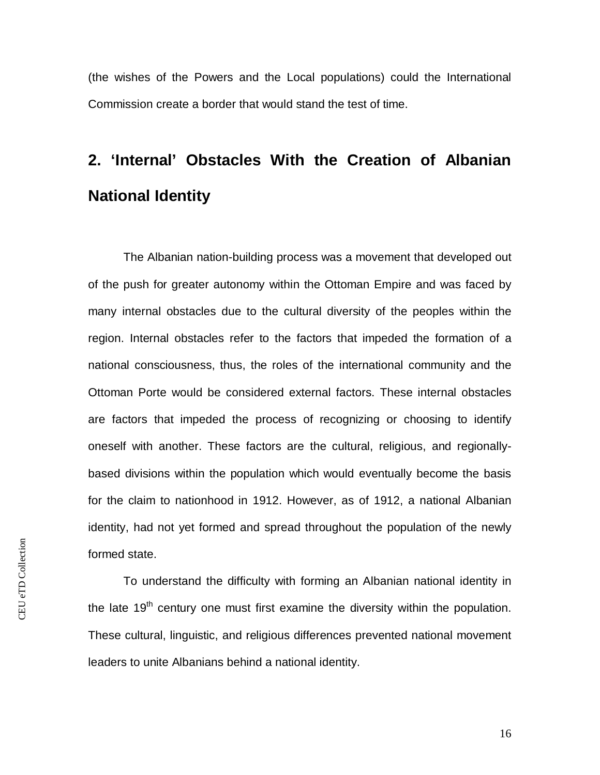(the wishes of the Powers and the Local populations) could the International Commission create a border that would stand the test of time.

# <span id="page-16-0"></span>**2. 'Internal' Obstacles With the Creation of Albanian National Identity**

The Albanian nation-building process was a movement that developed out of the push for greater autonomy within the Ottoman Empire and was faced by many internal obstacles due to the cultural diversity of the peoples within the region. Internal obstacles refer to the factors that impeded the formation of a national consciousness, thus, the roles of the international community and the Ottoman Porte would be considered external factors. These internal obstacles are factors that impeded the process of recognizing or choosing to identify oneself with another. These factors are the cultural, religious, and regionallybased divisions within the population which would eventually become the basis for the claim to nationhood in 1912. However, as of 1912, a national Albanian identity, had not yet formed and spread throughout the population of the newly formed state.

To understand the difficulty with forming an Albanian national identity in the late  $19<sup>th</sup>$  century one must first examine the diversity within the population. These cultural, linguistic, and religious differences prevented national movement leaders to unite Albanians behind a national identity.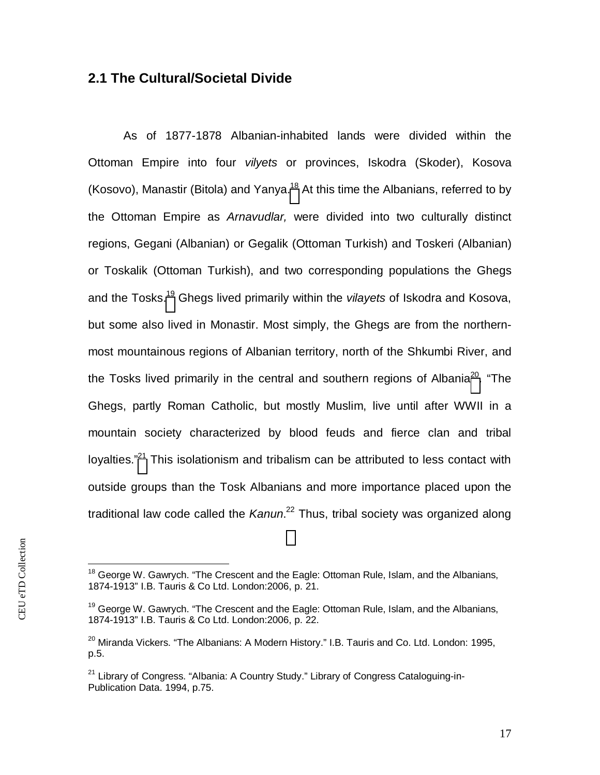#### <span id="page-17-0"></span>**2.1 The Cultural/Societal Divide**

As of 1877-1878 Albanian-inhabited lands were divided within the Ottoman Empire into four *vilyets* or provinces, Iskodra (Skoder), Kosova (Kosovo), Manastir (Bitola) and Yanya.<sup>[18](#page-17-1)</sup> At this time the Albanians, referred to by the Ottoman Empire as *Arnavudlar,* were divided into two culturally distinct regions, Gegani (Albanian) or Gegalik (Ottoman Turkish) and Toskeri (Albanian) or Toskalik (Ottoman Turkish), and two corresponding populations the Ghegs and the Tosks.[19](#page-17-2) Ghegs lived primarily within the *vilayets* of Iskodra and Kosova, but some also lived in Monastir. Most simply, the Ghegs are from the northernmost mountainous regions of Albanian territory, north of the Shkumbi River, and the Tosks lived primarily in the central and southern regions of Albania<sup>20</sup>[.](#page-17-3) "The Ghegs, partly Roman Catholic, but mostly Muslim, live until after WWII in a mountain society characterized by blood feuds and fierce clan and tribal loyalties."<sup>[21](#page-17-4)</sup> This isolationism and tribalism can be attributed to less contact with outside groups than the Tosk Albanians and more importance placed upon the traditional law code called the *Kanun*. <sup>22</sup> Thus, tribal society was organized along

<span id="page-17-1"></span><sup>&</sup>lt;sup>18</sup> George W. Gawrych. "The Crescent and the Eagle: Ottoman Rule, Islam, and the Albanians, 1874-1913" I.B. Tauris & Co Ltd. London:2006, p. 21.

<span id="page-17-2"></span><sup>&</sup>lt;sup>19</sup> George W. Gawrych. "The Crescent and the Eagle: Ottoman Rule, Islam, and the Albanians, 1874-1913" I.B. Tauris & Co Ltd. London:2006, p. 22.

<span id="page-17-3"></span> $^{20}$  Miranda Vickers. "The Albanians: A Modern History." I.B. Tauris and Co. Ltd. London: 1995, p.5.

<span id="page-17-4"></span> $21$  Library of Congress. "Albania: A Country Study." Library of Congress Cataloguing-in-Publication Data. 1994, p.75.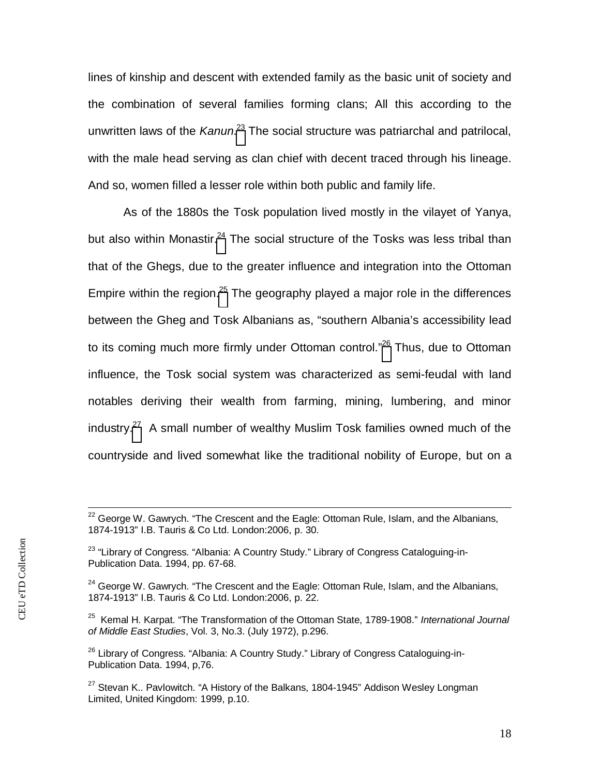lines of kinship and descent with extended family as the basic unit of society and the combination of several families forming clans; All this according to the unwritten laws of the *Kanun*. [23](#page-18-0) The social structure was patriarchal and patrilocal, with the male head serving as clan chief with decent traced through his lineage. And so, women filled a lesser role within both public and family life.

As of the 1880s the Tosk population lived mostly in the vilayet of Yanya, but also within Monastir[.](#page-18-1) $24$  The social structure of the Tosks was less tribal than that of the Ghegs, due to the greater influence and integration into the Ottoman Empire within the region.<sup>[25](#page-18-2)</sup> The geography played a major role in the differences between the Gheg and Tosk Albanians as, "southern Albania's accessibility lead to its coming much more firmly under Ottoman control."<sup>[26](#page-18-3)</sup> Thus, due to Ottoman influence, the Tosk social system was characterized as semi-feudal with land notables deriving their wealth from farming, mining, lumbering, and minor industry.[27](#page-18-4) A small number of wealthy Muslim Tosk families owned much of the countryside and lived somewhat like the traditional nobility of Europe, but on a

 $22$  George W. Gawrych. "The Crescent and the Eagle: Ottoman Rule, Islam, and the Albanians, 1874-1913" I.B. Tauris & Co Ltd. London:2006, p. 30.

<span id="page-18-0"></span> $23$  "Library of Congress. "Albania: A Country Study." Library of Congress Cataloguing-in-Publication Data. 1994, pp. 67-68.

<span id="page-18-1"></span> $24$  George W. Gawrych. "The Crescent and the Eagle: Ottoman Rule, Islam, and the Albanians, 1874-1913" I.B. Tauris & Co Ltd. London:2006, p. 22.

<span id="page-18-2"></span><sup>25</sup> Kemal H. Karpat. "The Transformation of the Ottoman State, 1789-1908." *International Journal of Middle East Studies*, Vol. 3, No.3. (July 1972), p.296.

<span id="page-18-3"></span><sup>&</sup>lt;sup>26</sup> Library of Congress. "Albania: A Country Study." Library of Congress Cataloguing-in-Publication Data. 1994, p,76.

<span id="page-18-4"></span> $27$  Stevan K.. Pavlowitch. "A History of the Balkans, 1804-1945" Addison Wesley Longman Limited, United Kingdom: 1999, p.10.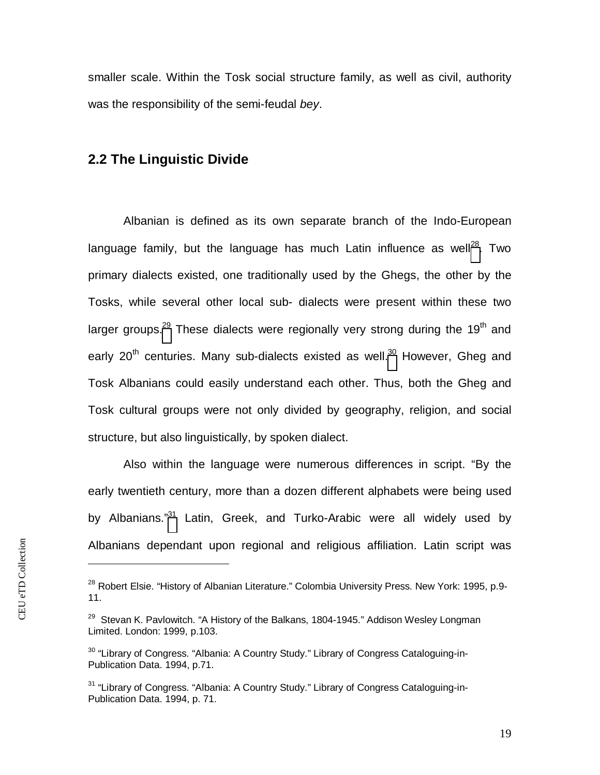smaller scale. Within the Tosk social structure family, as well as civil, authority was the responsibility of the semi-feudal *bey*.

#### <span id="page-19-0"></span>**2.2 The Linguistic Divide**

Albanian is defined as its own separate branch of the Indo-European language family, but the language has much Latin influence as well<sup>28</sup>[.](#page-19-1) Two primary dialects existed, one traditionally used by the Ghegs, the other by the Tosks, while several other local sub- dialects were present within these two largergroups.<sup>29</sup> These dialects were regionally very strong during the 19<sup>th</sup> and early 20<sup>th</sup> centuries. Many sub-dialects existed as well.<sup>[30](#page-19-3)</sup> However, Gheg and Tosk Albanians could easily understand each other. Thus, both the Gheg and Tosk cultural groups were not only divided by geography, religion, and social structure, but also linguistically, by spoken dialect.

Also within the language were numerous differences in script. "By the early twentieth century, more than a dozen different alphabets were being used byAlbanians."<sup>31</sup> Latin, Greek, and Turko-Arabic were all widely used by Albanians dependant upon regional and religious affiliation. Latin script was

<span id="page-19-1"></span><sup>&</sup>lt;sup>28</sup> Robert Elsie. "History of Albanian Literature." Colombia University Press. New York: 1995, p.9-11.

<span id="page-19-2"></span> $29$  Stevan K. Pavlowitch. "A History of the Balkans, 1804-1945." Addison Wesley Longman Limited. London: 1999, p.103.

<span id="page-19-3"></span><sup>&</sup>lt;sup>30</sup> "Library of Congress. "Albania: A Country Study." Library of Congress Cataloguing-in-Publication Data. 1994, p.71.

<span id="page-19-4"></span><sup>&</sup>lt;sup>31</sup> "Library of Congress. "Albania: A Country Study." Library of Congress Cataloguing-in-Publication Data. 1994, p. 71.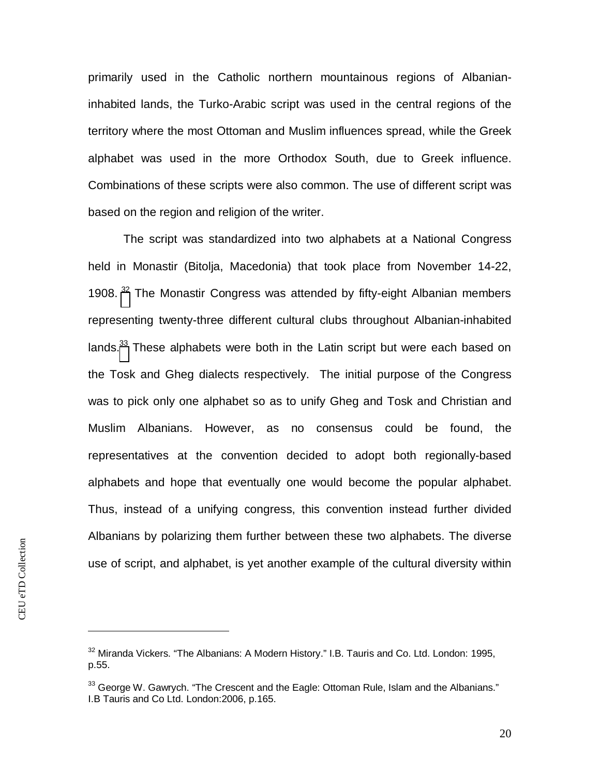primarily used in the Catholic northern mountainous regions of Albanianinhabited lands, the Turko-Arabic script was used in the central regions of the territory where the most Ottoman and Muslim influences spread, while the Greek alphabet was used in the more Orthodox South, due to Greek influence. Combinations of these scripts were also common. The use of different script was based on the region and religion of the writer.

The script was standardized into two alphabets at a National Congress held in Monastir (Bitolja, Macedonia) that took place from November 14-22, 1908.<sup>[32](#page-20-0)</sup> The Monastir Congress was attended by fifty-eight Albanian members representing twenty-three different cultural clubs throughout Albanian-inhabited lands.<sup>[33](#page-20-1)</sup> These alphabets were both in the Latin script but were each based on the Tosk and Gheg dialects respectively. The initial purpose of the Congress was to pick only one alphabet so as to unify Gheg and Tosk and Christian and Muslim Albanians. However, as no consensus could be found, the representatives at the convention decided to adopt both regionally-based alphabets and hope that eventually one would become the popular alphabet. Thus, instead of a unifying congress, this convention instead further divided Albanians by polarizing them further between these two alphabets. The diverse use of script, and alphabet, is yet another example of the cultural diversity within

<span id="page-20-0"></span> $32$  Miranda Vickers. "The Albanians: A Modern History." I.B. Tauris and Co. Ltd. London: 1995, p.55.

<span id="page-20-1"></span> $33$  George W. Gawrych. "The Crescent and the Eagle: Ottoman Rule, Islam and the Albanians." I.B Tauris and Co Ltd. London:2006, p.165.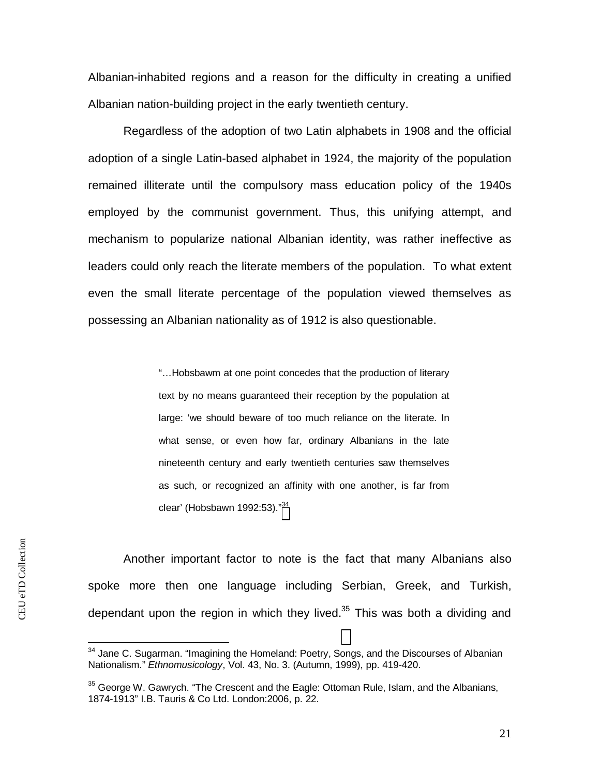Albanian-inhabited regions and a reason for the difficulty in creating a unified Albanian nation-building project in the early twentieth century.

Regardless of the adoption of two Latin alphabets in 1908 and the official adoption of a single Latin-based alphabet in 1924, the majority of the population remained illiterate until the compulsory mass education policy of the 1940s employed by the communist government. Thus, this unifying attempt, and mechanism to popularize national Albanian identity, was rather ineffective as leaders could only reach the literate members of the population. To what extent even the small literate percentage of the population viewed themselves as possessing an Albanian nationality as of 1912 is also questionable.

> "…Hobsbawm at one point concedes that the production of literary text by no means guaranteed their reception by the population at large: 'we should beware of too much reliance on the literate. In what sense, or even how far, ordinary Albanians in the late nineteenth century and early twentieth centuries saw themselves as such, or recognized an affinity with one another, is far from clear' (Hobsbawn 1992:53). $<sup>34</sup>$ </sup>

Another important factor to note is the fact that many Albanians also spoke more then one language including Serbian, Greek, and Turkish, dependant upon the region in which they lived. $35$  This was both a dividing and

<sup>&</sup>lt;sup>34</sup> Jane C. Sugarman. "Imagining the Homeland: Poetry, Songs, and the Discourses of Albanian Nationalism." *Ethnomusicology*, Vol. 43, No. 3. (Autumn, 1999), pp. 419-420.

 $35$  George W. Gawrych. "The Crescent and the Eagle: Ottoman Rule, Islam, and the Albanians, 1874-1913" I.B. Tauris & Co Ltd. London:2006, p. 22.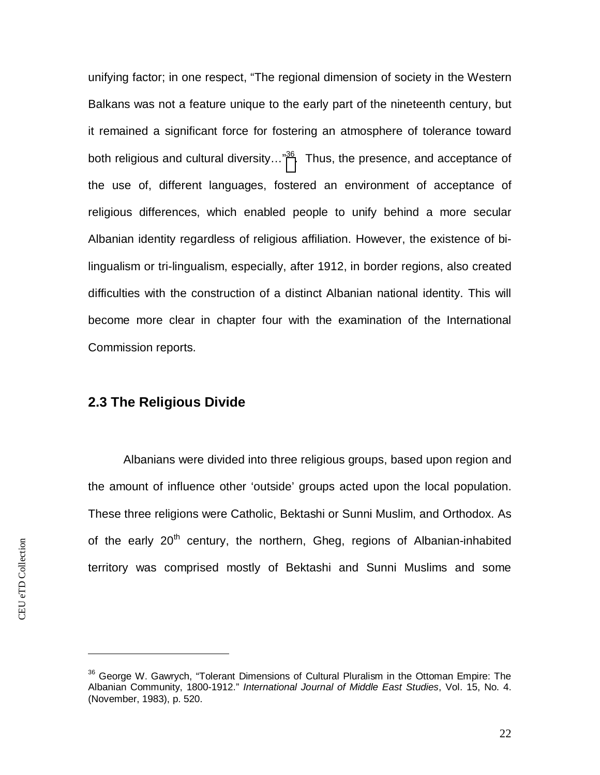unifying factor; in one respect, "The regional dimension of society in the Western Balkans was not a feature unique to the early part of the nineteenth century, but it remained a significant force for fostering an atmosphere of tolerance toward both religious and cultural diversity[.](#page-22-1).."<sup>36</sup>. Thus, the presence, and acceptance of the use of, different languages, fostered an environment of acceptance of religious differences, which enabled people to unify behind a more secular Albanian identity regardless of religious affiliation. However, the existence of bilingualism or tri-lingualism, especially, after 1912, in border regions, also created difficulties with the construction of a distinct Albanian national identity. This will become more clear in chapter four with the examination of the International Commission reports.

#### <span id="page-22-0"></span>**2.3 The Religious Divide**

Albanians were divided into three religious groups, based upon region and the amount of influence other 'outside' groups acted upon the local population. These three religions were Catholic, Bektashi or Sunni Muslim, and Orthodox. As of the early  $20<sup>th</sup>$  century, the northern, Gheg, regions of Albanian-inhabited territory was comprised mostly of Bektashi and Sunni Muslims and some

<span id="page-22-1"></span><sup>&</sup>lt;sup>36</sup> George W. Gawrych, "Tolerant Dimensions of Cultural Pluralism in the Ottoman Empire: The Albanian Community, 1800-1912." *International Journal of Middle East Studies*, Vol. 15, No. 4. (November, 1983), p. 520.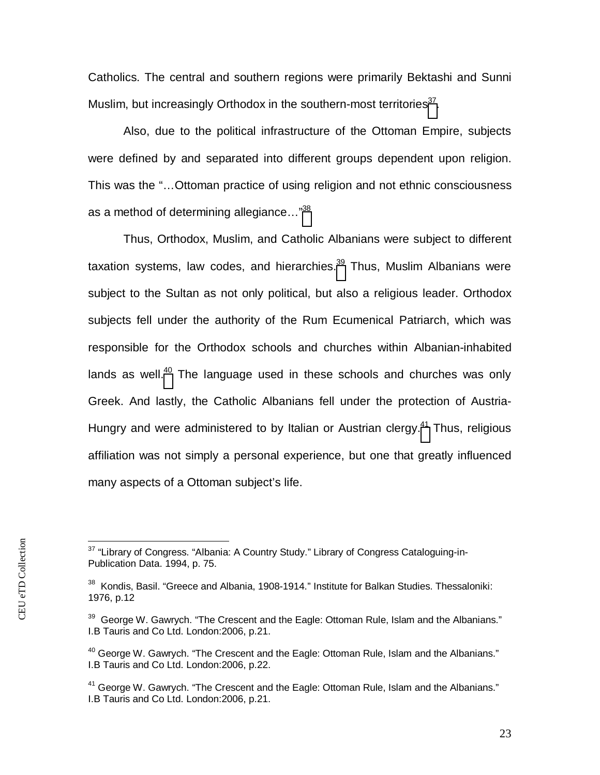Catholics. The central and southern regions were primarily Bektashi and Sunni Muslim, but increasingly Orthodox in the southern-most territories $37$ .

Also, due to the political infrastructure of the Ottoman Empire, subjects were defined by and separated into different groups dependent upon religion. This was the "…Ottoman practice of using religion and not ethnic consciousness as a method of determining allegiance…"[38](#page-23-1)

Thus, Orthodox, Muslim, and Catholic Albanians were subject to different taxation systems, law codes, and hierarchies. $39$  Thus, Muslim Albanians were subject to the Sultan as not only political, but also a religious leader. Orthodox subjects fell under the authority of the Rum Ecumenical Patriarch, which was responsible for the Orthodox schools and churches within Albanian-inhabited lands as well.<sup>[40](#page-23-3)</sup> The language used in these schools and churches was only Greek. And lastly, the Catholic Albanians fell under the protection of AustriaHungryand were administered to by Italian or Austrian clergy.<sup>41</sup> Thus, religious affiliation was not simply a personal experience, but one that greatly influenced many aspects of a Ottoman subject's life.

<span id="page-23-0"></span> $37$  "Library of Congress. "Albania: A Country Study." Library of Congress Cataloguing-in-Publication Data. 1994, p. 75.

<span id="page-23-1"></span><sup>&</sup>lt;sup>38</sup> Kondis, Basil. "Greece and Albania, 1908-1914." Institute for Balkan Studies. Thessaloniki: 1976, p.12

<span id="page-23-2"></span> $39$  George W. Gawrych. "The Crescent and the Eagle: Ottoman Rule, Islam and the Albanians." I.B Tauris and Co Ltd. London:2006, p.21.

<span id="page-23-3"></span> $40$  George W. Gawrych. "The Crescent and the Eagle: Ottoman Rule, Islam and the Albanians." I.B Tauris and Co Ltd. London:2006, p.22.

<span id="page-23-4"></span> $41$  George W. Gawrych. "The Crescent and the Eagle: Ottoman Rule, Islam and the Albanians." I.B Tauris and Co Ltd. London:2006, p.21.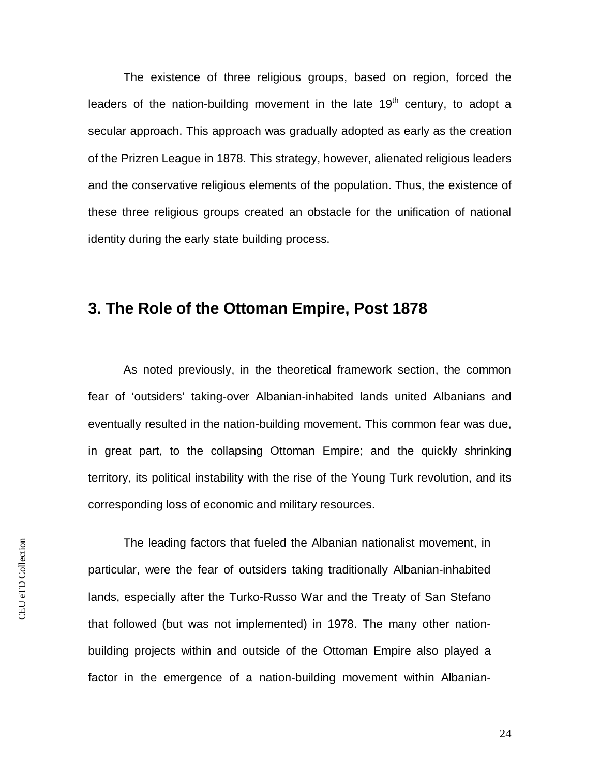The existence of three religious groups, based on region, forced the leaders of the nation-building movement in the late  $19<sup>th</sup>$  century, to adopt a secular approach. This approach was gradually adopted as early as the creation of the Prizren League in 1878. This strategy, however, alienated religious leaders and the conservative religious elements of the population. Thus, the existence of these three religious groups created an obstacle for the unification of national identity during the early state building process.

### <span id="page-24-0"></span>**3. The Role of the Ottoman Empire, Post 1878**

As noted previously, in the theoretical framework section, the common fear of 'outsiders' taking-over Albanian-inhabited lands united Albanians and eventually resulted in the nation-building movement. This common fear was due, in great part, to the collapsing Ottoman Empire; and the quickly shrinking territory, its political instability with the rise of the Young Turk revolution, and its corresponding loss of economic and military resources.

The leading factors that fueled the Albanian nationalist movement, in particular, were the fear of outsiders taking traditionally Albanian-inhabited lands, especially after the Turko-Russo War and the Treaty of San Stefano that followed (but was not implemented) in 1978. The many other nationbuilding projects within and outside of the Ottoman Empire also played a factor in the emergence of a nation-building movement within Albanian-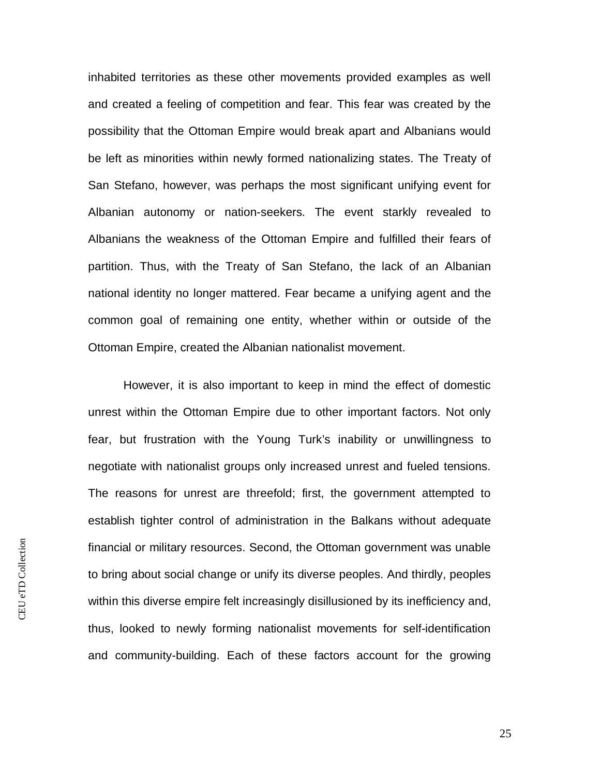inhabited territories as these other movements provided examples as well and created a feeling of competition and fear. This fear was created by the possibility that the Ottoman Empire would break apart and Albanians would be left as minorities within newly formed nationalizing states. The Treaty of San Stefano, however, was perhaps the most significant unifying event for Albanian autonomy or nation-seekers. The event starkly revealed to Albanians the weakness of the Ottoman Empire and fulfilled their fears of partition. Thus, with the Treaty of San Stefano, the lack of an Albanian national identity no longer mattered. Fear became a unifying agent and the common goal of remaining one entity, whether within or outside of the Ottoman Empire, created the Albanian nationalist movement.

However, it is also important to keep in mind the effect of domestic unrest within the Ottoman Empire due to other important factors. Not only fear, but frustration with the Young Turk's inability or unwillingness to negotiate with nationalist groups only increased unrest and fueled tensions. The reasons for unrest are threefold; first, the government attempted to establish tighter control of administration in the Balkans without adequate financial or military resources. Second, the Ottoman government was unable to bring about social change or unify its diverse peoples. And thirdly, peoples within this diverse empire felt increasingly disillusioned by its inefficiency and, thus, looked to newly forming nationalist movements for self-identification and community-building. Each of these factors account for the growing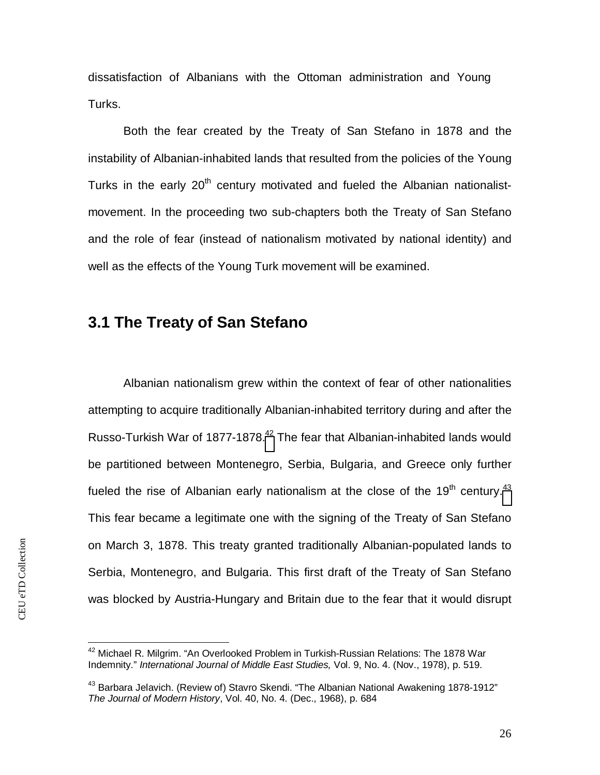dissatisfaction of Albanians with the Ottoman administration and Young Turks.

Both the fear created by the Treaty of San Stefano in 1878 and the instability of Albanian-inhabited lands that resulted from the policies of the Young Turks in the early  $20<sup>th</sup>$  century motivated and fueled the Albanian nationalistmovement. In the proceeding two sub-chapters both the Treaty of San Stefano and the role of fear (instead of nationalism motivated by national identity) and well as the effects of the Young Turk movement will be examined.

### <span id="page-26-0"></span>**3.1 The Treaty of San Stefano**

Albanian nationalism grew within the context of fear of other nationalities attempting to acquire traditionally Albanian-inhabited territory during and after the Russo-Turkish War of 1877-1878.<sup>[42](#page-26-1)</sup> The fear that Albanian-inhabited lands would be partitioned between Montenegro, Serbia, Bulgaria, and Greece only further fueled the rise of Albanian early nationalism at the close of the  $19<sup>th</sup>$  century.<sup>[43](#page-26-2)</sup> This fear became a legitimate one with the signing of the Treaty of San Stefano on March 3, 1878. This treaty granted traditionally Albanian-populated lands to Serbia, Montenegro, and Bulgaria. This first draft of the Treaty of San Stefano was blocked by Austria-Hungary and Britain due to the fear that it would disrupt

<span id="page-26-1"></span><sup>&</sup>lt;sup>42</sup> Michael R. Milgrim. "An Overlooked Problem in Turkish-Russian Relations: The 1878 War Indemnity." *International Journal of Middle East Studies,* Vol. 9, No. 4. (Nov., 1978), p. 519.

<span id="page-26-2"></span><sup>&</sup>lt;sup>43</sup> Barbara Jelavich. (Review of) Stavro Skendi. "The Albanian National Awakening 1878-1912" *The Journal of Modern History*, Vol. 40, No. 4. (Dec., 1968), p. 684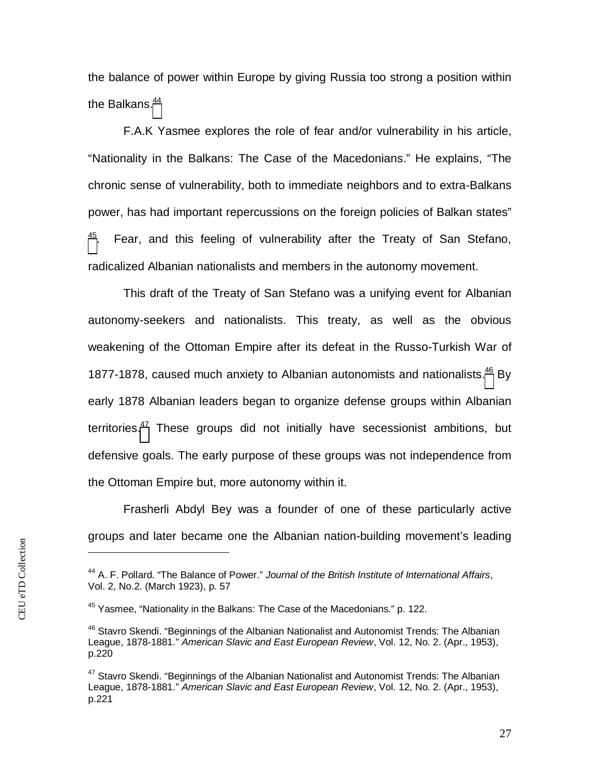the balance of power within Europe by giving Russia too strong a position within the Balkans. $44$ 

F.A.K Yasmee explores the role of fear and/or vulnerability in his article, "Nationality in the Balkans: The Case of the Macedonians." He explains, "The chronic sense of vulnerability, both to immediate neighbors and to extra-Balkans power, has had important repercussions on the foreign policies of Balkan states"  $45$ . Fear, and this feeling of vulnerability after the Treaty of San Stefano, radicalized Albanian nationalists and members in the autonomy movement.

This draft of the Treaty of San Stefano was a unifying event for Albanian autonomy-seekers and nationalists. This treaty, as well as the obvious weakening of the Ottoman Empire after its defeat in the Russo-Turkish War of 1877-1878, caused much anxiety to Albanian autonomists and nationalists.<sup>[46](#page-27-2)</sup> By early 1878 Albanian leaders began to organize defense groups within Albanian territories.<sup>[47](#page-27-3)</sup> These groups did not initially have secessionist ambitions, but defensive goals. The early purpose of these groups was not independence from the Ottoman Empire but, more autonomy within it.

Frasherli Abdyl Bey was a founder of one of these particularly active groups and later became one the Albanian nation-building movement's leading

<span id="page-27-0"></span><sup>44</sup> A. F. Pollard. "The Balance of Power." *Journal of the British Institute of International Affairs*, Vol. 2, No.2. (March 1923), p. 57

<span id="page-27-1"></span><sup>&</sup>lt;sup>45</sup> Yasmee, "Nationality in the Balkans: The Case of the Macedonians." p. 122.

<span id="page-27-2"></span><sup>&</sup>lt;sup>46</sup> Stavro Skendi. "Beginnings of the Albanian Nationalist and Autonomist Trends: The Albanian League, 1878-1881." *American Slavic and East European Review*, Vol. 12, No. 2. (Apr., 1953), p.220

<span id="page-27-3"></span><sup>&</sup>lt;sup>47</sup> Stavro Skendi. "Beginnings of the Albanian Nationalist and Autonomist Trends: The Albanian League, 1878-1881." *American Slavic and East European Review*, Vol. 12, No. 2. (Apr., 1953), p.221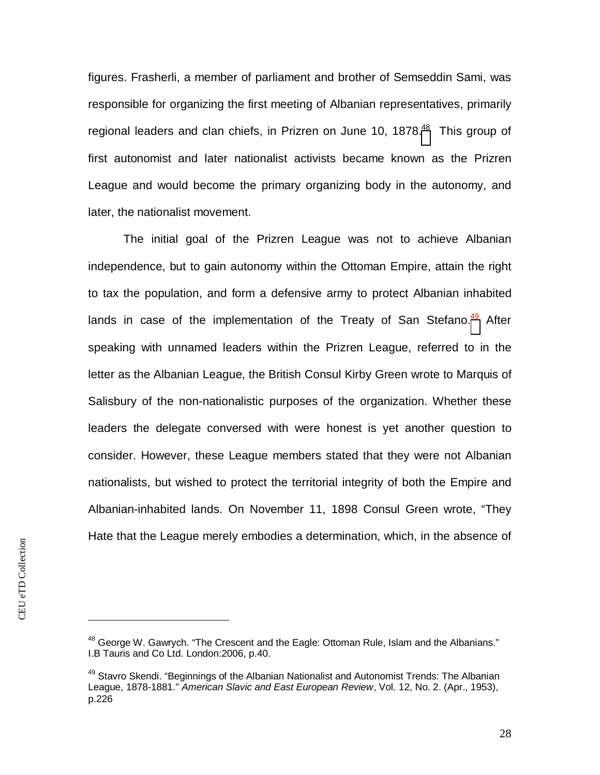figures. Frasherli, a member of parliament and brother of Semseddin Sami, was responsible for organizing the first meeting of Albanian representatives, primarily regionalleaders and clan chiefs, in Prizren on June 10, 1878.<sup>48</sup> This group of first autonomist and later nationalist activists became known as the Prizren League and would become the primary organizing body in the autonomy, and later, the nationalist movement.

The initial goal of the Prizren League was not to achieve Albanian independence, but to gain autonomy within the Ottoman Empire, attain the right to tax the population, and form a defensive army to protect Albanian inhabited lands in case of the implementation of the Treaty of San Stefano.<sup>[49](#page-28-1)</sup> After speaking with unnamed leaders within the Prizren League, referred to in the letter as the Albanian League, the British Consul Kirby Green wrote to Marquis of Salisbury of the non-nationalistic purposes of the organization. Whether these leaders the delegate conversed with were honest is yet another question to consider. However, these League members stated that they were not Albanian nationalists, but wished to protect the territorial integrity of both the Empire and Albanian-inhabited lands. On November 11, 1898 Consul Green wrote, "They Hate that the League merely embodies a determination, which, in the absence of

<span id="page-28-0"></span> $48$  George W. Gawrych. "The Crescent and the Eagle: Ottoman Rule, Islam and the Albanians." I.B Tauris and Co Ltd. London:2006, p.40.

<span id="page-28-1"></span><sup>&</sup>lt;sup>49</sup> Stavro Skendi. "Beginnings of the Albanian Nationalist and Autonomist Trends: The Albanian League, 1878-1881." *American Slavic and East European Review*, Vol. 12, No. 2. (Apr., 1953), p.226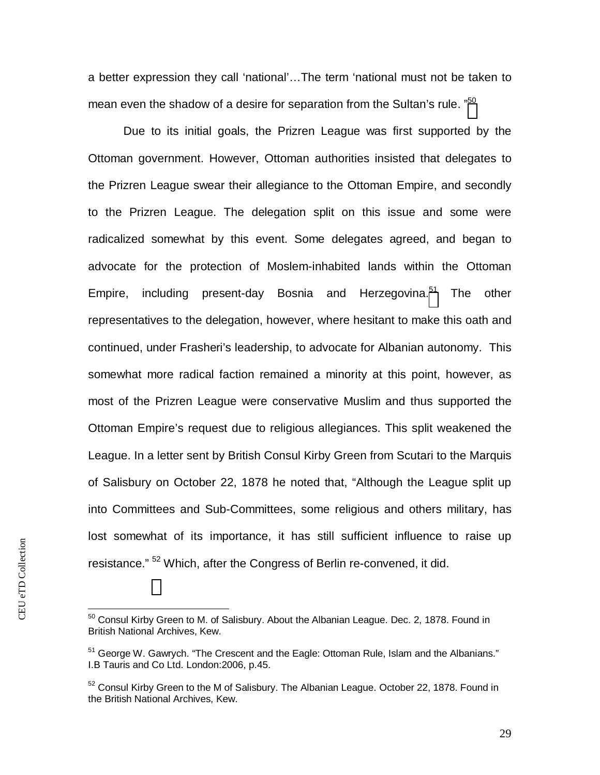a better expression they call 'national'…The term 'national must not be taken to mean even the shadow of a desire for separation from the Sultan's rule. "<sup>[50](#page-29-0)</sup>

Due to its initial goals, the Prizren League was first supported by the Ottoman government. However, Ottoman authorities insisted that delegates to the Prizren League swear their allegiance to the Ottoman Empire, and secondly to the Prizren League. The delegation split on this issue and some were radicalized somewhat by this event. Some delegates agreed, and began to advocate for the protection of Moslem-inhabited lands within the Ottoman Empire, including present-day Bosnia and Herzegovina.<sup>[51](#page-29-1)</sup> The other representatives to the delegation, however, where hesitant to make this oath and continued, under Frasheri's leadership, to advocate for Albanian autonomy. This somewhat more radical faction remained a minority at this point, however, as most of the Prizren League were conservative Muslim and thus supported the Ottoman Empire's request due to religious allegiances. This split weakened the League. In a letter sent by British Consul Kirby Green from Scutari to the Marquis of Salisbury on October 22, 1878 he noted that, "Although the League split up into Committees and Sub-Committees, some religious and others military, has lost somewhat of its importance, it has still sufficient influence to raise up resistance." <sup>52</sup> Which, after the Congress of Berlin re-convened, it did.

<span id="page-29-0"></span> $50$  Consul Kirby Green to M. of Salisbury. About the Albanian League. Dec. 2, 1878. Found in British National Archives, Kew.

<span id="page-29-1"></span><sup>&</sup>lt;sup>51</sup> George W. Gawrych. "The Crescent and the Eagle: Ottoman Rule, Islam and the Albanians." I.B Tauris and Co Ltd. London:2006, p.45.

 $52$  Consul Kirby Green to the M of Salisbury. The Albanian League. October 22, 1878. Found in the British National Archives, Kew.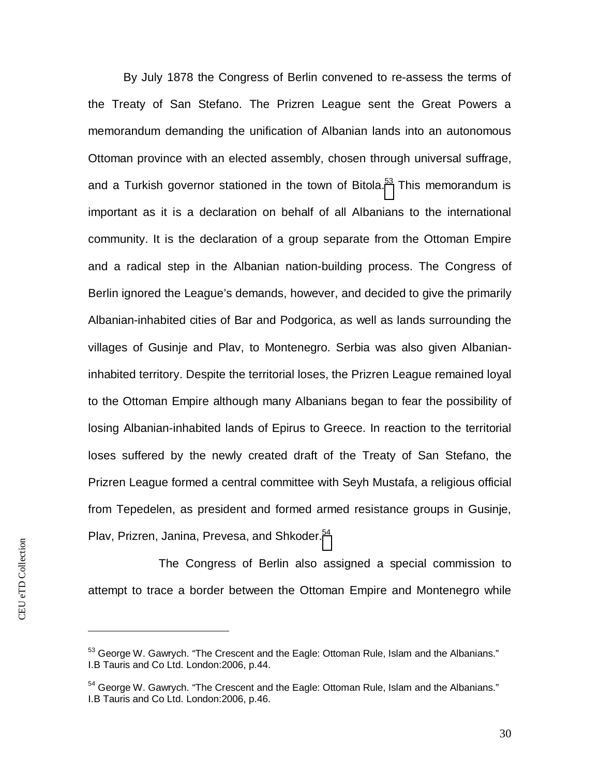By July 1878 the Congress of Berlin convened to re-assess the terms of the Treaty of San Stefano. The Prizren League sent the Great Powers a memorandum demanding the unification of Albanian lands into an autonomous Ottoman province with an elected assembly, chosen through universal suffrage, anda Turkish governor stationed in the town of Bitola.<sup>53</sup> This memorandum is important as it is a declaration on behalf of all Albanians to the international community. It is the declaration of a group separate from the Ottoman Empire and a radical step in the Albanian nation-building process. The Congress of Berlin ignored the League's demands, however, and decided to give the primarily Albanian-inhabited cities of Bar and Podgorica, as well as lands surrounding the villages of Gusinje and Plav, to Montenegro. Serbia was also given Albanianinhabited territory. Despite the territorial loses, the Prizren League remained loyal to the Ottoman Empire although many Albanians began to fear the possibility of losing Albanian-inhabited lands of Epirus to Greece. In reaction to the territorial loses suffered by the newly created draft of the Treaty of San Stefano, the Prizren League formed a central committee with Seyh Mustafa, a religious official from Tepedelen, as president and formed armed resistance groups in Gusinje, Plav, Prizren, Janina, Prevesa, and Shkoder.<sup>[54](#page-30-1)</sup>

The Congress of Berlin also assigned a special commission to attempt to trace a border between the Ottoman Empire and Montenegro while

<span id="page-30-0"></span> $53$  George W. Gawrych. "The Crescent and the Eagle: Ottoman Rule, Islam and the Albanians." I.B Tauris and Co Ltd. London:2006, p.44.

<span id="page-30-1"></span><sup>&</sup>lt;sup>54</sup> George W. Gawrych. "The Crescent and the Eagle: Ottoman Rule, Islam and the Albanians." I.B Tauris and Co Ltd. London:2006, p.46.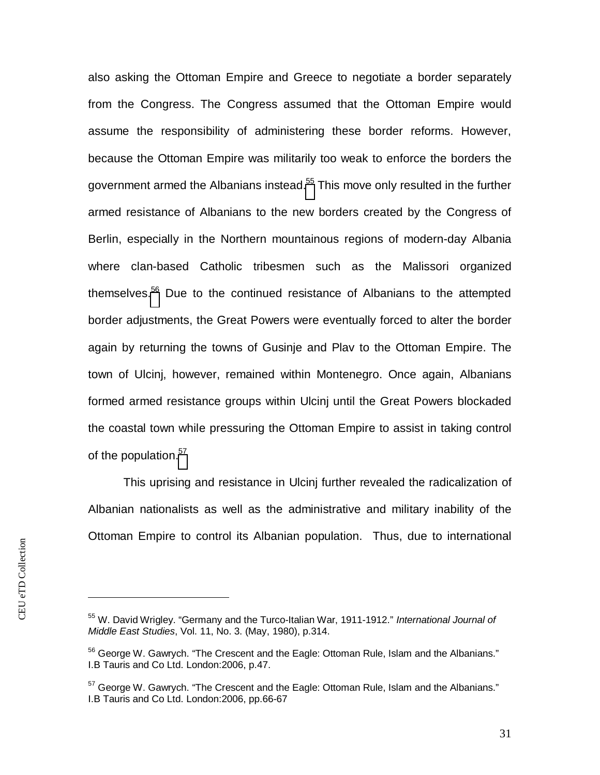also asking the Ottoman Empire and Greece to negotiate a border separately from the Congress. The Congress assumed that the Ottoman Empire would assume the responsibility of administering these border reforms. However, because the Ottoman Empire was militarily too weak to enforce the borders the government armed the Albanians instead.<sup>[55](#page-31-0)</sup> This move only resulted in the further armed resistance of Albanians to the new borders created by the Congress of Berlin, especially in the Northern mountainous regions of modern-day Albania where clan-based Catholic tribesmen such as the Malissori organized themselves.<sup>[56](#page-31-1)</sup> Due to the continued resistance of Albanians to the attempted border adjustments, the Great Powers were eventually forced to alter the border again by returning the towns of Gusinje and Plav to the Ottoman Empire. The town of Ulcinj, however, remained within Montenegro. Once again, Albanians formed armed resistance groups within Ulcinj until the Great Powers blockaded the coastal town while pressuring the Ottoman Empire to assist in taking control of the population.<sup>[57](#page-31-2)</sup>

This uprising and resistance in Ulcinj further revealed the radicalization of Albanian nationalists as well as the administrative and military inability of the Ottoman Empire to control its Albanian population. Thus, due to international

<span id="page-31-0"></span><sup>55</sup> W. David Wrigley. "Germany and the Turco-Italian War, 1911-1912." *International Journal of Middle East Studies*, Vol. 11, No. 3. (May, 1980), p.314.

<span id="page-31-1"></span> $56$  George W. Gawrych. "The Crescent and the Eagle: Ottoman Rule, Islam and the Albanians." I.B Tauris and Co Ltd. London:2006, p.47.

<span id="page-31-2"></span> $57$  George W. Gawrych. "The Crescent and the Eagle: Ottoman Rule, Islam and the Albanians." I.B Tauris and Co Ltd. London:2006, pp.66-67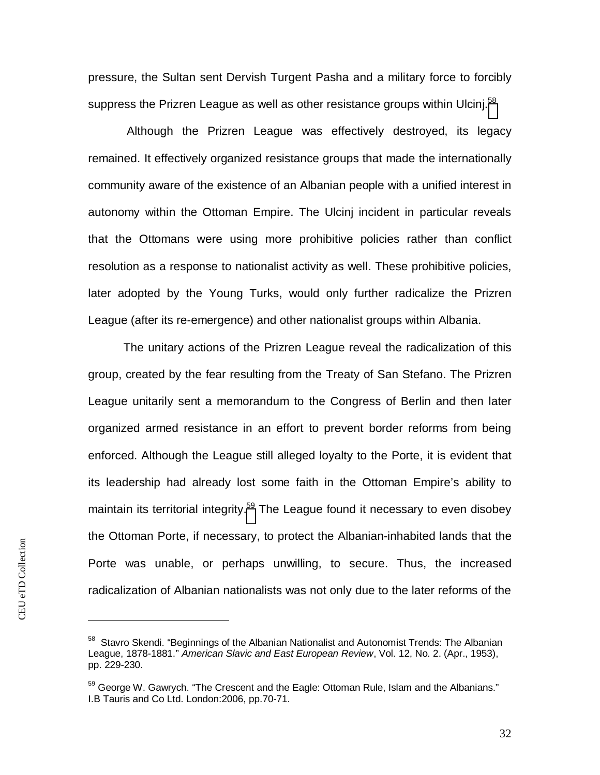pressure, the Sultan sent Dervish Turgent Pasha and a military force to forcibly suppress the Prizren League as well as other resistance groups within Ulcinj.<sup>[58](#page-32-0)</sup>

 Although the Prizren League was effectively destroyed, its legacy remained. It effectively organized resistance groups that made the internationally community aware of the existence of an Albanian people with a unified interest in autonomy within the Ottoman Empire. The Ulcinj incident in particular reveals that the Ottomans were using more prohibitive policies rather than conflict resolution as a response to nationalist activity as well. These prohibitive policies, later adopted by the Young Turks, would only further radicalize the Prizren League (after its re-emergence) and other nationalist groups within Albania.

The unitary actions of the Prizren League reveal the radicalization of this group, created by the fear resulting from the Treaty of San Stefano. The Prizren League unitarily sent a memorandum to the Congress of Berlin and then later organized armed resistance in an effort to prevent border reforms from being enforced. Although the League still alleged loyalty to the Porte, it is evident that its leadership had already lost some faith in the Ottoman Empire's ability to maintainits territorial integrity.<sup>59</sup> The League found it necessary to even disobey the Ottoman Porte, if necessary, to protect the Albanian-inhabited lands that the Porte was unable, or perhaps unwilling, to secure. Thus, the increased radicalization of Albanian nationalists was not only due to the later reforms of the

<span id="page-32-0"></span><sup>&</sup>lt;sup>58</sup> Stavro Skendi. "Beginnings of the Albanian Nationalist and Autonomist Trends: The Albanian League, 1878-1881." *American Slavic and East European Review*, Vol. 12, No. 2. (Apr., 1953), pp. 229-230.

<span id="page-32-1"></span><sup>&</sup>lt;sup>59</sup> George W. Gawrych. "The Crescent and the Eagle: Ottoman Rule, Islam and the Albanians." I.B Tauris and Co Ltd. London:2006, pp.70-71.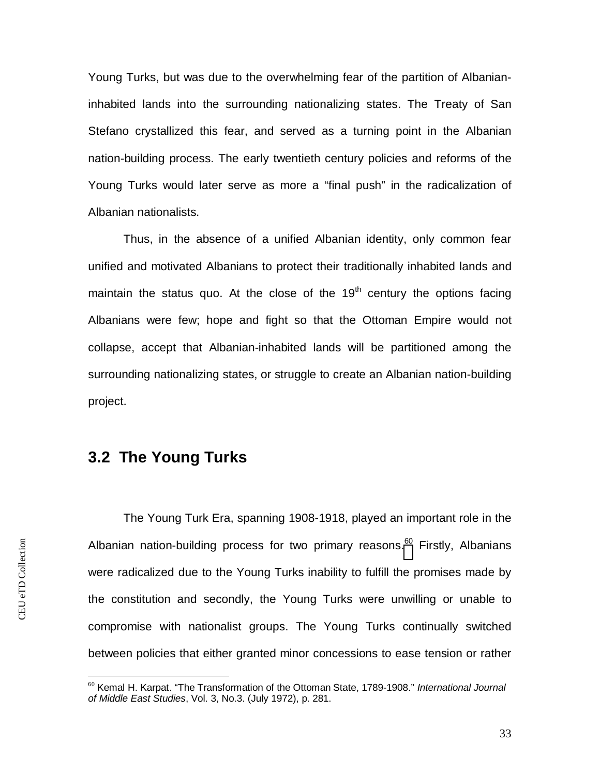Young Turks, but was due to the overwhelming fear of the partition of Albanianinhabited lands into the surrounding nationalizing states. The Treaty of San Stefano crystallized this fear, and served as a turning point in the Albanian nation-building process. The early twentieth century policies and reforms of the Young Turks would later serve as more a "final push" in the radicalization of Albanian nationalists.

Thus, in the absence of a unified Albanian identity, only common fear unified and motivated Albanians to protect their traditionally inhabited lands and maintain the status quo. At the close of the  $19<sup>th</sup>$  century the options facing Albanians were few; hope and fight so that the Ottoman Empire would not collapse, accept that Albanian-inhabited lands will be partitioned among the surrounding nationalizing states, or struggle to create an Albanian nation-building project.

### <span id="page-33-0"></span>**3.2 The Young Turks**

The Young Turk Era, spanning 1908-1918, played an important role in the Albanian nation-building process for two primary reasons[.](#page-33-1)<sup>60</sup> Firstly, Albanians were radicalized due to the Young Turks inability to fulfill the promises made by the constitution and secondly, the Young Turks were unwilling or unable to compromise with nationalist groups. The Young Turks continually switched between policies that either granted minor concessions to ease tension or rather

<span id="page-33-1"></span><sup>60</sup> Kemal H. Karpat. "The Transformation of the Ottoman State, 1789-1908." *International Journal of Middle East Studies*, Vol. 3, No.3. (July 1972), p. 281.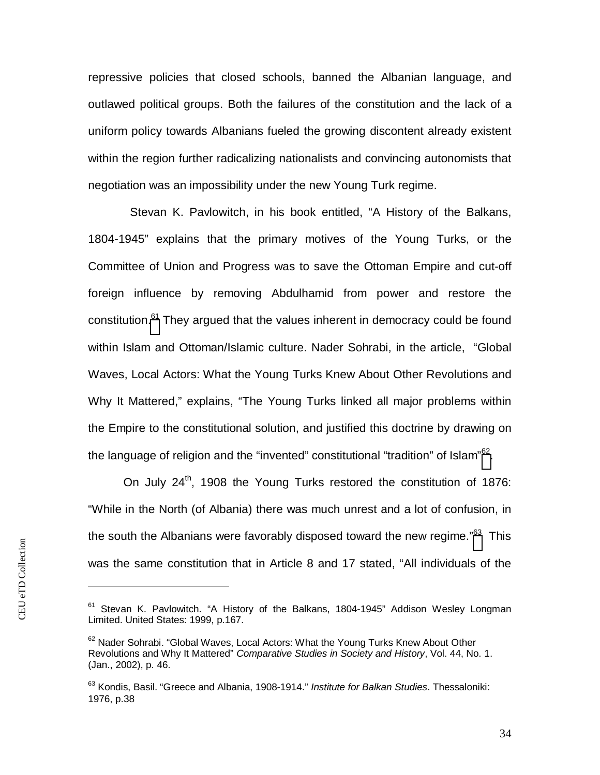repressive policies that closed schools, banned the Albanian language, and outlawed political groups. Both the failures of the constitution and the lack of a uniform policy towards Albanians fueled the growing discontent already existent within the region further radicalizing nationalists and convincing autonomists that negotiation was an impossibility under the new Young Turk regime.

 Stevan K. Pavlowitch, in his book entitled, "A History of the Balkans, 1804-1945" explains that the primary motives of the Young Turks, or the Committee of Union and Progress was to save the Ottoman Empire and cut-off foreign influence by removing Abdulhamid from power and restore the constitution.<sup>[61](#page-34-0)</sup> They argued that the values inherent in democracy could be found within Islam and Ottoman/Islamic culture. Nader Sohrabi, in the article, "Global Waves, Local Actors: What the Young Turks Knew About Other Revolutions and Why It Mattered," explains, "The Young Turks linked all major problems within the Empire to the constitutional solution, and justified this doctrine by drawing on the language of religion and the "invented" constitutional "tradition" of Islam" $62$ [.](#page-34-1)

On July 24<sup>th</sup>, 1908 the Young Turks restored the constitution of 1876: "While in the North (of Albania) there was much unrest and a lot of confusion, in the south the Albanians were favorably disposed toward the new regime."<sup>[63](#page-34-2)</sup> This was the same constitution that in Article 8 and 17 stated, "All individuals of the

<span id="page-34-0"></span> $61$  Stevan K. Pavlowitch. "A History of the Balkans, 1804-1945" Addison Wesley Longman Limited. United States: 1999, p.167.

<span id="page-34-1"></span> $62$  Nader Sohrabi. "Global Waves, Local Actors: What the Young Turks Knew About Other Revolutions and Why It Mattered" *Comparative Studies in Society and History*, Vol. 44, No. 1. (Jan., 2002), p. 46.

<span id="page-34-2"></span><sup>63</sup> Kondis, Basil. "Greece and Albania, 1908-1914." *Institute for Balkan Studies*. Thessaloniki: 1976, p.38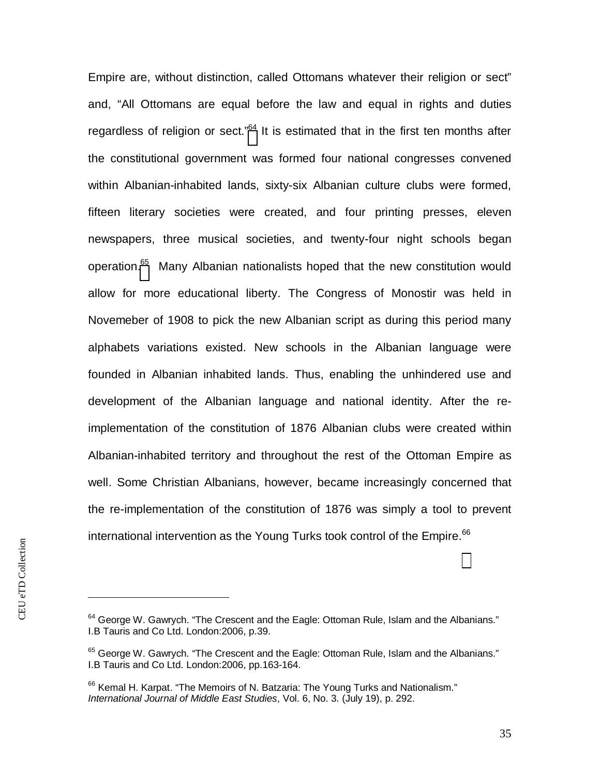Empire are, without distinction, called Ottomans whatever their religion or sect" and, "All Ottomans are equal before the law and equal in rights and duties regardless of religion or sect."<sup>[64](#page-35-0)</sup> It is estimated that in the first ten months after the constitutional government was formed four national congresses convened within Albanian-inhabited lands, sixty-six Albanian culture clubs were formed, fifteen literary societies were created, and four printing presses, eleven newspapers, three musical societies, and twenty-four night schools began operation[.](#page-35-1)<sup>65</sup> Many Albanian nationalists hoped that the new constitution would allow for more educational liberty. The Congress of Monostir was held in Novemeber of 1908 to pick the new Albanian script as during this period many alphabets variations existed. New schools in the Albanian language were founded in Albanian inhabited lands. Thus, enabling the unhindered use and development of the Albanian language and national identity. After the reimplementation of the constitution of 1876 Albanian clubs were created within Albanian-inhabited territory and throughout the rest of the Ottoman Empire as well. Some Christian Albanians, however, became increasingly concerned that the re-implementation of the constitution of 1876 was simply a tool to prevent international intervention as the Young Turks took control of the Empire. $^{66}$ 

<span id="page-35-0"></span><sup>&</sup>lt;sup>64</sup> George W. Gawrych. "The Crescent and the Eagle: Ottoman Rule, Islam and the Albanians." I.B Tauris and Co Ltd. London:2006, p.39.

<span id="page-35-1"></span><sup>&</sup>lt;sup>65</sup> George W. Gawrych. "The Crescent and the Eagle: Ottoman Rule, Islam and the Albanians." I.B Tauris and Co Ltd. London:2006, pp.163-164.

 $66$  Kemal H. Karpat. "The Memoirs of N. Batzaria: The Young Turks and Nationalism." *International Journal of Middle East Studies*, Vol. 6, No. 3. (July 19), p. 292.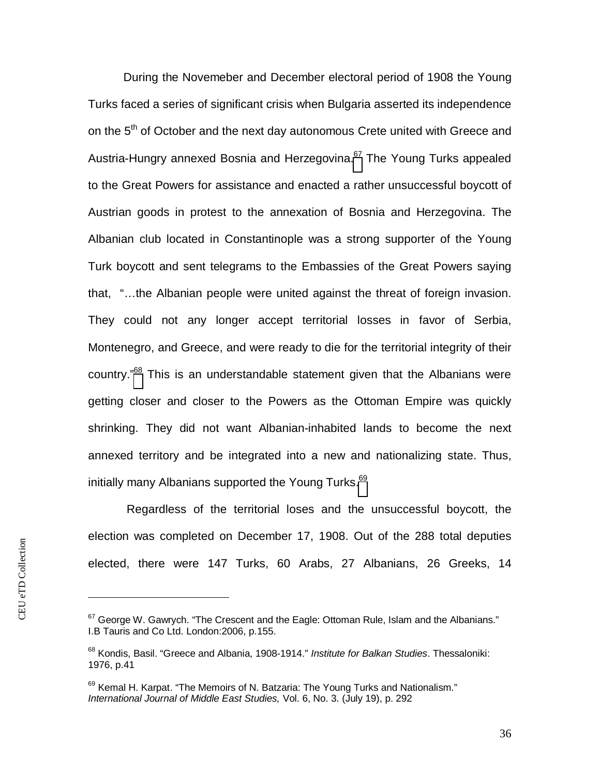During the Novemeber and December electoral period of 1908 the Young Turks faced a series of significant crisis when Bulgaria asserted its independence on the  $5<sup>th</sup>$  of October and the next day autonomous Crete united with Greece and Austria-Hungry annexed Bosnia and Herzegovina.<sup>[67](#page-36-0)</sup> The Young Turks appealed to the Great Powers for assistance and enacted a rather unsuccessful boycott of Austrian goods in protest to the annexation of Bosnia and Herzegovina. The Albanian club located in Constantinople was a strong supporter of the Young Turk boycott and sent telegrams to the Embassies of the Great Powers saying that, "…the Albanian people were united against the threat of foreign invasion. They could not any longer accept territorial losses in favor of Serbia, Montenegro, and Greece, and were ready to die for the territorial integrity of their country."<sup>68</sup>This is an understandable statement given that the Albanians were getting closer and closer to the Powers as the Ottoman Empire was quickly shrinking. They did not want Albanian-inhabited lands to become the next annexed territory and be integrated into a new and nationalizing state. Thus, initially many Albanians supported the Young Turks.<sup>[69](#page-36-2)</sup>

 Regardless of the territorial loses and the unsuccessful boycott, the election was completed on December 17, 1908. Out of the 288 total deputies elected, there were 147 Turks, 60 Arabs, 27 Albanians, 26 Greeks, 14

<span id="page-36-0"></span><sup>&</sup>lt;sup>67</sup> George W. Gawrych. "The Crescent and the Eagle: Ottoman Rule, Islam and the Albanians." I.B Tauris and Co Ltd. London:2006, p.155.

<span id="page-36-1"></span><sup>68</sup> Kondis, Basil. "Greece and Albania, 1908-1914." *Institute for Balkan Studies*. Thessaloniki: 1976, p.41

<span id="page-36-2"></span> $69$  Kemal H. Karpat. "The Memoirs of N. Batzaria: The Young Turks and Nationalism." *International Journal of Middle East Studies,* Vol. 6, No. 3. (July 19), p. 292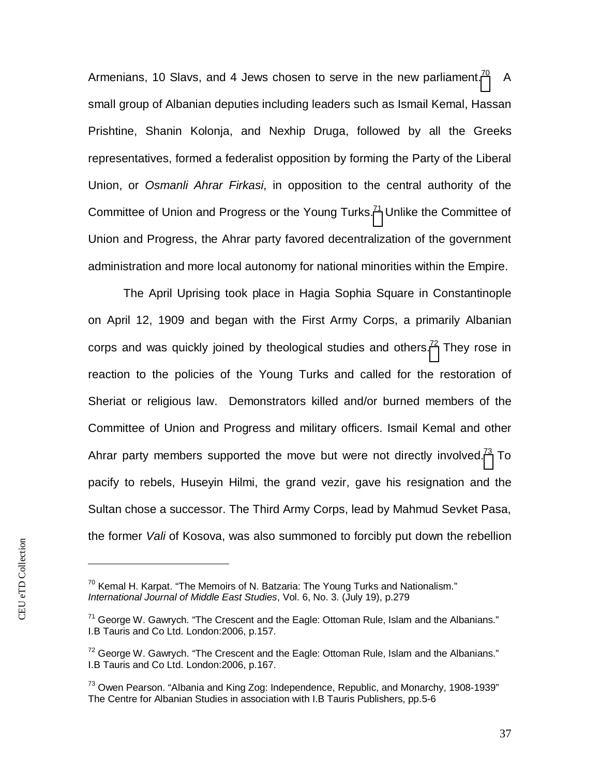Armenians, 10 Slavs, and 4 Jews chosen to serve in the new parliament.<sup>[70](#page-37-0)</sup> A small group of Albanian deputies including leaders such as Ismail Kemal, Hassan Prishtine, Shanin Kolonja, and Nexhip Druga, followed by all the Greeks representatives, formed a federalist opposition by forming the Party of the Liberal Union, or *Osmanli Ahrar Firkasi*, in opposition to the central authority of the Committee of Union and Progress or the Young Turks.<sup>[71](#page-37-1)</sup> Unlike the Committee of Union and Progress, the Ahrar party favored decentralization of the government administration and more local autonomy for national minorities within the Empire.

The April Uprising took place in Hagia Sophia Square in Constantinople on April 12, 1909 and began with the First Army Corps, a primarily Albanian corps and was quickly joined by theological studies and others.<sup>[72](#page-37-2)</sup> They rose in reaction to the policies of the Young Turks and called for the restoration of Sheriat or religious law. Demonstrators killed and/or burned members of the Committee of Union and Progress and military officers. Ismail Kemal and other Ahrarparty members supported the move but were not directly involved.<sup>73</sup> To pacify to rebels, Huseyin Hilmi, the grand vezir, gave his resignation and the Sultan chose a successor. The Third Army Corps, lead by Mahmud Sevket Pasa, the former *Vali* of Kosova, was also summoned to forcibly put down the rebellion

<span id="page-37-0"></span> $70$  Kemal H. Karpat. "The Memoirs of N. Batzaria: The Young Turks and Nationalism." *International Journal of Middle East Studies*, Vol. 6, No. 3. (July 19), p.279

<span id="page-37-1"></span> $71$  George W. Gawrych. "The Crescent and the Eagle: Ottoman Rule, Islam and the Albanians." I.B Tauris and Co Ltd. London:2006, p.157.

<span id="page-37-2"></span> $72$  George W. Gawrych. "The Crescent and the Eagle: Ottoman Rule, Islam and the Albanians." I.B Tauris and Co Ltd. London:2006, p.167.

<span id="page-37-3"></span> $^{73}$  Owen Pearson. "Albania and King Zog: Independence, Republic, and Monarchy, 1908-1939" The Centre for Albanian Studies in association with I.B Tauris Publishers, pp.5-6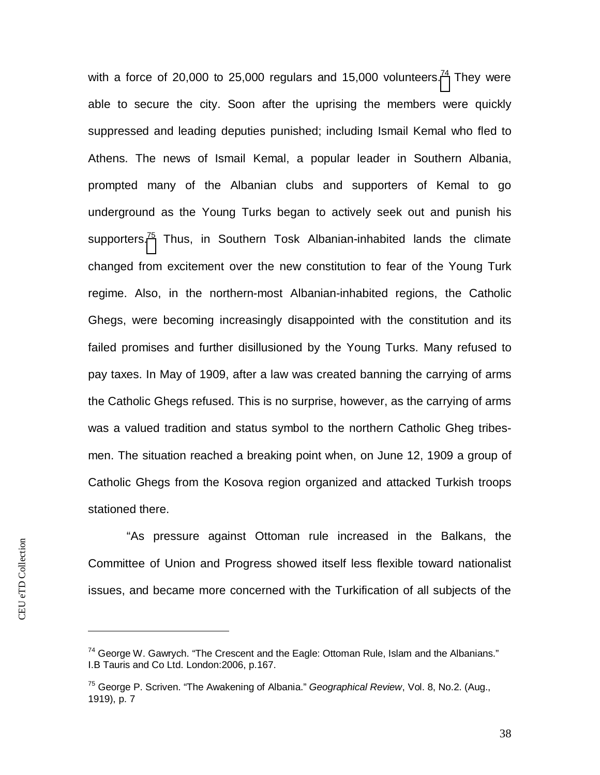with a force of 20,000 to 25,000 regulars and 15,000 volunteers.<sup>[74](#page-38-0)</sup> They were able to secure the city. Soon after the uprising the members were quickly suppressed and leading deputies punished; including Ismail Kemal who fled to Athens. The news of Ismail Kemal, a popular leader in Southern Albania, prompted many of the Albanian clubs and supporters of Kemal to go underground as the Young Turks began to actively seek out and punish his supporters.<sup>[75](#page-38-1)</sup> Thus, in Southern Tosk Albanian-inhabited lands the climate changed from excitement over the new constitution to fear of the Young Turk regime. Also, in the northern-most Albanian-inhabited regions, the Catholic Ghegs, were becoming increasingly disappointed with the constitution and its failed promises and further disillusioned by the Young Turks. Many refused to pay taxes. In May of 1909, after a law was created banning the carrying of arms the Catholic Ghegs refused. This is no surprise, however, as the carrying of arms was a valued tradition and status symbol to the northern Catholic Gheg tribesmen. The situation reached a breaking point when, on June 12, 1909 a group of Catholic Ghegs from the Kosova region organized and attacked Turkish troops stationed there.

 "As pressure against Ottoman rule increased in the Balkans, the Committee of Union and Progress showed itself less flexible toward nationalist issues, and became more concerned with the Turkification of all subjects of the

<span id="page-38-0"></span> $74$  George W. Gawrych. "The Crescent and the Eagle: Ottoman Rule, Islam and the Albanians." I.B Tauris and Co Ltd. London:2006, p.167.

<span id="page-38-1"></span><sup>75</sup> George P. Scriven. "The Awakening of Albania." *Geographical Review*, Vol. 8, No.2. (Aug., 1919), p. 7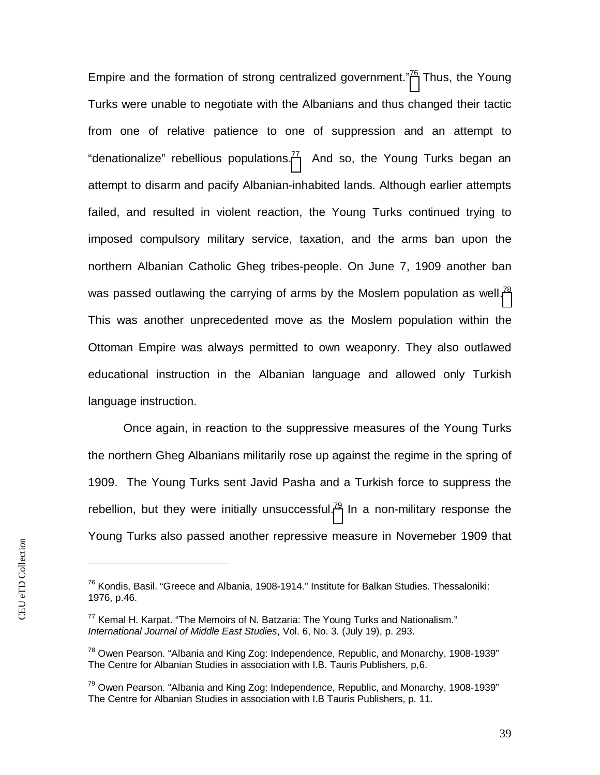Empire and the formation of strong centralized government."<sup>[76](#page-39-0)</sup> Thus, the Young Turks were unable to negotiate with the Albanians and thus changed their tactic from one of relative patience to one of suppression and an attempt to "denationalize"rebellious populations.<sup>77</sup> And so, the Young Turks began an attempt to disarm and pacify Albanian-inhabited lands. Although earlier attempts failed, and resulted in violent reaction, the Young Turks continued trying to imposed compulsory military service, taxation, and the arms ban upon the northern Albanian Catholic Gheg tribes-people. On June 7, 1909 another ban was passed outlawing the carrying of arms by the Moslem population as well.<sup>[78](#page-39-2)</sup> This was another unprecedented move as the Moslem population within the Ottoman Empire was always permitted to own weaponry. They also outlawed educational instruction in the Albanian language and allowed only Turkish language instruction.

Once again, in reaction to the suppressive measures of the Young Turks the northern Gheg Albanians militarily rose up against the regime in the spring of 1909. The Young Turks sent Javid Pasha and a Turkish force to suppress the rebellion,but they were initially unsuccessful.<sup>79</sup> In a non-military response the Young Turks also passed another repressive measure in Novemeber 1909 that

<span id="page-39-0"></span><sup>&</sup>lt;sup>76</sup> Kondis, Basil. "Greece and Albania, 1908-1914." Institute for Balkan Studies. Thessaloniki: 1976, p.46.

<span id="page-39-1"></span> $77$  Kemal H. Karpat. "The Memoirs of N. Batzaria: The Young Turks and Nationalism." *International Journal of Middle East Studies*, Vol. 6, No. 3. (July 19), p. 293.

<span id="page-39-2"></span><sup>&</sup>lt;sup>78</sup> Owen Pearson. "Albania and King Zog: Independence, Republic, and Monarchy, 1908-1939" The Centre for Albanian Studies in association with I.B. Tauris Publishers, p,6.

<span id="page-39-3"></span> $79$  Owen Pearson. "Albania and King Zog: Independence, Republic, and Monarchy, 1908-1939" The Centre for Albanian Studies in association with I.B Tauris Publishers, p. 11.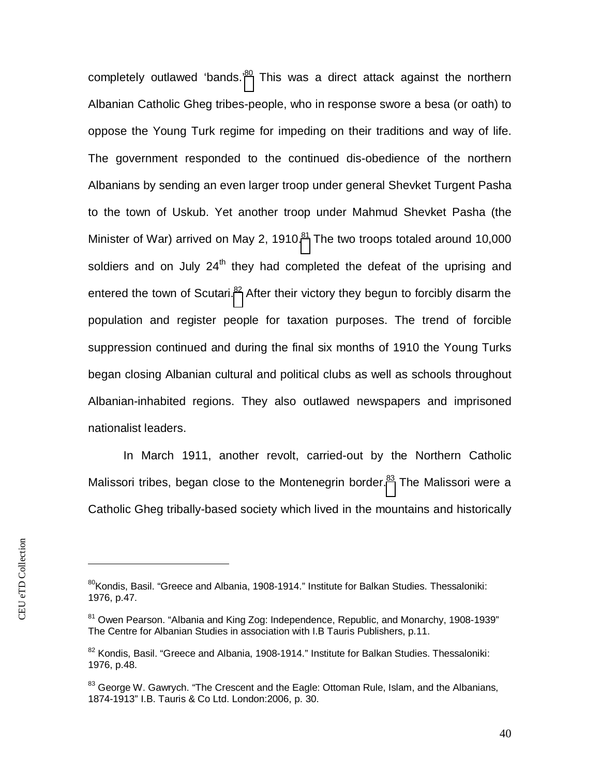completely outlawed 'bands.<sup>[80](#page-40-0)</sup> This was a direct attack against the northern Albanian Catholic Gheg tribes-people, who in response swore a besa (or oath) to oppose the Young Turk regime for impeding on their traditions and way of life. The government responded to the continued dis-obedience of the northern Albanians by sending an even larger troop under general Shevket Turgent Pasha to the town of Uskub. Yet another troop under Mahmud Shevket Pasha (the Minister of War) arrived on May 2, 1910. $81$  The two troops totaled around 10,000 soldiers and on July  $24<sup>th</sup>$  they had completed the defeat of the uprising and entered the town of Scutari.<sup>[82](#page-40-2)</sup> After their victory they begun to forcibly disarm the population and register people for taxation purposes. The trend of forcible suppression continued and during the final six months of 1910 the Young Turks began closing Albanian cultural and political clubs as well as schools throughout Albanian-inhabited regions. They also outlawed newspapers and imprisoned nationalist leaders.

In March 1911, another revolt, carried-out by the Northern Catholic Malissori tribes, began close to the Montenegrin border.<sup>[83](#page-40-3)</sup> The Malissori were a Catholic Gheg tribally-based society which lived in the mountains and historically

<span id="page-40-0"></span><sup>&</sup>lt;sup>80</sup>Kondis, Basil. "Greece and Albania, 1908-1914." Institute for Balkan Studies. Thessaloniki: 1976, p.47.

<span id="page-40-1"></span><sup>&</sup>lt;sup>81</sup> Owen Pearson. "Albania and King Zog: Independence, Republic, and Monarchy, 1908-1939" The Centre for Albanian Studies in association with I.B Tauris Publishers, p.11.

<span id="page-40-2"></span> $82$  Kondis, Basil. "Greece and Albania, 1908-1914." Institute for Balkan Studies. Thessaloniki: 1976, p.48.

<span id="page-40-3"></span> $83$  George W. Gawrych. "The Crescent and the Eagle: Ottoman Rule, Islam, and the Albanians, 1874-1913" I.B. Tauris & Co Ltd. London:2006, p. 30.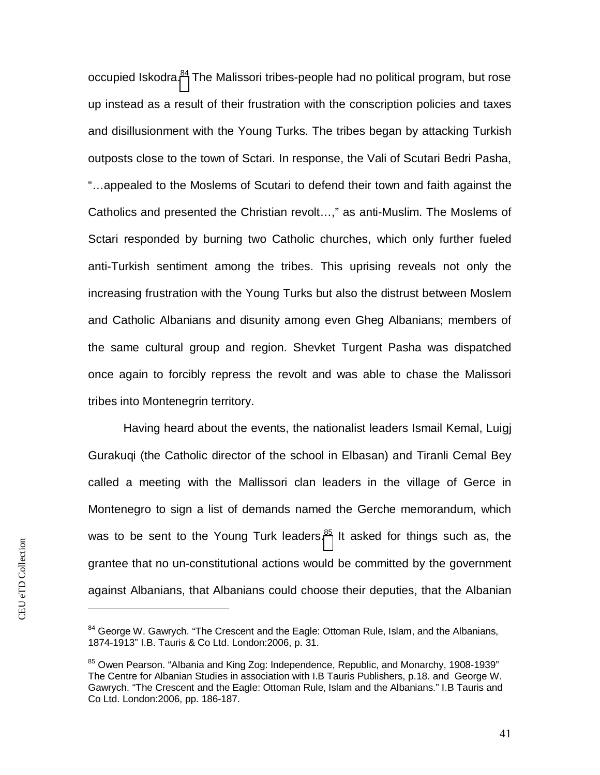occupied Iskodra.<sup>[84](#page-41-0)</sup> The Malissori tribes-people had no political program, but rose up instead as a result of their frustration with the conscription policies and taxes and disillusionment with the Young Turks. The tribes began by attacking Turkish outposts close to the town of Sctari. In response, the Vali of Scutari Bedri Pasha, "…appealed to the Moslems of Scutari to defend their town and faith against the Catholics and presented the Christian revolt…," as anti-Muslim. The Moslems of Sctari responded by burning two Catholic churches, which only further fueled anti-Turkish sentiment among the tribes. This uprising reveals not only the increasing frustration with the Young Turks but also the distrust between Moslem and Catholic Albanians and disunity among even Gheg Albanians; members of the same cultural group and region. Shevket Turgent Pasha was dispatched once again to forcibly repress the revolt and was able to chase the Malissori tribes into Montenegrin territory.

Having heard about the events, the nationalist leaders Ismail Kemal, Luigj Gurakuqi (the Catholic director of the school in Elbasan) and Tiranli Cemal Bey called a meeting with the Mallissori clan leaders in the village of Gerce in Montenegro to sign a list of demands named the Gerche memorandum, which wasto be sent to the Young Turk leaders. $85$  It asked for things such as, the grantee that no un-constitutional actions would be committed by the government against Albanians, that Albanians could choose their deputies, that the Albanian

<span id="page-41-0"></span><sup>&</sup>lt;sup>84</sup> George W. Gawrych. "The Crescent and the Eagle: Ottoman Rule, Islam, and the Albanians, 1874-1913" I.B. Tauris & Co Ltd. London:2006, p. 31.

<span id="page-41-1"></span><sup>&</sup>lt;sup>85</sup> Owen Pearson. "Albania and King Zog: Independence, Republic, and Monarchy, 1908-1939" The Centre for Albanian Studies in association with I.B Tauris Publishers, p.18. and George W. Gawrych. "The Crescent and the Eagle: Ottoman Rule, Islam and the Albanians." I.B Tauris and Co Ltd. London:2006, pp. 186-187.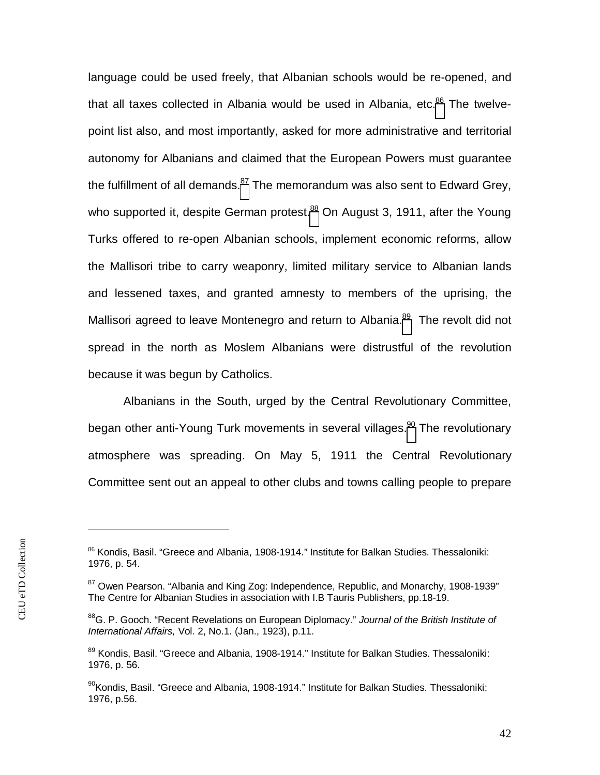language could be used freely, that Albanian schools would be re-opened, and thatall taxes collected in Albania would be used in Albania, etc. $86$  The twelvepoint list also, and most importantly, asked for more administrative and territorial autonomy for Albanians and claimed that the European Powers must guarantee the fulfillment of all demands. $87$  The memorandum was also sent to Edward Grey, who supported it, despite German protest.<sup>[88](#page-42-2)</sup> On August 3, 1911, after the Young Turks offered to re-open Albanian schools, implement economic reforms, allow the Mallisori tribe to carry weaponry, limited military service to Albanian lands and lessened taxes, and granted amnesty to members of the uprising, the Mallisoriagreed to leave Montenegro and return to Albania.<sup>89</sup> The revolt did not spread in the north as Moslem Albanians were distrustful of the revolution because it was begun by Catholics.

Albanians in the South, urged by the Central Revolutionary Committee, began other anti-Young Turk movements in several villages.<sup>[90](#page-42-4)</sup> The revolutionary atmosphere was spreading. On May 5, 1911 the Central Revolutionary Committee sent out an appeal to other clubs and towns calling people to prepare

<span id="page-42-0"></span><sup>86</sup> Kondis, Basil. "Greece and Albania, 1908-1914." Institute for Balkan Studies. Thessaloniki: 1976, p. 54.

<span id="page-42-1"></span> $87$  Owen Pearson. "Albania and King Zog: Independence, Republic, and Monarchy, 1908-1939" The Centre for Albanian Studies in association with I.B Tauris Publishers, pp.18-19.

<span id="page-42-2"></span><sup>88</sup>G. P. Gooch. "Recent Revelations on European Diplomacy." *Journal of the British Institute of International Affairs,* Vol. 2, No.1. (Jan., 1923), p.11.

<span id="page-42-3"></span><sup>89</sup> Kondis. Basil. "Greece and Albania, 1908-1914." Institute for Balkan Studies. Thessaloniki: 1976, p. 56.

<span id="page-42-4"></span><sup>&</sup>lt;sup>90</sup>Kondis. Basil. "Greece and Albania, 1908-1914." Institute for Balkan Studies. Thessaloniki: 1976, p.56.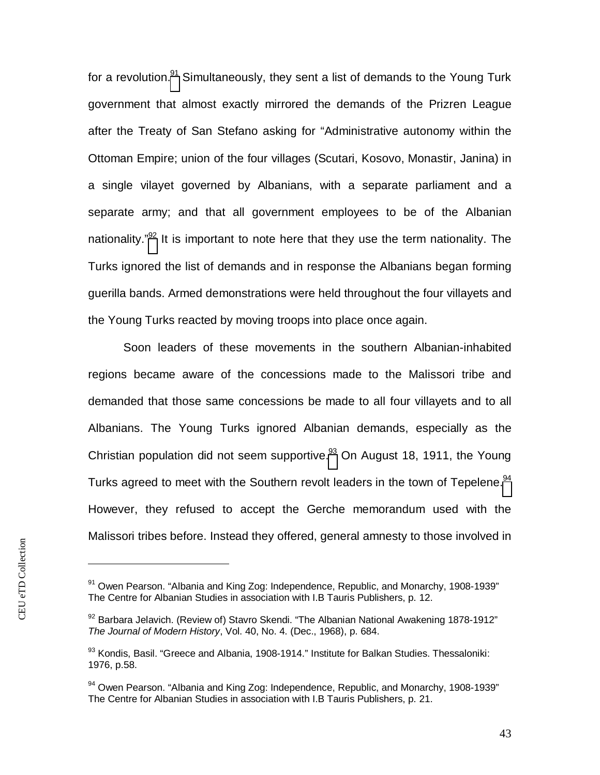for a revolution.<sup>[91](#page-43-0)</sup> Simultaneously, they sent a list of demands to the Young Turk government that almost exactly mirrored the demands of the Prizren League after the Treaty of San Stefano asking for "Administrative autonomy within the Ottoman Empire; union of the four villages (Scutari, Kosovo, Monastir, Janina) in a single vilayet governed by Albanians, with a separate parliament and a separate army; and that all government employees to be of the Albanian nationality."<sup>[92](#page-43-1)</sup> It is important to note here that they use the term nationality. The Turks ignored the list of demands and in response the Albanians began forming guerilla bands. Armed demonstrations were held throughout the four villayets and the Young Turks reacted by moving troops into place once again.

Soon leaders of these movements in the southern Albanian-inhabited regions became aware of the concessions made to the Malissori tribe and demanded that those same concessions be made to all four villayets and to all Albanians. The Young Turks ignored Albanian demands, especially as the Christian population did not seem supportive[.](#page-43-2) $93$  On August 18, 1911, the Young Turks agreed to meet with the Southern revolt leaders in the town of Tepelene.<sup>[94](#page-43-3)</sup> However, they refused to accept the Gerche memorandum used with the Malissori tribes before. Instead they offered, general amnesty to those involved in

<span id="page-43-0"></span> $91$  Owen Pearson. "Albania and King Zog: Independence, Republic, and Monarchy, 1908-1939" The Centre for Albanian Studies in association with I.B Tauris Publishers, p. 12.

<span id="page-43-1"></span> $92$  Barbara Jelavich. (Review of) Stavro Skendi. "The Albanian National Awakening 1878-1912" *The Journal of Modern History*, Vol. 40, No. 4. (Dec., 1968), p. 684.

<span id="page-43-2"></span> $93$  Kondis, Basil. "Greece and Albania, 1908-1914." Institute for Balkan Studies. Thessaloniki: 1976, p.58.

<span id="page-43-3"></span> $94$  Owen Pearson. "Albania and King Zog: Independence, Republic, and Monarchy, 1908-1939" The Centre for Albanian Studies in association with I.B Tauris Publishers, p. 21.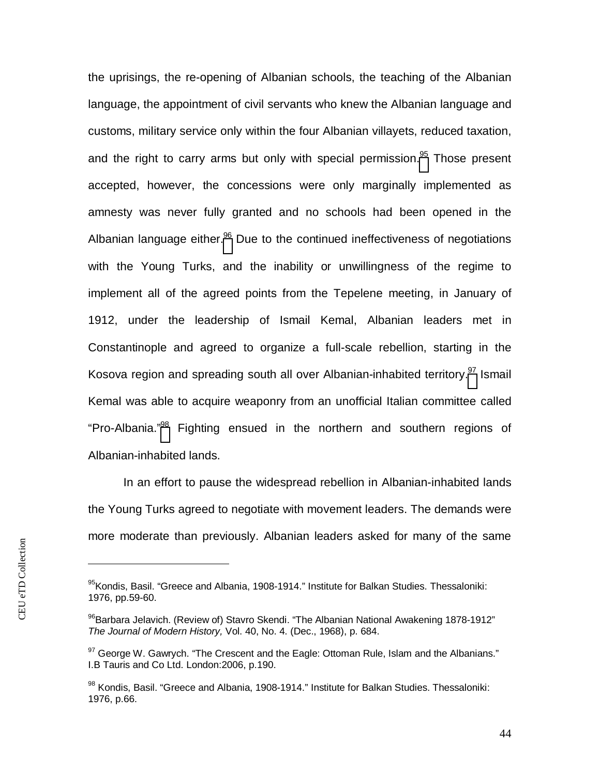the uprisings, the re-opening of Albanian schools, the teaching of the Albanian language, the appointment of civil servants who knew the Albanian language and customs, military service only within the four Albanian villayets, reduced taxation, and the right to carry arms but only with special permission.<sup>[95](#page-44-0)</sup> Those present accepted, however, the concessions were only marginally implemented as amnesty was never fully granted and no schools had been opened in the Albanian language either.<sup>[96](#page-44-1)</sup> Due to the continued ineffectiveness of negotiations with the Young Turks, and the inability or unwillingness of the regime to implement all of the agreed points from the Tepelene meeting, in January of 1912, under the leadership of Ismail Kemal, Albanian leaders met in Constantinople and agreed to organize a full-scale rebellion, starting in the Kosovaregion and spreading south all over Albanian-inhabited territory.<sup>97</sup> Ismail Kemal was able to acquire weaponry from an unofficial Italian committee called "Pro-Albania."[98](#page-44-3) Fighting ensued in the northern and southern regions of Albanian-inhabited lands.

In an effort to pause the widespread rebellion in Albanian-inhabited lands the Young Turks agreed to negotiate with movement leaders. The demands were more moderate than previously. Albanian leaders asked for many of the same

<span id="page-44-0"></span><sup>95</sup> Kondis, Basil. "Greece and Albania, 1908-1914." Institute for Balkan Studies. Thessaloniki: 1976, pp.59-60.

<span id="page-44-1"></span><sup>&</sup>lt;sup>96</sup>Barbara Jelavich. (Review of) Stavro Skendi. "The Albanian National Awakening 1878-1912" *The Journal of Modern History,* Vol. 40, No. 4. (Dec., 1968), p. 684.

<span id="page-44-2"></span> $97$  George W. Gawrych. "The Crescent and the Eagle: Ottoman Rule, Islam and the Albanians." I.B Tauris and Co Ltd. London:2006, p.190.

<span id="page-44-3"></span><sup>98</sup> Kondis. Basil. "Greece and Albania, 1908-1914." Institute for Balkan Studies. Thessaloniki: 1976, p.66.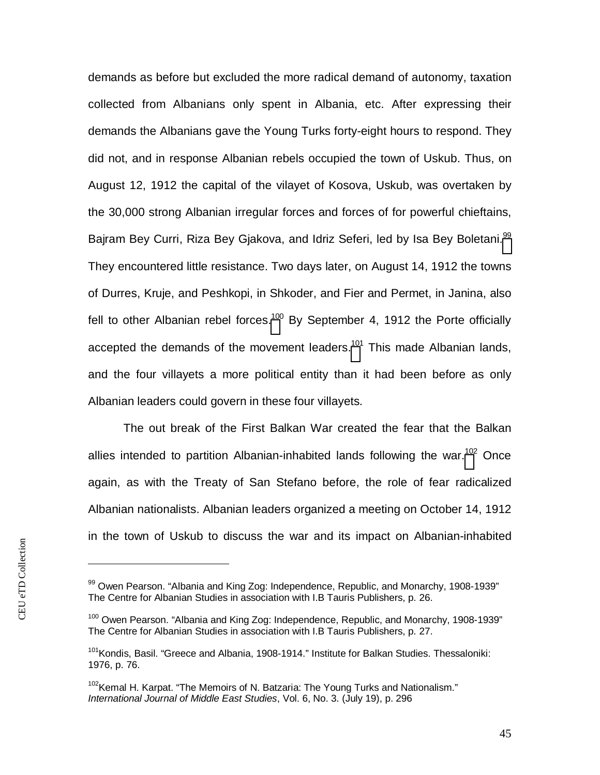demands as before but excluded the more radical demand of autonomy, taxation collected from Albanians only spent in Albania, etc. After expressing their demands the Albanians gave the Young Turks forty-eight hours to respond. They did not, and in response Albanian rebels occupied the town of Uskub. Thus, on August 12, 1912 the capital of the vilayet of Kosova, Uskub, was overtaken by the 30,000 strong Albanian irregular forces and forces of for powerful chieftains, Bajram Bey Curri, Riza Bey Gjakova, and Idriz Seferi, led by Isa Bey Boletani.<sup>[99](#page-45-0)</sup> They encountered little resistance. Two days later, on August 14, 1912 the towns of Durres, Kruje, and Peshkopi, in Shkoder, and Fier and Permet, in Janina, also fell to other Albanian rebel forces.<sup>[100](#page-45-1)</sup> By September 4, 1912 the Porte officially accepted the demands of the movement leaders.<sup>[101](#page-45-2)</sup> This made Albanian lands, and the four villayets a more political entity than it had been before as only Albanian leaders could govern in these four villayets.

The out break of the First Balkan War created the fear that the Balkan allies intended to partition Albanian-inhabited lands following the war.<sup>[102](#page-45-3)</sup> Once again, as with the Treaty of San Stefano before, the role of fear radicalized Albanian nationalists. Albanian leaders organized a meeting on October 14, 1912 in the town of Uskub to discuss the war and its impact on Albanian-inhabited

<span id="page-45-0"></span> $99$  Owen Pearson. "Albania and King Zog: Independence, Republic, and Monarchy, 1908-1939" The Centre for Albanian Studies in association with I.B Tauris Publishers, p. 26.

<span id="page-45-1"></span><sup>&</sup>lt;sup>100</sup> Owen Pearson. "Albania and King Zog: Independence, Republic, and Monarchy, 1908-1939" The Centre for Albanian Studies in association with I.B Tauris Publishers, p. 27.

<span id="page-45-2"></span><sup>&</sup>lt;sup>101</sup> Kondis. Basil. "Greece and Albania, 1908-1914." Institute for Balkan Studies. Thessaloniki: 1976, p. 76.

<span id="page-45-3"></span> $102$ Kemal H. Karpat. "The Memoirs of N. Batzaria: The Young Turks and Nationalism." *International Journal of Middle East Studies*, Vol. 6, No. 3. (July 19), p. 296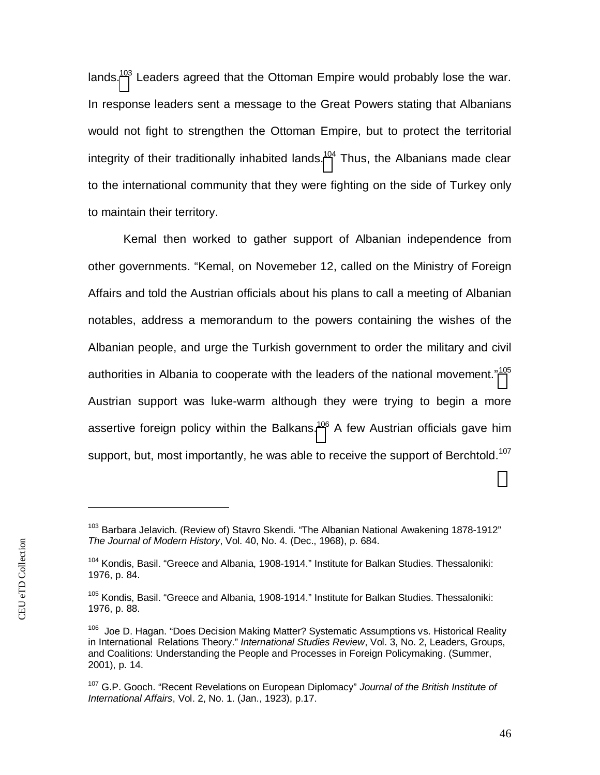lands.<sup>[103](#page-46-0)</sup> Leaders agreed that the Ottoman Empire would probably lose the war. In response leaders sent a message to the Great Powers stating that Albanians would not fight to strengthen the Ottoman Empire, but to protect the territorial integrity of their traditionally inhabited lands.<sup>[104](#page-46-1)</sup> Thus, the Albanians made clear to the international community that they were fighting on the side of Turkey only to maintain their territory.

Kemal then worked to gather support of Albanian independence from other governments. "Kemal, on Novemeber 12, called on the Ministry of Foreign Affairs and told the Austrian officials about his plans to call a meeting of Albanian notables, address a memorandum to the powers containing the wishes of the Albanian people, and urge the Turkish government to order the military and civil authorities in Albania to cooperate with the leaders of the national movement."<sup>[105](#page-46-2)</sup> Austrian support was luke-warm although they were trying to begin a more assertive foreign policy within the Balkans.<sup>[106](#page-46-3)</sup> A few Austrian officials gave him support, but, most importantly, he was able to receive the support of Berchtold.<sup>107</sup>

<span id="page-46-0"></span><sup>&</sup>lt;sup>103</sup> Barbara Jelavich. (Review of) Stavro Skendi. "The Albanian National Awakening 1878-1912" *The Journal of Modern History*, Vol. 40, No. 4. (Dec., 1968), p. 684.

<span id="page-46-1"></span><sup>&</sup>lt;sup>104</sup> Kondis, Basil. "Greece and Albania, 1908-1914." Institute for Balkan Studies. Thessaloniki: 1976, p. 84.

<span id="page-46-2"></span><sup>&</sup>lt;sup>105</sup> Kondis, Basil. "Greece and Albania, 1908-1914." Institute for Balkan Studies. Thessaloniki: 1976, p. 88.

<span id="page-46-3"></span><sup>&</sup>lt;sup>106</sup> Joe D. Hagan. "Does Decision Making Matter? Systematic Assumptions vs. Historical Reality in International Relations Theory." *International Studies Review*, Vol. 3, No. 2, Leaders, Groups, and Coalitions: Understanding the People and Processes in Foreign Policymaking. (Summer, 2001), p. 14.

<sup>107</sup> G.P. Gooch. "Recent Revelations on European Diplomacy" *Journal of the British Institute of International Affairs*, Vol. 2, No. 1. (Jan., 1923), p.17.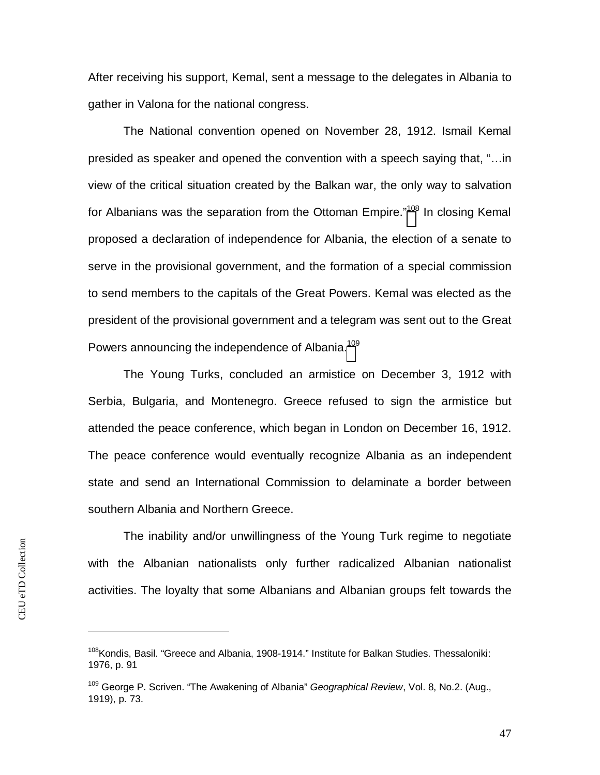After receiving his support, Kemal, sent a message to the delegates in Albania to gather in Valona for the national congress.

The National convention opened on November 28, 1912. Ismail Kemal presided as speaker and opened the convention with a speech saying that, "…in view of the critical situation created by the Balkan war, the only way to salvation for Albanians was the separation from the Ottoman Empire."<sup>[108](#page-47-0)</sup> In closing Kemal proposed a declaration of independence for Albania, the election of a senate to serve in the provisional government, and the formation of a special commission to send members to the capitals of the Great Powers. Kemal was elected as the president of the provisional government and a telegram was sent out to the Great Powers announcing the independence of Albania.<sup>[109](#page-47-1)</sup>

The Young Turks, concluded an armistice on December 3, 1912 with Serbia, Bulgaria, and Montenegro. Greece refused to sign the armistice but attended the peace conference, which began in London on December 16, 1912. The peace conference would eventually recognize Albania as an independent state and send an International Commission to delaminate a border between southern Albania and Northern Greece.

The inability and/or unwillingness of the Young Turk regime to negotiate with the Albanian nationalists only further radicalized Albanian nationalist activities. The loyalty that some Albanians and Albanian groups felt towards the

<span id="page-47-0"></span><sup>&</sup>lt;sup>108</sup> Kondis. Basil. "Greece and Albania, 1908-1914." Institute for Balkan Studies. Thessaloniki: 1976, p. 91

<span id="page-47-1"></span><sup>109</sup> George P. Scriven. "The Awakening of Albania" *Geographical Review*, Vol. 8, No.2. (Aug., 1919), p. 73.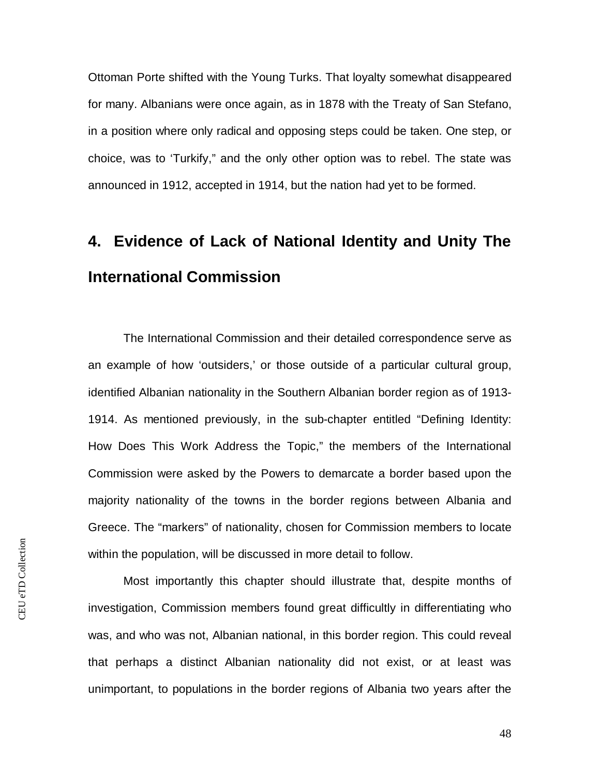Ottoman Porte shifted with the Young Turks. That loyalty somewhat disappeared for many. Albanians were once again, as in 1878 with the Treaty of San Stefano, in a position where only radical and opposing steps could be taken. One step, or choice, was to 'Turkify," and the only other option was to rebel. The state was announced in 1912, accepted in 1914, but the nation had yet to be formed.

## **4. Evidence of Lack of National Identity and Unity The International Commission**

The International Commission and their detailed correspondence serve as an example of how 'outsiders,' or those outside of a particular cultural group, identified Albanian nationality in the Southern Albanian border region as of 1913- 1914. As mentioned previously, in the sub-chapter entitled "Defining Identity: How Does This Work Address the Topic," the members of the International Commission were asked by the Powers to demarcate a border based upon the majority nationality of the towns in the border regions between Albania and Greece. The "markers" of nationality, chosen for Commission members to locate within the population, will be discussed in more detail to follow.

Most importantly this chapter should illustrate that, despite months of investigation, Commission members found great difficultly in differentiating who was, and who was not, Albanian national, in this border region. This could reveal that perhaps a distinct Albanian nationality did not exist, or at least was unimportant, to populations in the border regions of Albania two years after the

48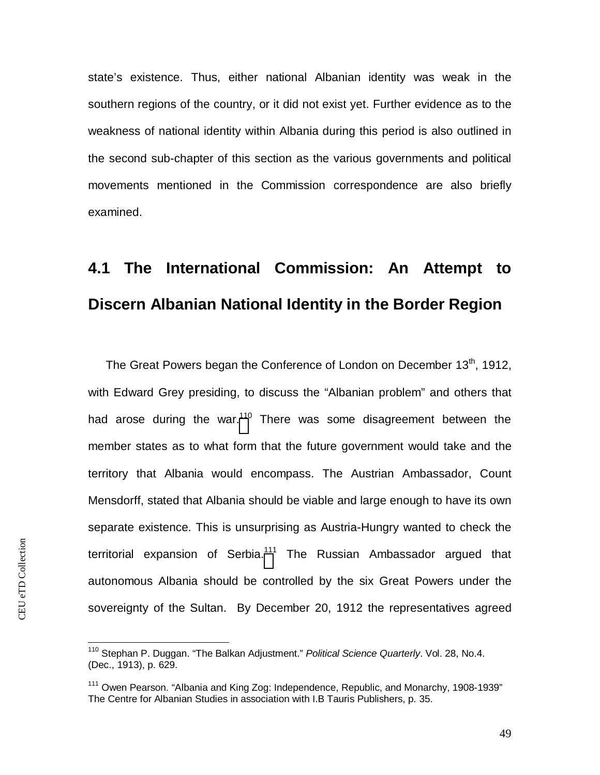state's existence. Thus, either national Albanian identity was weak in the southern regions of the country, or it did not exist yet. Further evidence as to the weakness of national identity within Albania during this period is also outlined in the second sub-chapter of this section as the various governments and political movements mentioned in the Commission correspondence are also briefly examined.

#### **4.1 The International Commission: An Attempt to Discern Albanian National Identity in the Border Region**

The Great Powers began the Conference of London on December  $13<sup>th</sup>$ . 1912. with Edward Grey presiding, to discuss the "Albanian problem" and others that had arose during the war.<sup>[110](#page-49-0)</sup> There was some disagreement between the member states as to what form that the future government would take and the territory that Albania would encompass. The Austrian Ambassador, Count Mensdorff, stated that Albania should be viable and large enough to have its own separate existence. This is unsurprising as Austria-Hungry wanted to check the territorial expansion of Serbia.<sup>[111](#page-49-1)</sup> The Russian Ambassador argued that autonomous Albania should be controlled by the six Great Powers under the sovereignty of the Sultan. By December 20, 1912 the representatives agreed

<span id="page-49-0"></span><sup>110</sup> Stephan P. Duggan. "The Balkan Adjustment." *Political Science Quarterly*. Vol. 28, No.4. (Dec., 1913), p. 629.

<span id="page-49-1"></span><sup>&</sup>lt;sup>111</sup> Owen Pearson. "Albania and King Zog: Independence, Republic, and Monarchy, 1908-1939" The Centre for Albanian Studies in association with I.B Tauris Publishers, p. 35.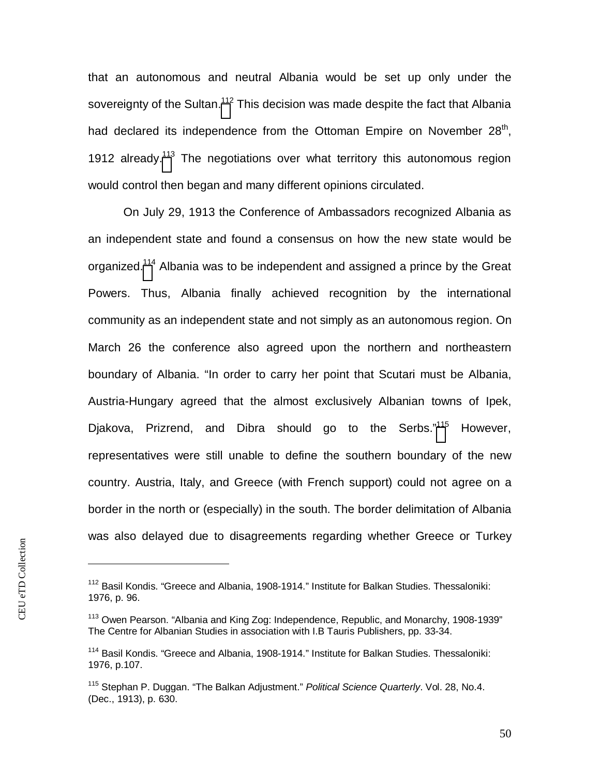that an autonomous and neutral Albania would be set up only under the sovereignty of the Sultan.<sup>[112](#page-50-0)</sup> This decision was made despite the fact that Albania had declared its independence from the Ottoman Empire on November 28<sup>th</sup>, 1912 already.<sup>[113](#page-50-1)</sup> The negotiations over what territory this autonomous region would control then began and many different opinions circulated.

On July 29, 1913 the Conference of Ambassadors recognized Albania as an independent state and found a consensus on how the new state would be organized.<sup>[114](#page-50-2)</sup> Albania was to be independent and assigned a prince by the Great Powers. Thus, Albania finally achieved recognition by the international community as an independent state and not simply as an autonomous region. On March 26 the conference also agreed upon the northern and northeastern boundary of Albania. "In order to carry her point that Scutari must be Albania, Austria-Hungary agreed that the almost exclusively Albanian towns of Ipek, Djakova, Prizrend, and Dibra should go to the Serbs."[11](#page-50-3)5 However, representatives were still unable to define the southern boundary of the new country. Austria, Italy, and Greece (with French support) could not agree on a border in the north or (especially) in the south. The border delimitation of Albania was also delayed due to disagreements regarding whether Greece or Turkey

<span id="page-50-0"></span><sup>&</sup>lt;sup>112</sup> Basil Kondis. "Greece and Albania, 1908-1914." Institute for Balkan Studies. Thessaloniki: 1976, p. 96.

<span id="page-50-1"></span><sup>&</sup>lt;sup>113</sup> Owen Pearson. "Albania and King Zog: Independence, Republic, and Monarchy, 1908-1939" The Centre for Albanian Studies in association with I.B Tauris Publishers, pp. 33-34.

<span id="page-50-2"></span><sup>114</sup> Basil Kondis. "Greece and Albania, 1908-1914." Institute for Balkan Studies. Thessaloniki: 1976, p.107.

<span id="page-50-3"></span><sup>115</sup> Stephan P. Duggan. "The Balkan Adjustment." *Political Science Quarterly*. Vol. 28, No.4. (Dec., 1913), p. 630.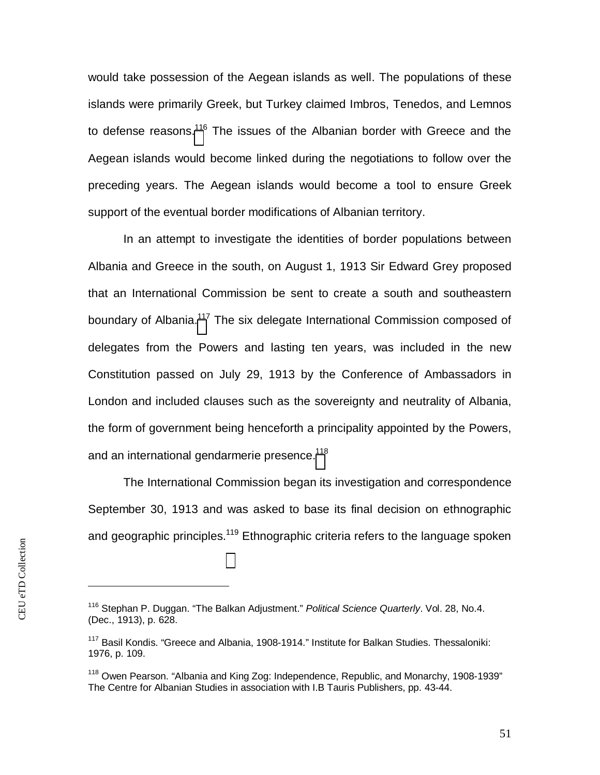would take possession of the Aegean islands as well. The populations of these islands were primarily Greek, but Turkey claimed Imbros, Tenedos, and Lemnos to defense reasons.<sup>[116](#page-51-0)</sup> The issues of the Albanian border with Greece and the Aegean islands would become linked during the negotiations to follow over the preceding years. The Aegean islands would become a tool to ensure Greek support of the eventual border modifications of Albanian territory.

In an attempt to investigate the identities of border populations between Albania and Greece in the south, on August 1, 1913 Sir Edward Grey proposed that an International Commission be sent to create a south and southeastern boundary of Albania.<sup>[117](#page-51-1)</sup> The six delegate International Commission composed of delegates from the Powers and lasting ten years, was included in the new Constitution passed on July 29, 1913 by the Conference of Ambassadors in London and included clauses such as the sovereignty and neutrality of Albania, the form of government being henceforth a principality appointed by the Powers, and an international gendarmerie presence.<sup>[118](#page-51-2)</sup>

The International Commission began its investigation and correspondence September 30, 1913 and was asked to base its final decision on ethnographic and geographic principles.<sup>119</sup> Ethnographic criteria refers to the language spoken

<span id="page-51-0"></span><sup>116</sup> Stephan P. Duggan. "The Balkan Adjustment." *Political Science Quarterly*. Vol. 28, No.4. (Dec., 1913), p. 628.

<span id="page-51-1"></span> $117$  Basil Kondis. "Greece and Albania, 1908-1914." Institute for Balkan Studies. Thessaloniki: 1976, p. 109.

<span id="page-51-2"></span><sup>&</sup>lt;sup>118</sup> Owen Pearson. "Albania and King Zog: Independence, Republic, and Monarchy, 1908-1939" The Centre for Albanian Studies in association with I.B Tauris Publishers, pp. 43-44.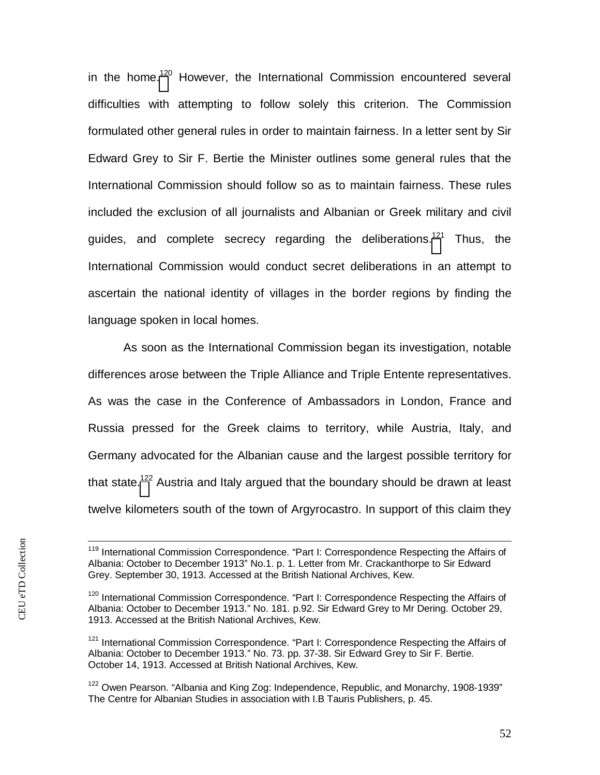in the home.<sup>[120](#page-52-0)</sup> However, the International Commission encountered several difficulties with attempting to follow solely this criterion. The Commission formulated other general rules in order to maintain fairness. In a letter sent by Sir Edward Grey to Sir F. Bertie the Minister outlines some general rules that the International Commission should follow so as to maintain fairness. These rules included the exclusion of all journalists and Albanian or Greek military and civil guides, and complete secrecy regarding the deliberations.<sup>[121](#page-52-1)</sup> Thus, the International Commission would conduct secret deliberations in an attempt to ascertain the national identity of villages in the border regions by finding the language spoken in local homes.

As soon as the International Commission began its investigation, notable differences arose between the Triple Alliance and Triple Entente representatives. As was the case in the Conference of Ambassadors in London, France and Russia pressed for the Greek claims to territory, while Austria, Italy, and Germany advocated for the Albanian cause and the largest possible territory for that state.<sup>[122](#page-52-2)</sup> Austria and Italy argued that the boundary should be drawn at least twelve kilometers south of the town of Argyrocastro. In support of this claim they

<sup>&</sup>lt;sup>119</sup> International Commission Correspondence. "Part I: Correspondence Respecting the Affairs of Albania: October to December 1913" No.1. p. 1. Letter from Mr. Crackanthorpe to Sir Edward Grey. September 30, 1913. Accessed at the British National Archives, Kew.

<span id="page-52-0"></span><sup>&</sup>lt;sup>120</sup> International Commission Correspondence. "Part I: Correspondence Respecting the Affairs of Albania: October to December 1913." No. 181. p.92. Sir Edward Grey to Mr Dering. October 29, 1913. Accessed at the British National Archives, Kew.

<span id="page-52-1"></span><sup>&</sup>lt;sup>121</sup> International Commission Correspondence. "Part I: Correspondence Respecting the Affairs of Albania: October to December 1913." No. 73. pp. 37-38. Sir Edward Grey to Sir F. Bertie. October 14, 1913. Accessed at British National Archives, Kew.

<span id="page-52-2"></span><sup>&</sup>lt;sup>122</sup> Owen Pearson. "Albania and King Zog: Independence, Republic, and Monarchy, 1908-1939" The Centre for Albanian Studies in association with I.B Tauris Publishers, p. 45.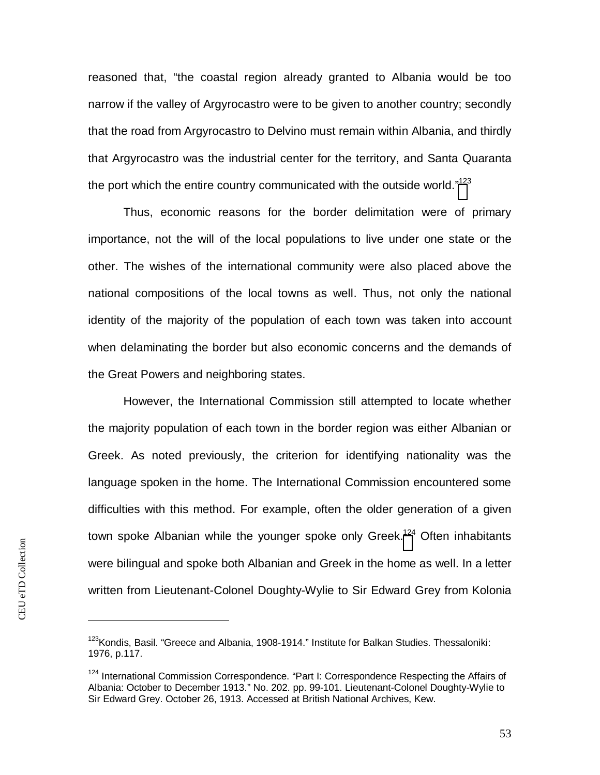reasoned that, "the coastal region already granted to Albania would be too narrow if the valley of Argyrocastro were to be given to another country; secondly that the road from Argyrocastro to Delvino must remain within Albania, and thirdly that Argyrocastro was the industrial center for the territory, and Santa Quaranta the port which the entire country communicated with the outside world."<sup>[123](#page-53-0)</sup>

Thus, economic reasons for the border delimitation were of primary importance, not the will of the local populations to live under one state or the other. The wishes of the international community were also placed above the national compositions of the local towns as well. Thus, not only the national identity of the majority of the population of each town was taken into account when delaminating the border but also economic concerns and the demands of the Great Powers and neighboring states.

However, the International Commission still attempted to locate whether the majority population of each town in the border region was either Albanian or Greek. As noted previously, the criterion for identifying nationality was the language spoken in the home. The International Commission encountered some difficulties with this method. For example, often the older generation of a given town spoke Albanian while the younger spoke only Greek.<sup>[124](#page-53-1)</sup> Often inhabitants were bilingual and spoke both Albanian and Greek in the home as well. In a letter written from Lieutenant-Colonel Doughty-Wylie to Sir Edward Grey from Kolonia

<span id="page-53-0"></span><sup>&</sup>lt;sup>123</sup>Kondis, Basil. "Greece and Albania, 1908-1914." Institute for Balkan Studies. Thessaloniki: 1976, p.117.

<span id="page-53-1"></span><sup>&</sup>lt;sup>124</sup> International Commission Correspondence. "Part I: Correspondence Respecting the Affairs of Albania: October to December 1913." No. 202. pp. 99-101. Lieutenant-Colonel Doughty-Wylie to Sir Edward Grey. October 26, 1913. Accessed at British National Archives, Kew.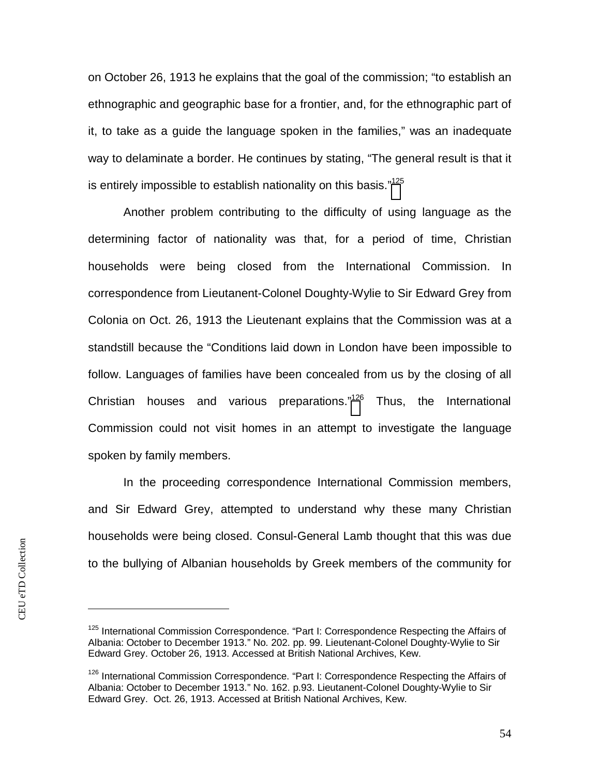on October 26, 1913 he explains that the goal of the commission; "to establish an ethnographic and geographic base for a frontier, and, for the ethnographic part of it, to take as a guide the language spoken in the families," was an inadequate way to delaminate a border. He continues by stating, "The general result is that it is entirely impossible to establish nationality on this basis."<sup>[125](#page-54-0)</sup>

Another problem contributing to the difficulty of using language as the determining factor of nationality was that, for a period of time, Christian households were being closed from the International Commission. In correspondence from Lieutanent-Colonel Doughty-Wylie to Sir Edward Grey from Colonia on Oct. 26, 1913 the Lieutenant explains that the Commission was at a standstill because the "Conditions laid down in London have been impossible to follow. Languages of families have been concealed from us by the closing of all Christian houses and various preparations.["](#page-54-1)<sup>126</sup> Thus, the International Commission could not visit homes in an attempt to investigate the language spoken by family members.

In the proceeding correspondence International Commission members, and Sir Edward Grey, attempted to understand why these many Christian households were being closed. Consul-General Lamb thought that this was due to the bullying of Albanian households by Greek members of the community for

<span id="page-54-0"></span><sup>&</sup>lt;sup>125</sup> International Commission Correspondence. "Part I: Correspondence Respecting the Affairs of Albania: October to December 1913." No. 202. pp. 99. Lieutenant-Colonel Doughty-Wylie to Sir Edward Grey. October 26, 1913. Accessed at British National Archives, Kew.

<span id="page-54-1"></span><sup>&</sup>lt;sup>126</sup> International Commission Correspondence. "Part I: Correspondence Respecting the Affairs of Albania: October to December 1913." No. 162. p.93. Lieutanent-Colonel Doughty-Wylie to Sir Edward Grey. Oct. 26, 1913. Accessed at British National Archives, Kew.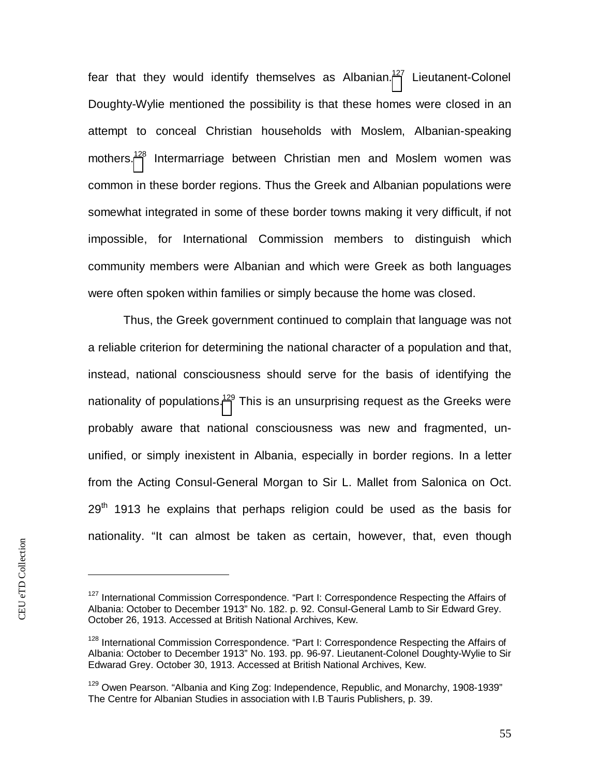fear that they would identify themselves as Albanian.<sup>[127](#page-55-0)</sup> Lieutanent-Colonel Doughty-Wylie mentioned the possibility is that these homes were closed in an attempt to conceal Christian households with Moslem, Albanian-speaking mothers.[128](#page-55-1) Intermarriage between Christian men and Moslem women was common in these border regions. Thus the Greek and Albanian populations were somewhat integrated in some of these border towns making it very difficult, if not impossible, for International Commission members to distinguish which community members were Albanian and which were Greek as both languages were often spoken within families or simply because the home was closed.

Thus, the Greek government continued to complain that language was not a reliable criterion for determining the national character of a population and that, instead, national consciousness should serve for the basis of identifying the nationality of populations[.](#page-55-2)<sup>129</sup> This is an unsurprising request as the Greeks were probably aware that national consciousness was new and fragmented, ununified, or simply inexistent in Albania, especially in border regions. In a letter from the Acting Consul-General Morgan to Sir L. Mallet from Salonica on Oct.  $29<sup>th</sup>$  1913 he explains that perhaps religion could be used as the basis for nationality. "It can almost be taken as certain, however, that, even though

<span id="page-55-0"></span> $127$  International Commission Correspondence. "Part I: Correspondence Respecting the Affairs of Albania: October to December 1913" No. 182. p. 92. Consul-General Lamb to Sir Edward Grey. October 26, 1913. Accessed at British National Archives, Kew.

<span id="page-55-1"></span><sup>&</sup>lt;sup>128</sup> International Commission Correspondence. "Part I: Correspondence Respecting the Affairs of Albania: October to December 1913" No. 193. pp. 96-97. Lieutanent-Colonel Doughty-Wylie to Sir Edwarad Grey. October 30, 1913. Accessed at British National Archives, Kew.

<span id="page-55-2"></span> $129$  Owen Pearson. "Albania and King Zog: Independence, Republic, and Monarchy, 1908-1939" The Centre for Albanian Studies in association with I.B Tauris Publishers, p. 39.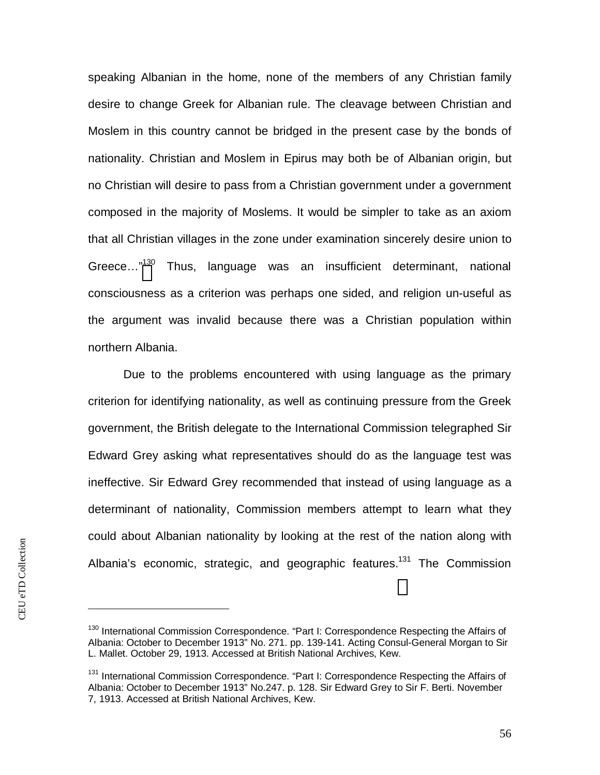speaking Albanian in the home, none of the members of any Christian family desire to change Greek for Albanian rule. The cleavage between Christian and Moslem in this country cannot be bridged in the present case by the bonds of nationality. Christian and Moslem in Epirus may both be of Albanian origin, but no Christian will desire to pass from a Christian government under a government composed in the majority of Moslems. It would be simpler to take as an axiom that all Christian villages in the zone under examination sincerely desire union to Greece..."<sup>[13](#page-56-0)0</sup> Thus, language was an insufficient determinant, national consciousness as a criterion was perhaps one sided, and religion un-useful as the argument was invalid because there was a Christian population within northern Albania.

Due to the problems encountered with using language as the primary criterion for identifying nationality, as well as continuing pressure from the Greek government, the British delegate to the International Commission telegraphed Sir Edward Grey asking what representatives should do as the language test was ineffective. Sir Edward Grey recommended that instead of using language as a determinant of nationality, Commission members attempt to learn what they could about Albanian nationality by looking at the rest of the nation along with Albania's economic, strategic, and geographic features.<sup>131</sup> The Commission

<span id="page-56-0"></span><sup>&</sup>lt;sup>130</sup> International Commission Correspondence. "Part I: Correspondence Respecting the Affairs of Albania: October to December 1913" No. 271. pp. 139-141. Acting Consul-General Morgan to Sir L. Mallet. October 29, 1913. Accessed at British National Archives, Kew.

<sup>&</sup>lt;sup>131</sup> International Commission Correspondence. "Part I: Correspondence Respecting the Affairs of Albania: October to December 1913" No.247. p. 128. Sir Edward Grey to Sir F. Berti. November 7, 1913. Accessed at British National Archives, Kew.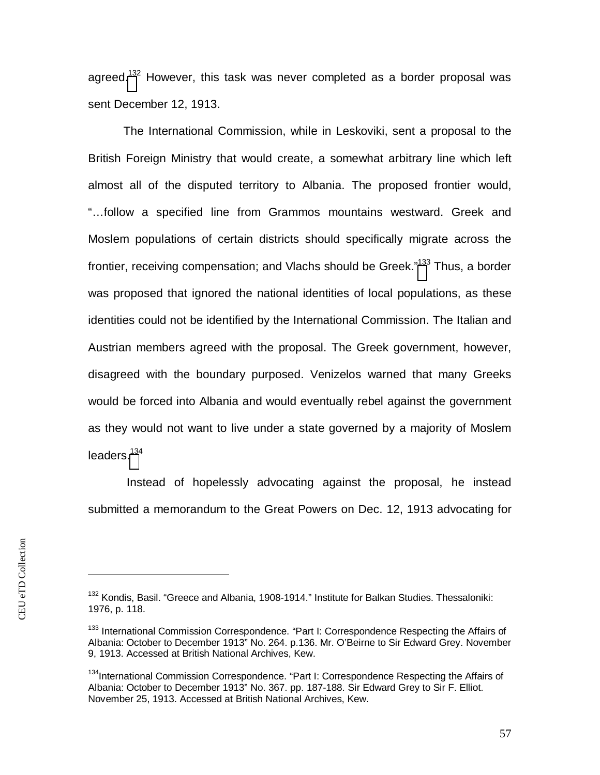agreed.<sup>[132](#page-57-0)</sup> However, this task was never completed as a border proposal was sent December 12, 1913.

The International Commission, while in Leskoviki, sent a proposal to the British Foreign Ministry that would create, a somewhat arbitrary line which left almost all of the disputed territory to Albania. The proposed frontier would, "…follow a specified line from Grammos mountains westward. Greek and Moslem populations of certain districts should specifically migrate across the frontier, receiving compensation; and Vlachs should be Greek."<sup>[133](#page-57-1)</sup> Thus, a border was proposed that ignored the national identities of local populations, as these identities could not be identified by the International Commission. The Italian and Austrian members agreed with the proposal. The Greek government, however, disagreed with the boundary purposed. Venizelos warned that many Greeks would be forced into Albania and would eventually rebel against the government as they would not want to live under a state governed by a majority of Moslem leaders.<sup>[134](#page-57-2)</sup>

 Instead of hopelessly advocating against the proposal, he instead submitted a memorandum to the Great Powers on Dec. 12, 1913 advocating for

<span id="page-57-0"></span><sup>&</sup>lt;sup>132</sup> Kondis, Basil. "Greece and Albania, 1908-1914." Institute for Balkan Studies. Thessaloniki: 1976, p. 118.

<span id="page-57-1"></span><sup>&</sup>lt;sup>133</sup> International Commission Correspondence. "Part I: Correspondence Respecting the Affairs of Albania: October to December 1913" No. 264. p.136. Mr. O'Beirne to Sir Edward Grey. November 9, 1913. Accessed at British National Archives, Kew.

<span id="page-57-2"></span><sup>&</sup>lt;sup>134</sup>International Commission Correspondence. "Part I: Correspondence Respecting the Affairs of Albania: October to December 1913" No. 367. pp. 187-188. Sir Edward Grey to Sir F. Elliot. November 25, 1913. Accessed at British National Archives, Kew.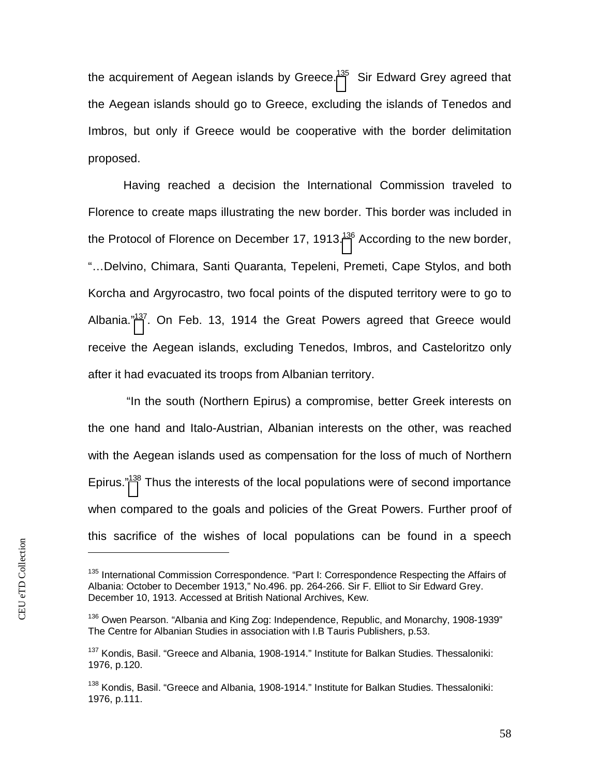the acquirement of Aegean islands by Greece.<sup>[13](#page-58-0)5</sup> Sir Edward Grey agreed that the Aegean islands should go to Greece, excluding the islands of Tenedos and Imbros, but only if Greece would be cooperative with the border delimitation proposed.

Having reached a decision the International Commission traveled to Florence to create maps illustrating the new border. This border was included in the Protocol of Florence on December 17, 19[13](#page-58-1). $136$  According to the new border, "…Delvino, Chimara, Santi Quaranta, Tepeleni, Premeti, Cape Stylos, and both Korcha and Argyrocastro, two focal points of the disputed territory were to go to Albania."<sup>[137](#page-58-2)</sup>. On Feb. 13, 1914 the Great Powers agreed that Greece would receive the Aegean islands, excluding Tenedos, Imbros, and Casteloritzo only after it had evacuated its troops from Albanian territory.

 "In the south (Northern Epirus) a compromise, better Greek interests on the one hand and Italo-Austrian, Albanian interests on the other, was reached with the Aegean islands used as compensation for the loss of much of Northern Epirus."<sup>[138](#page-58-3)</sup> Thus the interests of the local populations were of second importance when compared to the goals and policies of the Great Powers. Further proof of this sacrifice of the wishes of local populations can be found in a speech

<span id="page-58-0"></span><sup>&</sup>lt;sup>135</sup> International Commission Correspondence. "Part I: Correspondence Respecting the Affairs of Albania: October to December 1913," No.496. pp. 264-266. Sir F. Elliot to Sir Edward Grey. December 10, 1913. Accessed at British National Archives, Kew.

<span id="page-58-1"></span><sup>&</sup>lt;sup>136</sup> Owen Pearson. "Albania and King Zog: Independence, Republic, and Monarchy, 1908-1939" The Centre for Albanian Studies in association with I.B Tauris Publishers, p.53.

<span id="page-58-2"></span><sup>&</sup>lt;sup>137</sup> Kondis, Basil. "Greece and Albania, 1908-1914." Institute for Balkan Studies. Thessaloniki: 1976, p.120.

<span id="page-58-3"></span><sup>&</sup>lt;sup>138</sup> Kondis, Basil. "Greece and Albania, 1908-1914." Institute for Balkan Studies. Thessaloniki: 1976, p.111.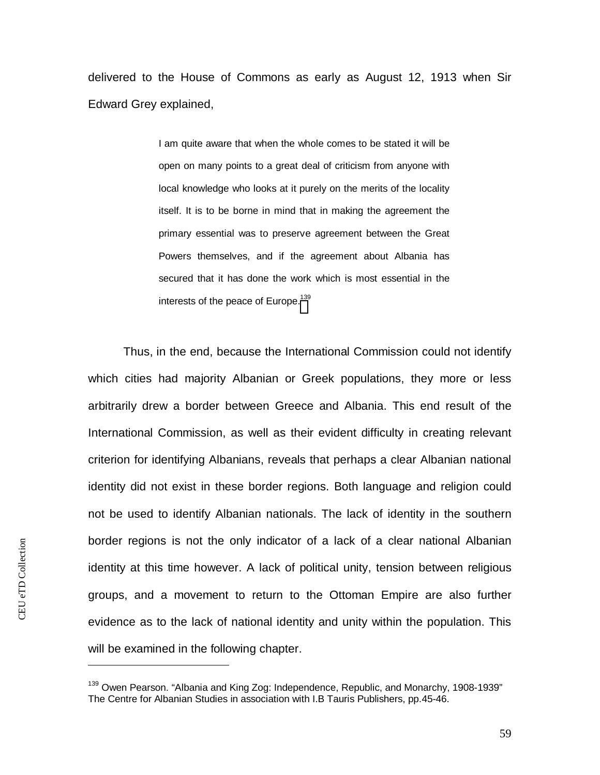delivered to the House of Commons as early as August 12, 1913 when Sir Edward Grey explained,

> I am quite aware that when the whole comes to be stated it will be open on many points to a great deal of criticism from anyone with local knowledge who looks at it purely on the merits of the locality itself. It is to be borne in mind that in making the agreement the primary essential was to preserve agreement between the Great Powers themselves, and if the agreement about Albania has secured that it has done the work which is most essential in the interests of the peace of Europe.<sup>[139](#page-59-0)</sup>

Thus, in the end, because the International Commission could not identify which cities had majority Albanian or Greek populations, they more or less arbitrarily drew a border between Greece and Albania. This end result of the International Commission, as well as their evident difficulty in creating relevant criterion for identifying Albanians, reveals that perhaps a clear Albanian national identity did not exist in these border regions. Both language and religion could not be used to identify Albanian nationals. The lack of identity in the southern border regions is not the only indicator of a lack of a clear national Albanian identity at this time however. A lack of political unity, tension between religious groups, and a movement to return to the Ottoman Empire are also further evidence as to the lack of national identity and unity within the population. This will be examined in the following chapter.

<span id="page-59-0"></span><sup>&</sup>lt;sup>139</sup> Owen Pearson. "Albania and King Zog: Independence, Republic, and Monarchy, 1908-1939" The Centre for Albanian Studies in association with I.B Tauris Publishers, pp.45-46.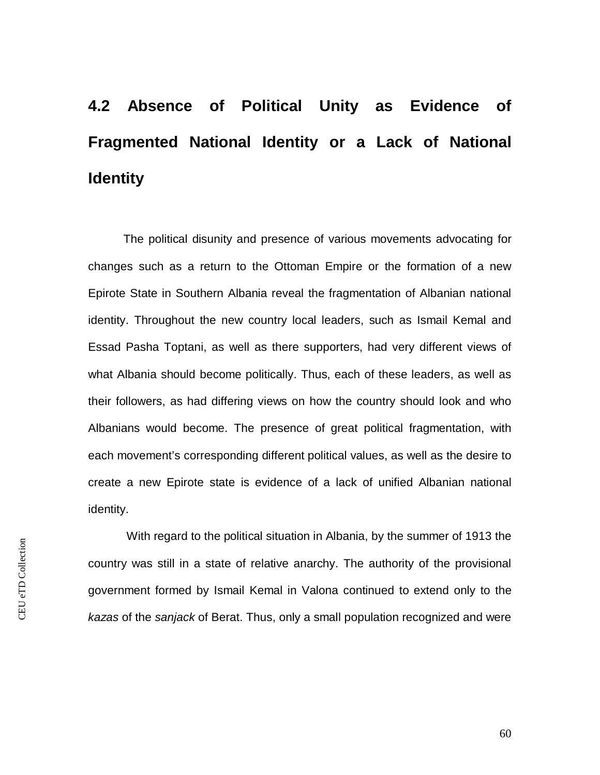# **4.2 Absence of Political Unity as Evidence of Fragmented National Identity or a Lack of National Identity**

The political disunity and presence of various movements advocating for changes such as a return to the Ottoman Empire or the formation of a new Epirote State in Southern Albania reveal the fragmentation of Albanian national identity. Throughout the new country local leaders, such as Ismail Kemal and Essad Pasha Toptani, as well as there supporters, had very different views of what Albania should become politically. Thus, each of these leaders, as well as their followers, as had differing views on how the country should look and who Albanians would become. The presence of great political fragmentation, with each movement's corresponding different political values, as well as the desire to create a new Epirote state is evidence of a lack of unified Albanian national identity.

 With regard to the political situation in Albania, by the summer of 1913 the country was still in a state of relative anarchy. The authority of the provisional government formed by Ismail Kemal in Valona continued to extend only to the *kazas* of the *sanjack* of Berat. Thus, only a small population recognized and were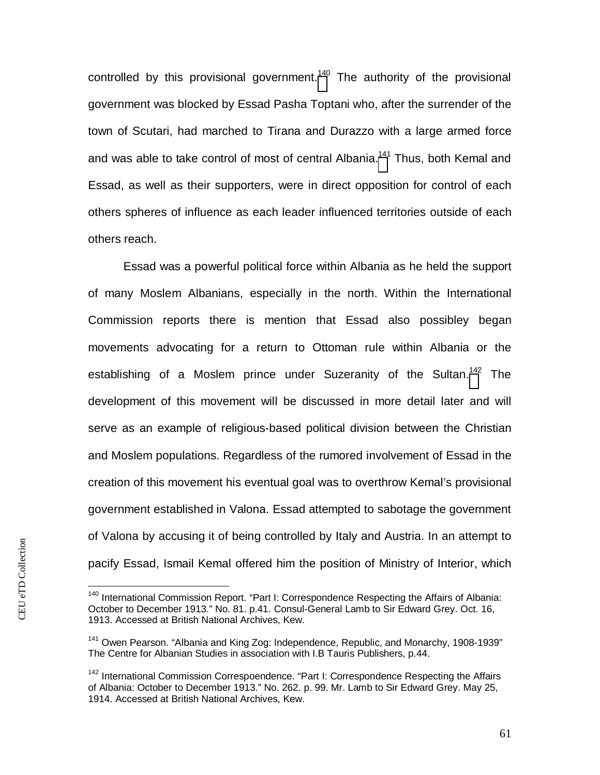controlled by this provisional government.<sup>[140](#page-61-0)</sup> The authority of the provisional government was blocked by Essad Pasha Toptani who, after the surrender of the town of Scutari, had marched to Tirana and Durazzo with a large armed force and was able to take control of most of central Albania.<sup>[141](#page-61-1)</sup> Thus, both Kemal and Essad, as well as their supporters, were in direct opposition for control of each others spheres of influence as each leader influenced territories outside of each others reach.

Essad was a powerful political force within Albania as he held the support of many Moslem Albanians, especially in the north. Within the International Commission reports there is mention that Essad also possibley began movements advocating for a return to Ottoman rule within Albania or the establishing of a Moslem prince under Suzeranity of the Sultan.<sup>[142](#page-61-2)</sup> The development of this movement will be discussed in more detail later and will serve as an example of religious-based political division between the Christian and Moslem populations. Regardless of the rumored involvement of Essad in the creation of this movement his eventual goal was to overthrow Kemal's provisional government established in Valona. Essad attempted to sabotage the government of Valona by accusing it of being controlled by Italy and Austria. In an attempt to pacify Essad, Ismail Kemal offered him the position of Ministry of Interior, which

<span id="page-61-0"></span><sup>&</sup>lt;sup>140</sup> International Commission Report. "Part I: Correspondence Respecting the Affairs of Albania: October to December 1913." No. 81. p.41. Consul-General Lamb to Sir Edward Grey. Oct. 16, 1913. Accessed at British National Archives, Kew.

<span id="page-61-1"></span><sup>&</sup>lt;sup>141</sup> Owen Pearson. "Albania and King Zog: Independence, Republic, and Monarchy, 1908-1939" The Centre for Albanian Studies in association with I.B Tauris Publishers, p.44.

<span id="page-61-2"></span> $142$  International Commission Correspoendence. "Part I: Correspondence Respecting the Affairs of Albania: October to December 1913." No. 262. p. 99. Mr. Lamb to Sir Edward Grey. May 25, 1914. Accessed at British National Archives, Kew.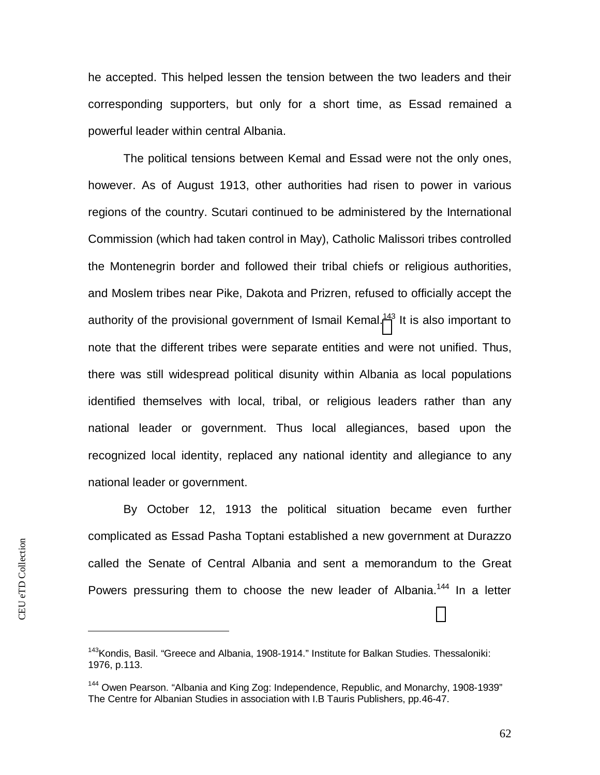he accepted. This helped lessen the tension between the two leaders and their corresponding supporters, but only for a short time, as Essad remained a powerful leader within central Albania.

The political tensions between Kemal and Essad were not the only ones, however. As of August 1913, other authorities had risen to power in various regions of the country. Scutari continued to be administered by the International Commission (which had taken control in May), Catholic Malissori tribes controlled the Montenegrin border and followed their tribal chiefs or religious authorities, and Moslem tribes near Pike, Dakota and Prizren, refused to officially accept the authority of the provisional government of Ismail Kemal.<sup>[143](#page-62-0)</sup> It is also important to note that the different tribes were separate entities and were not unified. Thus, there was still widespread political disunity within Albania as local populations identified themselves with local, tribal, or religious leaders rather than any national leader or government. Thus local allegiances, based upon the recognized local identity, replaced any national identity and allegiance to any national leader or government.

By October 12, 1913 the political situation became even further complicated as Essad Pasha Toptani established a new government at Durazzo called the Senate of Central Albania and sent a memorandum to the Great Powers pressuring them to choose the new leader of Albania.<sup>144</sup> In a letter

<span id="page-62-0"></span><sup>&</sup>lt;sup>143</sup> Kondis, Basil. "Greece and Albania, 1908-1914." Institute for Balkan Studies. Thessaloniki: 1976, p.113.

<sup>&</sup>lt;sup>144</sup> Owen Pearson. "Albania and King Zog: Independence, Republic, and Monarchy, 1908-1939" The Centre for Albanian Studies in association with I.B Tauris Publishers, pp.46-47.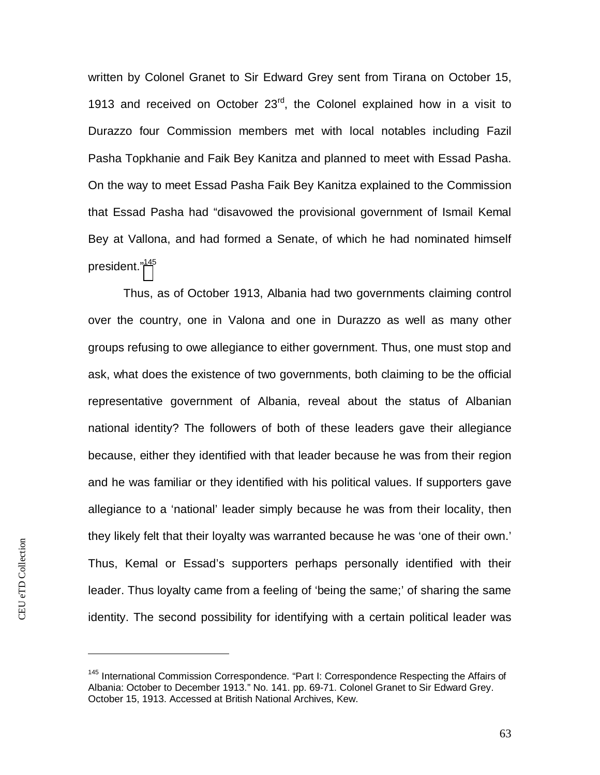written by Colonel Granet to Sir Edward Grey sent from Tirana on October 15, 1913 and received on October  $23<sup>rd</sup>$ , the Colonel explained how in a visit to Durazzo four Commission members met with local notables including Fazil Pasha Topkhanie and Faik Bey Kanitza and planned to meet with Essad Pasha. On the way to meet Essad Pasha Faik Bey Kanitza explained to the Commission that Essad Pasha had "disavowed the provisional government of Ismail Kemal Bey at Vallona, and had formed a Senate, of which he had nominated himself president."[145](#page-63-0)

Thus, as of October 1913, Albania had two governments claiming control over the country, one in Valona and one in Durazzo as well as many other groups refusing to owe allegiance to either government. Thus, one must stop and ask, what does the existence of two governments, both claiming to be the official representative government of Albania, reveal about the status of Albanian national identity? The followers of both of these leaders gave their allegiance because, either they identified with that leader because he was from their region and he was familiar or they identified with his political values. If supporters gave allegiance to a 'national' leader simply because he was from their locality, then they likely felt that their loyalty was warranted because he was 'one of their own.' Thus, Kemal or Essad's supporters perhaps personally identified with their leader. Thus loyalty came from a feeling of 'being the same;' of sharing the same identity. The second possibility for identifying with a certain political leader was

<span id="page-63-0"></span><sup>&</sup>lt;sup>145</sup> International Commission Correspondence. "Part I: Correspondence Respecting the Affairs of Albania: October to December 1913." No. 141. pp. 69-71. Colonel Granet to Sir Edward Grey. October 15, 1913. Accessed at British National Archives, Kew.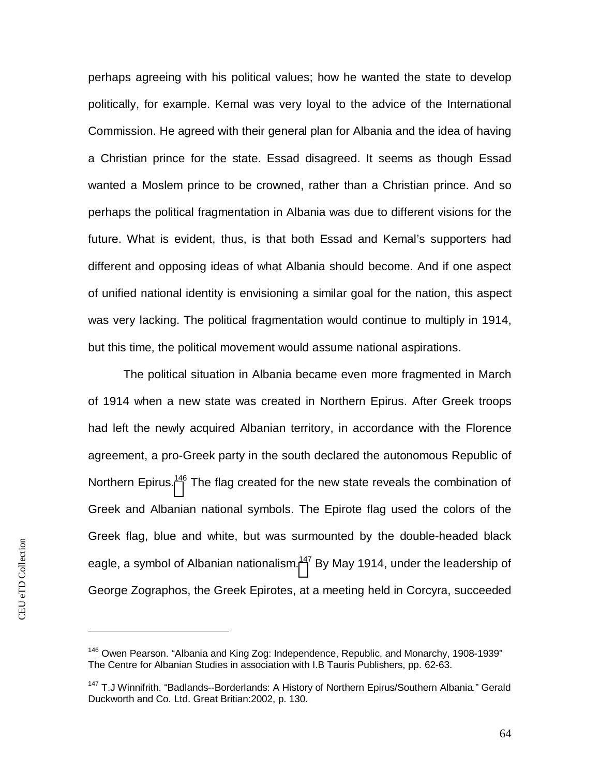perhaps agreeing with his political values; how he wanted the state to develop politically, for example. Kemal was very loyal to the advice of the International Commission. He agreed with their general plan for Albania and the idea of having a Christian prince for the state. Essad disagreed. It seems as though Essad wanted a Moslem prince to be crowned, rather than a Christian prince. And so perhaps the political fragmentation in Albania was due to different visions for the future. What is evident, thus, is that both Essad and Kemal's supporters had different and opposing ideas of what Albania should become. And if one aspect of unified national identity is envisioning a similar goal for the nation, this aspect was very lacking. The political fragmentation would continue to multiply in 1914, but this time, the political movement would assume national aspirations.

The political situation in Albania became even more fragmented in March of 1914 when a new state was created in Northern Epirus. After Greek troops had left the newly acquired Albanian territory, in accordance with the Florence agreement, a pro-Greek party in the south declared the autonomous Republic of Northern Epirus.<sup>[146](#page-64-0)</sup> The flag created for the new state reveals the combination of Greek and Albanian national symbols. The Epirote flag used the colors of the Greek flag, blue and white, but was surmounted by the double-headed black eagle, a symbol of Albanian nationalism.<sup>[147](#page-64-1)</sup> By May 1914, under the leadership of George Zographos, the Greek Epirotes, at a meeting held in Corcyra, succeeded

<span id="page-64-0"></span> $146$  Owen Pearson. "Albania and King Zog: Independence, Republic, and Monarchy, 1908-1939" The Centre for Albanian Studies in association with I.B Tauris Publishers, pp. 62-63.

<span id="page-64-1"></span><sup>&</sup>lt;sup>147</sup> T.J Winnifrith. "Badlands--Borderlands: A History of Northern Epirus/Southern Albania." Gerald Duckworth and Co. Ltd. Great Britian:2002, p. 130.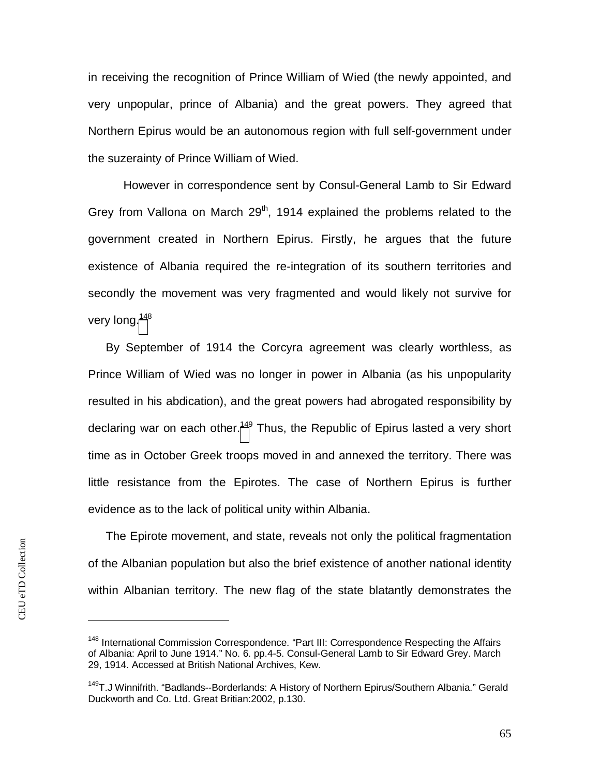in receiving the recognition of Prince William of Wied (the newly appointed, and very unpopular, prince of Albania) and the great powers. They agreed that Northern Epirus would be an autonomous region with full self-government under the suzerainty of Prince William of Wied.

However in correspondence sent by Consul-General Lamb to Sir Edward Grey from Vallona on March  $29<sup>th</sup>$ , 1914 explained the problems related to the government created in Northern Epirus. Firstly, he argues that the future existence of Albania required the re-integration of its southern territories and secondly the movement was very fragmented and would likely not survive for very long.<sup>[148](#page-65-0)</sup>

By September of 1914 the Corcyra agreement was clearly worthless, as Prince William of Wied was no longer in power in Albania (as his unpopularity resulted in his abdication), and the great powers had abrogated responsibility by declaring war on each other.<sup>[149](#page-65-1)</sup> Thus, the Republic of Epirus lasted a very short time as in October Greek troops moved in and annexed the territory. There was little resistance from the Epirotes. The case of Northern Epirus is further evidence as to the lack of political unity within Albania.

The Epirote movement, and state, reveals not only the political fragmentation of the Albanian population but also the brief existence of another national identity within Albanian territory. The new flag of the state blatantly demonstrates the

<span id="page-65-0"></span><sup>&</sup>lt;sup>148</sup> International Commission Correspondence. "Part III: Correspondence Respecting the Affairs of Albania: April to June 1914." No. 6. pp.4-5. Consul-General Lamb to Sir Edward Grey. March 29, 1914. Accessed at British National Archives, Kew.

<span id="page-65-1"></span><sup>&</sup>lt;sup>149</sup>T.J Winnifrith. "Badlands--Borderlands: A History of Northern Epirus/Southern Albania." Gerald Duckworth and Co. Ltd. Great Britian:2002, p.130.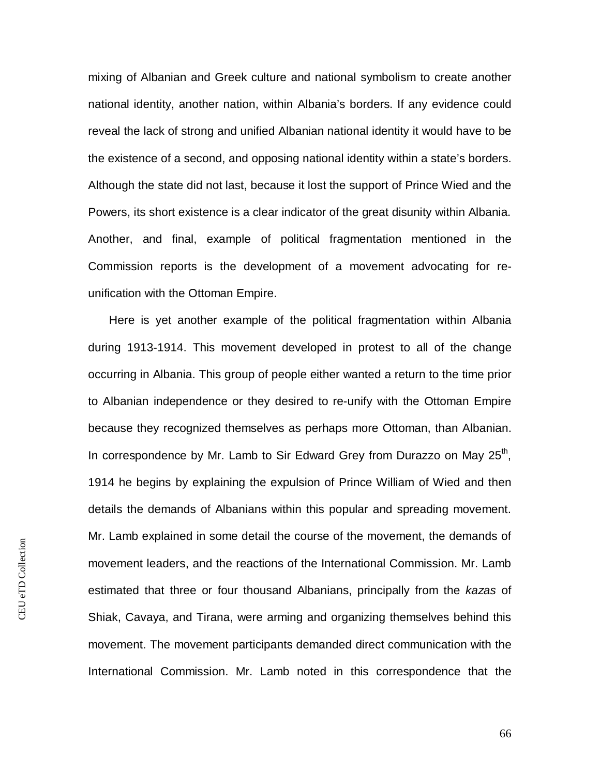mixing of Albanian and Greek culture and national symbolism to create another national identity, another nation, within Albania's borders. If any evidence could reveal the lack of strong and unified Albanian national identity it would have to be the existence of a second, and opposing national identity within a state's borders. Although the state did not last, because it lost the support of Prince Wied and the Powers, its short existence is a clear indicator of the great disunity within Albania. Another, and final, example of political fragmentation mentioned in the Commission reports is the development of a movement advocating for reunification with the Ottoman Empire.

 Here is yet another example of the political fragmentation within Albania during 1913-1914. This movement developed in protest to all of the change occurring in Albania. This group of people either wanted a return to the time prior to Albanian independence or they desired to re-unify with the Ottoman Empire because they recognized themselves as perhaps more Ottoman, than Albanian. In correspondence by Mr. Lamb to Sir Edward Grey from Durazzo on May 25<sup>th</sup>, 1914 he begins by explaining the expulsion of Prince William of Wied and then details the demands of Albanians within this popular and spreading movement. Mr. Lamb explained in some detail the course of the movement, the demands of movement leaders, and the reactions of the International Commission. Mr. Lamb estimated that three or four thousand Albanians, principally from the *kazas* of Shiak, Cavaya, and Tirana, were arming and organizing themselves behind this movement. The movement participants demanded direct communication with the International Commission. Mr. Lamb noted in this correspondence that the

66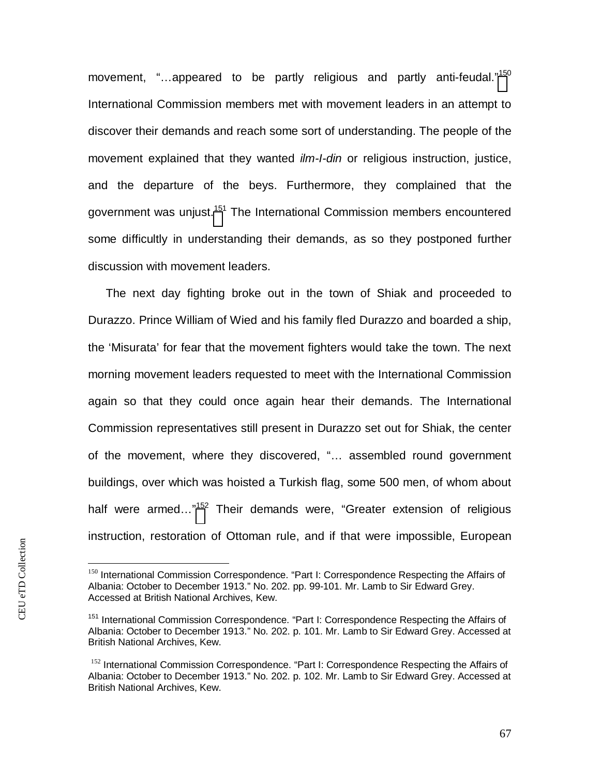movement, "...appeared to be partly religious and partly anti-feudal."<sup>[150](#page-67-0)</sup> International Commission members met with movement leaders in an attempt to discover their demands and reach some sort of understanding. The people of the movement explained that they wanted *ilm-I-din* or religious instruction, justice, and the departure of the beys. Furthermore, they complained that the government was unjust.<sup>[15](#page-67-1)1</sup> The International Commission members encountered some difficultly in understanding their demands, as so they postponed further discussion with movement leaders.

The next day fighting broke out in the town of Shiak and proceeded to Durazzo. Prince William of Wied and his family fled Durazzo and boarded a ship, the 'Misurata' for fear that the movement fighters would take the town. The next morning movement leaders requested to meet with the International Commission again so that they could once again hear their demands. The International Commission representatives still present in Durazzo set out for Shiak, the center of the movement, where they discovered, "… assembled round government buildings, over which was hoisted a Turkish flag, some 500 men, of whom about half were armed...<sup>"[152](#page-67-2)</sup> Their demands were, "Greater extension of religious instruction, restoration of Ottoman rule, and if that were impossible, European

<span id="page-67-0"></span><sup>&</sup>lt;sup>150</sup> International Commission Correspondence. "Part I: Correspondence Respecting the Affairs of Albania: October to December 1913." No. 202. pp. 99-101. Mr. Lamb to Sir Edward Grey. Accessed at British National Archives, Kew.

<span id="page-67-1"></span><sup>&</sup>lt;sup>151</sup> International Commission Correspondence. "Part I: Correspondence Respecting the Affairs of Albania: October to December 1913." No. 202. p. 101. Mr. Lamb to Sir Edward Grey. Accessed at British National Archives, Kew.

<span id="page-67-2"></span><sup>&</sup>lt;sup>152</sup> International Commission Correspondence. "Part I: Correspondence Respecting the Affairs of Albania: October to December 1913." No. 202. p. 102. Mr. Lamb to Sir Edward Grey. Accessed at British National Archives, Kew.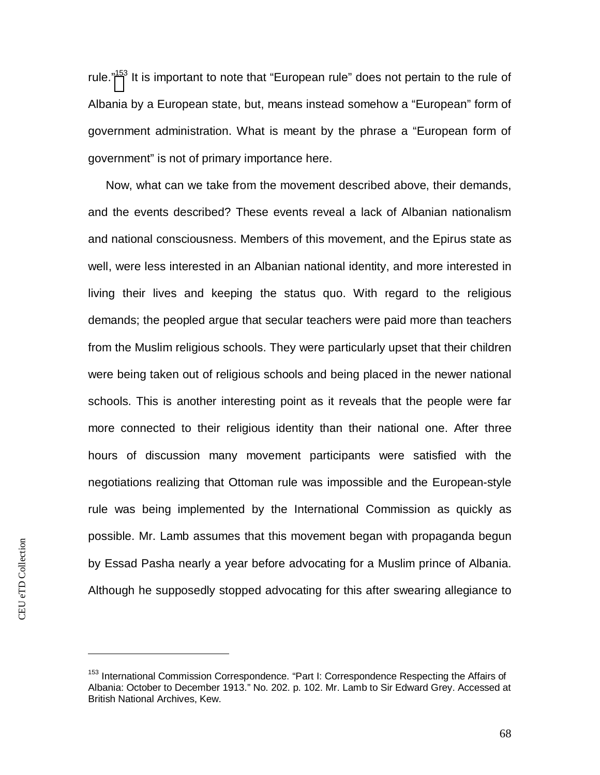rule."<sup>[153](#page-68-0)</sup> It is important to note that "European rule" does not pertain to the rule of Albania by a European state, but, means instead somehow a "European" form of government administration. What is meant by the phrase a "European form of government" is not of primary importance here.

Now, what can we take from the movement described above, their demands, and the events described? These events reveal a lack of Albanian nationalism and national consciousness. Members of this movement, and the Epirus state as well, were less interested in an Albanian national identity, and more interested in living their lives and keeping the status quo. With regard to the religious demands; the peopled argue that secular teachers were paid more than teachers from the Muslim religious schools. They were particularly upset that their children were being taken out of religious schools and being placed in the newer national schools. This is another interesting point as it reveals that the people were far more connected to their religious identity than their national one. After three hours of discussion many movement participants were satisfied with the negotiations realizing that Ottoman rule was impossible and the European-style rule was being implemented by the International Commission as quickly as possible. Mr. Lamb assumes that this movement began with propaganda begun by Essad Pasha nearly a year before advocating for a Muslim prince of Albania. Although he supposedly stopped advocating for this after swearing allegiance to

<span id="page-68-0"></span><sup>&</sup>lt;sup>153</sup> International Commission Correspondence. "Part I: Correspondence Respecting the Affairs of Albania: October to December 1913." No. 202. p. 102. Mr. Lamb to Sir Edward Grey. Accessed at British National Archives, Kew.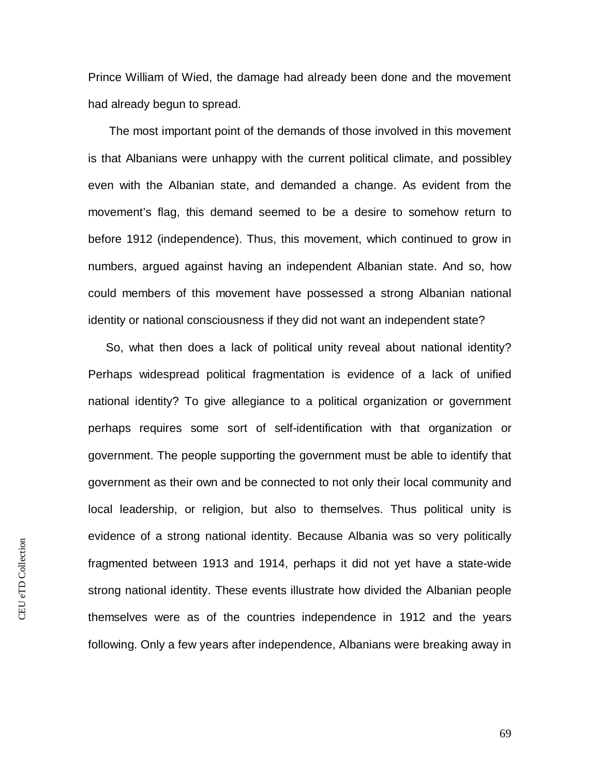Prince William of Wied, the damage had already been done and the movement had already begun to spread.

 The most important point of the demands of those involved in this movement is that Albanians were unhappy with the current political climate, and possibley even with the Albanian state, and demanded a change. As evident from the movement's flag, this demand seemed to be a desire to somehow return to before 1912 (independence). Thus, this movement, which continued to grow in numbers, argued against having an independent Albanian state. And so, how could members of this movement have possessed a strong Albanian national identity or national consciousness if they did not want an independent state?

So, what then does a lack of political unity reveal about national identity? Perhaps widespread political fragmentation is evidence of a lack of unified national identity? To give allegiance to a political organization or government perhaps requires some sort of self-identification with that organization or government. The people supporting the government must be able to identify that government as their own and be connected to not only their local community and local leadership, or religion, but also to themselves. Thus political unity is evidence of a strong national identity. Because Albania was so very politically fragmented between 1913 and 1914, perhaps it did not yet have a state-wide strong national identity. These events illustrate how divided the Albanian people themselves were as of the countries independence in 1912 and the years following. Only a few years after independence, Albanians were breaking away in

69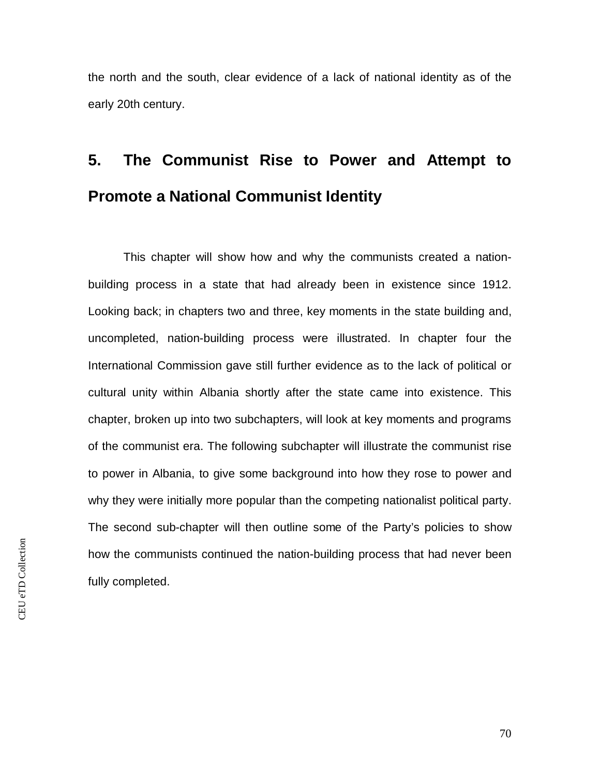the north and the south, clear evidence of a lack of national identity as of the early 20th century.

## **5. The Communist Rise to Power and Attempt to Promote a National Communist Identity**

This chapter will show how and why the communists created a nationbuilding process in a state that had already been in existence since 1912. Looking back; in chapters two and three, key moments in the state building and, uncompleted, nation-building process were illustrated. In chapter four the International Commission gave still further evidence as to the lack of political or cultural unity within Albania shortly after the state came into existence. This chapter, broken up into two subchapters, will look at key moments and programs of the communist era. The following subchapter will illustrate the communist rise to power in Albania, to give some background into how they rose to power and why they were initially more popular than the competing nationalist political party. The second sub-chapter will then outline some of the Party's policies to show how the communists continued the nation-building process that had never been fully completed.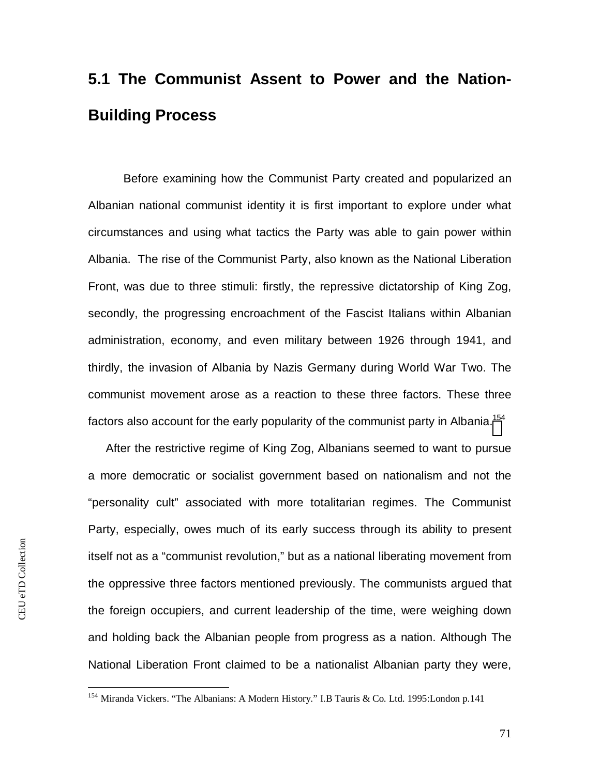### **5.1 The Communist Assent to Power and the Nation-Building Process**

Before examining how the Communist Party created and popularized an Albanian national communist identity it is first important to explore under what circumstances and using what tactics the Party was able to gain power within Albania. The rise of the Communist Party, also known as the National Liberation Front, was due to three stimuli: firstly, the repressive dictatorship of King Zog, secondly, the progressing encroachment of the Fascist Italians within Albanian administration, economy, and even military between 1926 through 1941, and thirdly, the invasion of Albania by Nazis Germany during World War Two. The communist movement arose as a reaction to these three factors. These three factors also account for the early popularity of the communist party in Albania.<sup>[154](#page-71-0)</sup>

After the restrictive regime of King Zog, Albanians seemed to want to pursue a more democratic or socialist government based on nationalism and not the "personality cult" associated with more totalitarian regimes. The Communist Party, especially, owes much of its early success through its ability to present itself not as a "communist revolution," but as a national liberating movement from the oppressive three factors mentioned previously. The communists argued that the foreign occupiers, and current leadership of the time, were weighing down and holding back the Albanian people from progress as a nation. Although The National Liberation Front claimed to be a nationalist Albanian party they were,

<span id="page-71-0"></span><sup>&</sup>lt;sup>154</sup> Miranda Vickers. "The Albanians: A Modern History." I.B Tauris & Co. Ltd. 1995: London p.141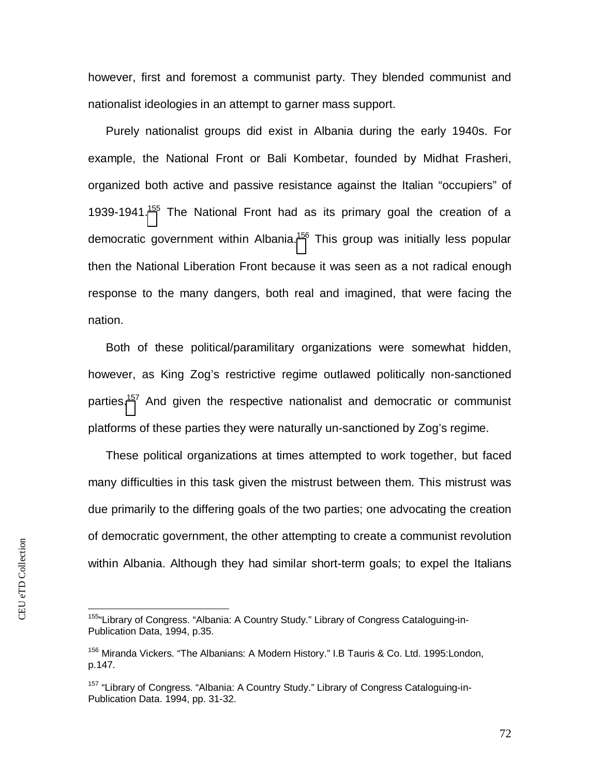however, first and foremost a communist party. They blended communist and nationalist ideologies in an attempt to garner mass support.

Purely nationalist groups did exist in Albania during the early 1940s. For example, the National Front or Bali Kombetar, founded by Midhat Frasheri, organized both active and passive resistance against the Italian "occupiers" of 1939-1941.<sup>[155](#page-72-0)</sup> The National Front had as its primary goal the creation of a democratic government within Albania.<sup>[156](#page-72-1)</sup> This group was initially less popular then the National Liberation Front because it was seen as a not radical enough response to the many dangers, both real and imagined, that were facing the nation.

Both of these political/paramilitary organizations were somewhat hidden, however, as King Zog's restrictive regime outlawed politically non-sanctioned parties[.](#page-72-2)<sup>157</sup> And given the respective nationalist and democratic or communist platforms of these parties they were naturally un-sanctioned by Zog's regime.

These political organizations at times attempted to work together, but faced many difficulties in this task given the mistrust between them. This mistrust was due primarily to the differing goals of the two parties; one advocating the creation of democratic government, the other attempting to create a communist revolution within Albania. Although they had similar short-term goals; to expel the Italians

<span id="page-72-0"></span><sup>155&</sup>quot;Library of Congress. "Albania: A Country Study." Library of Congress Cataloguing-in-Publication Data, 1994, p.35.

<span id="page-72-1"></span><sup>&</sup>lt;sup>156</sup> Miranda Vickers. "The Albanians: A Modern History." I.B Tauris & Co. Ltd. 1995:London, p.147.

<span id="page-72-2"></span><sup>&</sup>lt;sup>157</sup> "Library of Congress. "Albania: A Country Study." Library of Congress Cataloguing-in-Publication Data. 1994, pp. 31-32.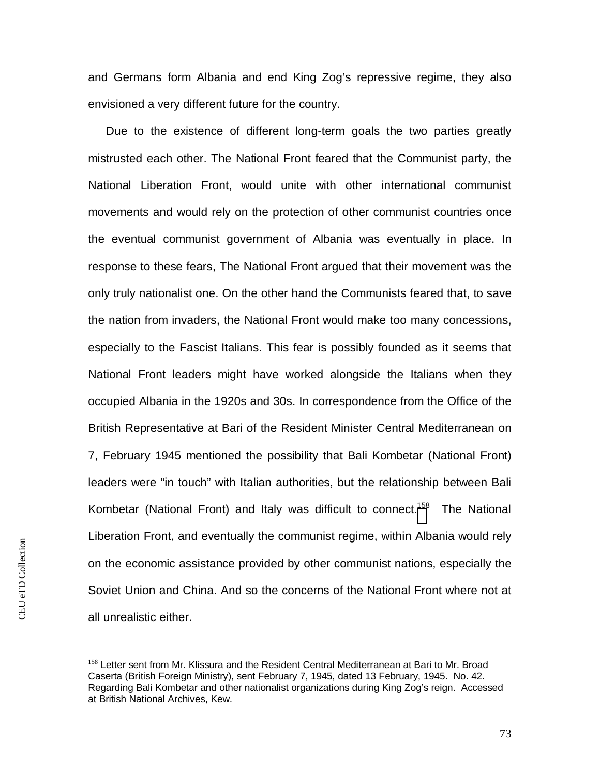and Germans form Albania and end King Zog's repressive regime, they also envisioned a very different future for the country.

Due to the existence of different long-term goals the two parties greatly mistrusted each other. The National Front feared that the Communist party, the National Liberation Front, would unite with other international communist movements and would rely on the protection of other communist countries once the eventual communist government of Albania was eventually in place. In response to these fears, The National Front argued that their movement was the only truly nationalist one. On the other hand the Communists feared that, to save the nation from invaders, the National Front would make too many concessions, especially to the Fascist Italians. This fear is possibly founded as it seems that National Front leaders might have worked alongside the Italians when they occupied Albania in the 1920s and 30s. In correspondence from the Office of the British Representative at Bari of the Resident Minister Central Mediterranean on 7, February 1945 mentioned the possibility that Bali Kombetar (National Front) leaders were "in touch" with Italian authorities, but the relationship between Bali Kombetar (National Front) and Italy was difficult to connect.<sup>[158](#page-73-0)</sup> The National Liberation Front, and eventually the communist regime, within Albania would rely on the economic assistance provided by other communist nations, especially the Soviet Union and China. And so the concerns of the National Front where not at all unrealistic either.

<span id="page-73-0"></span><sup>&</sup>lt;sup>158</sup> Letter sent from Mr. Klissura and the Resident Central Mediterranean at Bari to Mr. Broad Caserta (British Foreign Ministry), sent February 7, 1945, dated 13 February, 1945. No. 42. Regarding Bali Kombetar and other nationalist organizations during King Zog's reign. Accessed at British National Archives, Kew.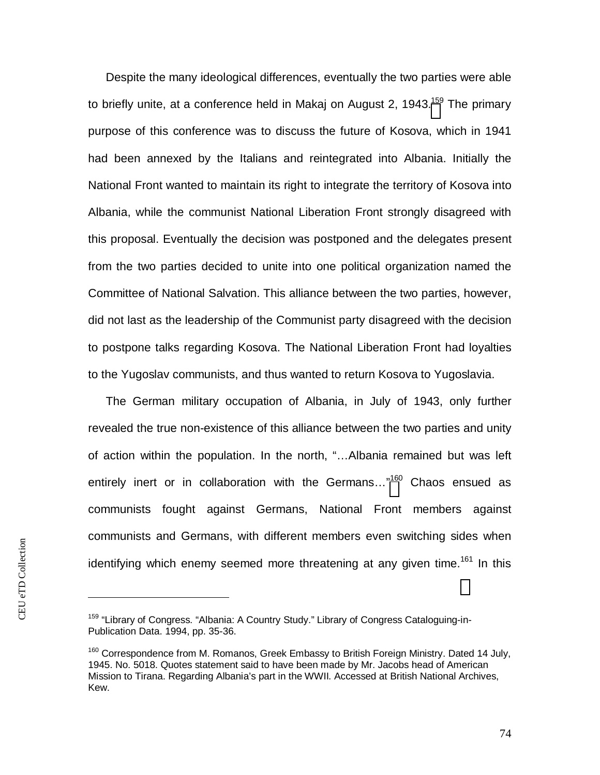Despite the many ideological differences, eventually the two parties were able to briefly unite, at a conference held in Makaj on August 2, 1943.<sup>[159](#page-74-0)</sup> The primary purpose of this conference was to discuss the future of Kosova, which in 1941 had been annexed by the Italians and reintegrated into Albania. Initially the National Front wanted to maintain its right to integrate the territory of Kosova into Albania, while the communist National Liberation Front strongly disagreed with this proposal. Eventually the decision was postponed and the delegates present from the two parties decided to unite into one political organization named the Committee of National Salvation. This alliance between the two parties, however, did not last as the leadership of the Communist party disagreed with the decision to postpone talks regarding Kosova. The National Liberation Front had loyalties to the Yugoslav communists, and thus wanted to return Kosova to Yugoslavia.

The German military occupation of Albania, in July of 1943, only further revealed the true non-existence of this alliance between the two parties and unity of action within the population. In the north, "…Albania remained but was left entirely inert or in collaboration with the Germans..."<sup>[160](#page-74-1)</sup> Chaos ensued as communists fought against Germans, National Front members against communists and Germans, with different members even switching sides when identifying which enemy seemed more threatening at any given time.<sup>161</sup> In this

<span id="page-74-0"></span><sup>&</sup>lt;sup>159</sup> "Library of Congress. "Albania: A Country Study." Library of Congress Cataloguing-in-Publication Data. 1994, pp. 35-36.

<span id="page-74-1"></span> $160$  Correspondence from M. Romanos, Greek Embassy to British Foreign Ministry. Dated 14 July, 1945. No. 5018. Quotes statement said to have been made by Mr. Jacobs head of American Mission to Tirana. Regarding Albania's part in the WWII. Accessed at British National Archives, Kew.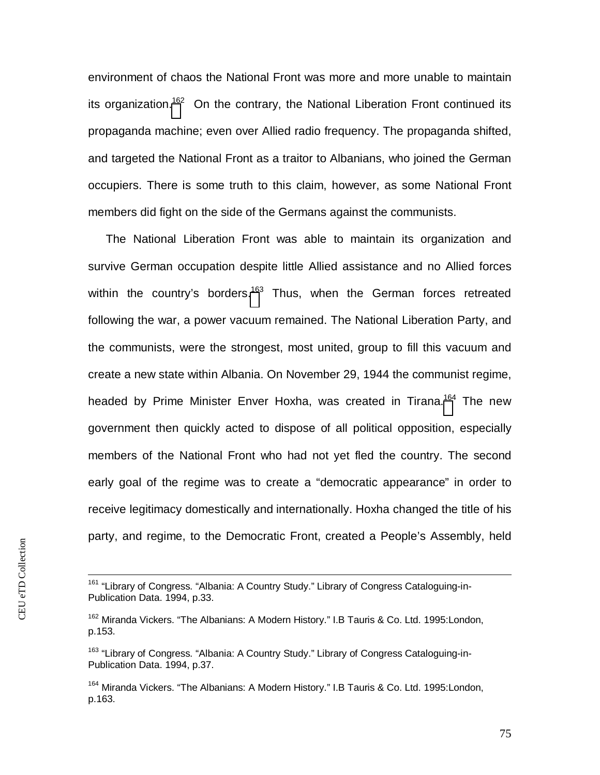environment of chaos the National Front was more and more unable to maintain its organization.<sup>[16](#page-75-0)2</sup> On the contrary, the National Liberation Front continued its propaganda machine; even over Allied radio frequency. The propaganda shifted, and targeted the National Front as a traitor to Albanians, who joined the German occupiers. There is some truth to this claim, however, as some National Front members did fight on the side of the Germans against the communists.

The National Liberation Front was able to maintain its organization and survive German occupation despite little Allied assistance and no Allied forces within the country's borders.<sup>[163](#page-75-1)</sup> Thus, when the German forces retreated following the war, a power vacuum remained. The National Liberation Party, and the communists, were the strongest, most united, group to fill this vacuum and create a new state within Albania. On November 29, 1944 the communist regime, headed by Prime Minister Enver Hoxha, was created in Tirana.<sup>[164](#page-75-2)</sup> The new government then quickly acted to dispose of all political opposition, especially members of the National Front who had not yet fled the country. The second early goal of the regime was to create a "democratic appearance" in order to receive legitimacy domestically and internationally. Hoxha changed the title of his party, and regime, to the Democratic Front, created a People's Assembly, held

<sup>&</sup>lt;sup>161</sup> "Library of Congress. "Albania: A Country Study." Library of Congress Cataloguing-in-Publication Data. 1994, p.33.

<span id="page-75-0"></span><sup>&</sup>lt;sup>162</sup> Miranda Vickers. "The Albanians: A Modern History." I.B Tauris & Co. Ltd. 1995:London, p.153.

<span id="page-75-1"></span><sup>&</sup>lt;sup>163</sup> "Library of Congress. "Albania: A Country Study." Library of Congress Cataloguing-in-Publication Data. 1994, p.37.

<span id="page-75-2"></span><sup>164</sup> Miranda Vickers. "The Albanians: A Modern History." I.B Tauris & Co. Ltd. 1995:London, p.163.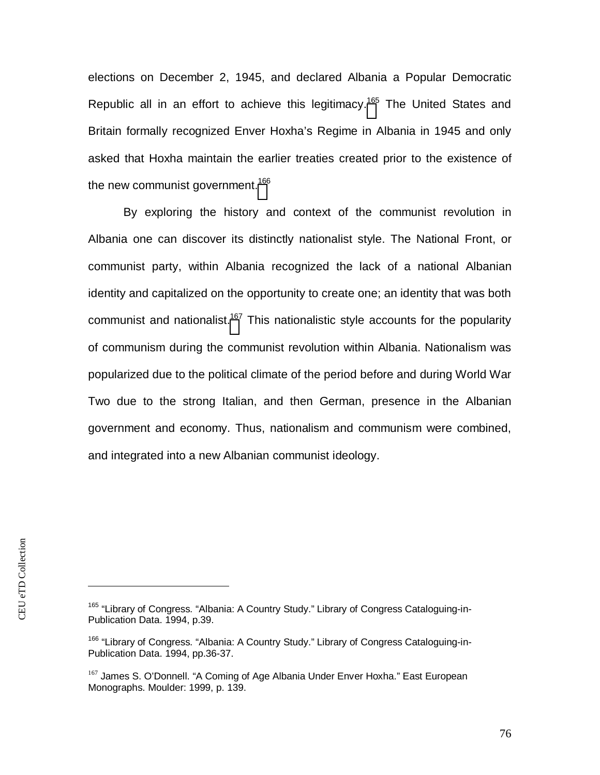elections on December 2, 1945, and declared Albania a Popular Democratic Republic all in an effort to achieve this legitimacy.<sup>[165](#page-76-0)</sup> The United States and Britain formally recognized Enver Hoxha's Regime in Albania in 1945 and only asked that Hoxha maintain the earlier treaties created prior to the existence of the new communist government.<sup>[166](#page-76-1)</sup>

By exploring the history and context of the communist revolution in Albania one can discover its distinctly nationalist style. The National Front, or communist party, within Albania recognized the lack of a national Albanian identity and capitalized on the opportunity to create one; an identity that was both communist and nationalist.<sup>[167](#page-76-2)</sup> This nationalistic style accounts for the popularity of communism during the communist revolution within Albania. Nationalism was popularized due to the political climate of the period before and during World War Two due to the strong Italian, and then German, presence in the Albanian government and economy. Thus, nationalism and communism were combined, and integrated into a new Albanian communist ideology.

<span id="page-76-0"></span><sup>&</sup>lt;sup>165</sup> "Library of Congress. "Albania: A Country Study." Library of Congress Cataloguing-in-Publication Data. 1994, p.39.

<span id="page-76-1"></span><sup>&</sup>lt;sup>166</sup> "Library of Congress. "Albania: A Country Study." Library of Congress Cataloguing-in-Publication Data. 1994, pp.36-37.

<span id="page-76-2"></span><sup>&</sup>lt;sup>167</sup> James S. O'Donnell. "A Coming of Age Albania Under Enver Hoxha." East European Monographs. Moulder: 1999, p. 139.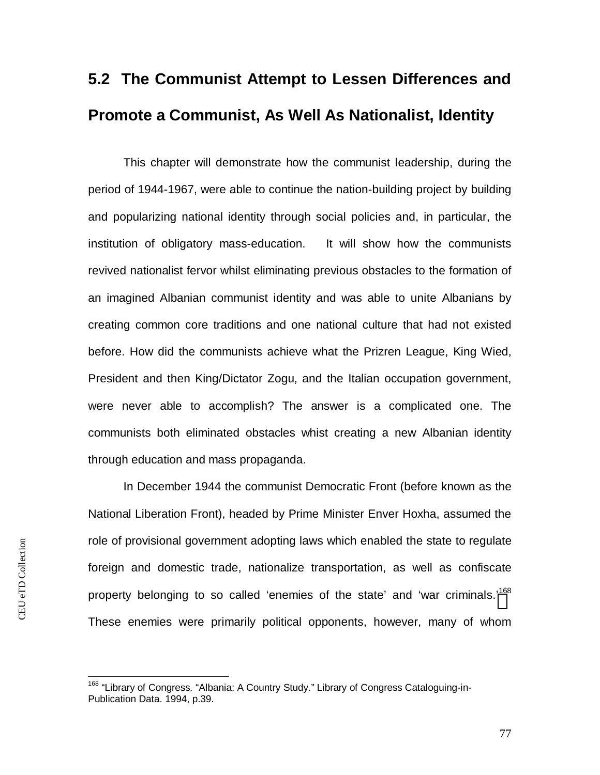# **5.2 The Communist Attempt to Lessen Differences and Promote a Communist, As Well As Nationalist, Identity**

This chapter will demonstrate how the communist leadership, during the period of 1944-1967, were able to continue the nation-building project by building and popularizing national identity through social policies and, in particular, the institution of obligatory mass-education. It will show how the communists revived nationalist fervor whilst eliminating previous obstacles to the formation of an imagined Albanian communist identity and was able to unite Albanians by creating common core traditions and one national culture that had not existed before. How did the communists achieve what the Prizren League, King Wied, President and then King/Dictator Zogu, and the Italian occupation government, were never able to accomplish? The answer is a complicated one. The communists both eliminated obstacles whist creating a new Albanian identity through education and mass propaganda.

In December 1944 the communist Democratic Front (before known as the National Liberation Front), headed by Prime Minister Enver Hoxha, assumed the role of provisional government adopting laws which enabled the state to regulate foreign and domestic trade, nationalize transportation, as well as confiscate property belonging to so called 'enemies of the state' and 'war criminals.'<sup>[168](#page-77-0)</sup> These enemies were primarily political opponents, however, many of whom

<span id="page-77-0"></span><sup>&</sup>lt;sup>168</sup> "Library of Congress. "Albania: A Country Study." Library of Congress Cataloguing-in-Publication Data. 1994, p.39.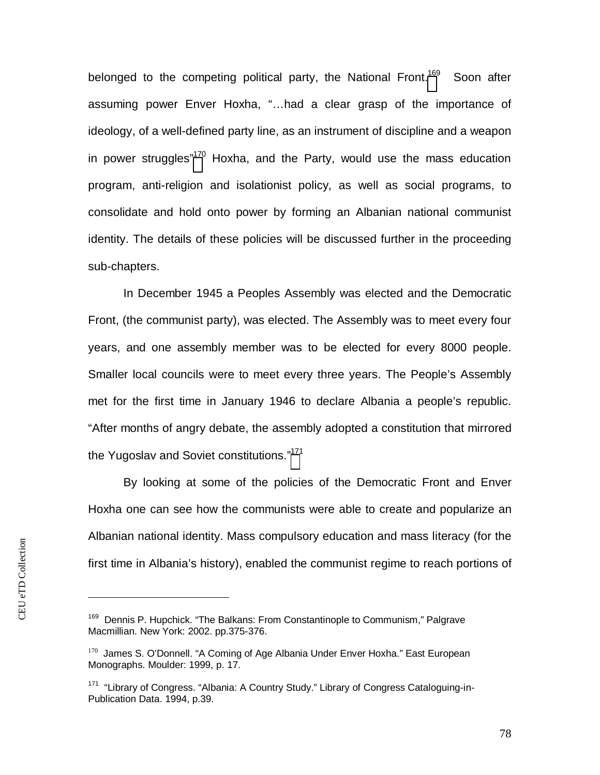belonged to the competing political party, the National Front.<sup>[169](#page-78-0)</sup> Soon after assuming power Enver Hoxha, "…had a clear grasp of the importance of ideology, of a well-defined party line, as an instrument of discipline and a weapon in power struggles<sup>"[170](#page-78-1)</sup> Hoxha, and the Party, would use the mass education program, anti-religion and isolationist policy, as well as social programs, to consolidate and hold onto power by forming an Albanian national communist identity. The details of these policies will be discussed further in the proceeding sub-chapters.

In December 1945 a Peoples Assembly was elected and the Democratic Front, (the communist party), was elected. The Assembly was to meet every four years, and one assembly member was to be elected for every 8000 people. Smaller local councils were to meet every three years. The People's Assembly met for the first time in January 1946 to declare Albania a people's republic. "After months of angry debate, the assembly adopted a constitution that mirrored the Yugoslav and Soviet constitutions."<sup>[171](#page-78-2)</sup>

By looking at some of the policies of the Democratic Front and Enver Hoxha one can see how the communists were able to create and popularize an Albanian national identity. Mass compulsory education and mass literacy (for the first time in Albania's history), enabled the communist regime to reach portions of

<span id="page-78-0"></span><sup>&</sup>lt;sup>169</sup> Dennis P. Hupchick. "The Balkans: From Constantinople to Communism," Palgrave Macmillian. New York: 2002. pp.375-376.

<span id="page-78-1"></span><sup>&</sup>lt;sup>170</sup> James S. O'Donnell. "A Coming of Age Albania Under Enver Hoxha." East European Monographs. Moulder: 1999, p. 17.

<span id="page-78-2"></span><sup>&</sup>lt;sup>171</sup> "Library of Congress. "Albania: A Country Study." Library of Congress Cataloguing-in-Publication Data. 1994, p.39.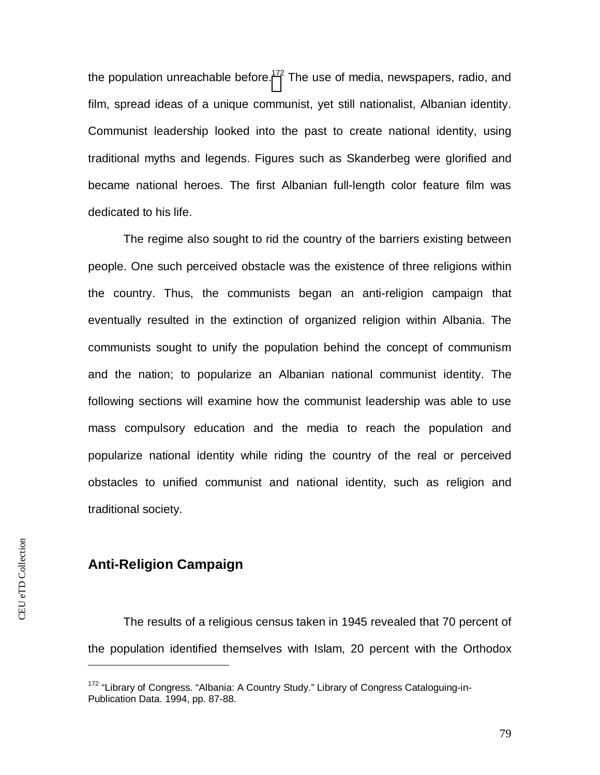the population unreachable before.<sup>[172](#page-79-0)</sup> The use of media, newspapers, radio, and film, spread ideas of a unique communist, yet still nationalist, Albanian identity. Communist leadership looked into the past to create national identity, using traditional myths and legends. Figures such as Skanderbeg were glorified and became national heroes. The first Albanian full-length color feature film was dedicated to his life.

The regime also sought to rid the country of the barriers existing between people. One such perceived obstacle was the existence of three religions within the country. Thus, the communists began an anti-religion campaign that eventually resulted in the extinction of organized religion within Albania. The communists sought to unify the population behind the concept of communism and the nation; to popularize an Albanian national communist identity. The following sections will examine how the communist leadership was able to use mass compulsory education and the media to reach the population and popularize national identity while riding the country of the real or perceived obstacles to unified communist and national identity, such as religion and traditional society.

### **Anti-Religion Campaign**

The results of a religious census taken in 1945 revealed that 70 percent of the population identified themselves with Islam, 20 percent with the Orthodox

<span id="page-79-0"></span><sup>&</sup>lt;sup>172</sup> "Library of Congress. "Albania: A Country Study." Library of Congress Cataloguing-in-Publication Data. 1994, pp. 87-88.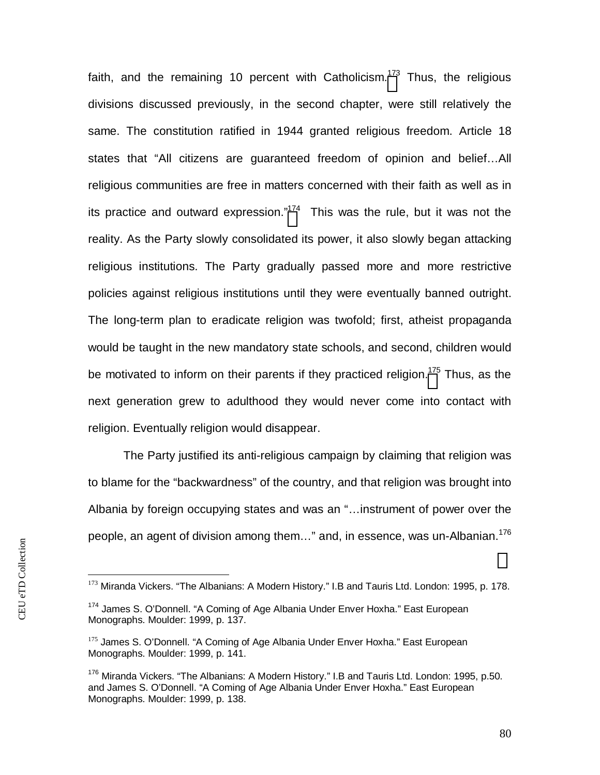faith, and the remaining 10 percent with Catholicism.<sup>[173](#page-80-0)</sup> Thus, the religious divisions discussed previously, in the second chapter, were still relatively the same. The constitution ratified in 1944 granted religious freedom. Article 18 states that "All citizens are guaranteed freedom of opinion and belief…All religious communities are free in matters concerned with their faith as well as in its practice and outward expression."<sup>[174](#page-80-1)</sup> This was the rule, but it was not the reality. As the Party slowly consolidated its power, it also slowly began attacking religious institutions. The Party gradually passed more and more restrictive policies against religious institutions until they were eventually banned outright. The long-term plan to eradicate religion was twofold; first, atheist propaganda would be taught in the new mandatory state schools, and second, children would be motivated to inform on their parents if they practiced religion.<sup>[175](#page-80-2)</sup> Thus, as the next generation grew to adulthood they would never come into contact with religion. Eventually religion would disappear.

The Party justified its anti-religious campaign by claiming that religion was to blame for the "backwardness" of the country, and that religion was brought into Albania by foreign occupying states and was an "…instrument of power over the people, an agent of division among them..." and, in essence, was un-Albanian.<sup>176</sup>

<span id="page-80-0"></span><sup>173</sup> Miranda Vickers. "The Albanians: A Modern History." I.B and Tauris Ltd. London: 1995, p. 178.

<span id="page-80-1"></span><sup>&</sup>lt;sup>174</sup> James S. O'Donnell. "A Coming of Age Albania Under Enver Hoxha." East European Monographs. Moulder: 1999, p. 137.

<span id="page-80-2"></span><sup>&</sup>lt;sup>175</sup> James S. O'Donnell. "A Coming of Age Albania Under Enver Hoxha." East European Monographs. Moulder: 1999, p. 141.

<sup>&</sup>lt;sup>176</sup> Miranda Vickers. "The Albanians: A Modern History." I.B and Tauris Ltd. London: 1995, p.50. and James S. O'Donnell. "A Coming of Age Albania Under Enver Hoxha." East European Monographs. Moulder: 1999, p. 138.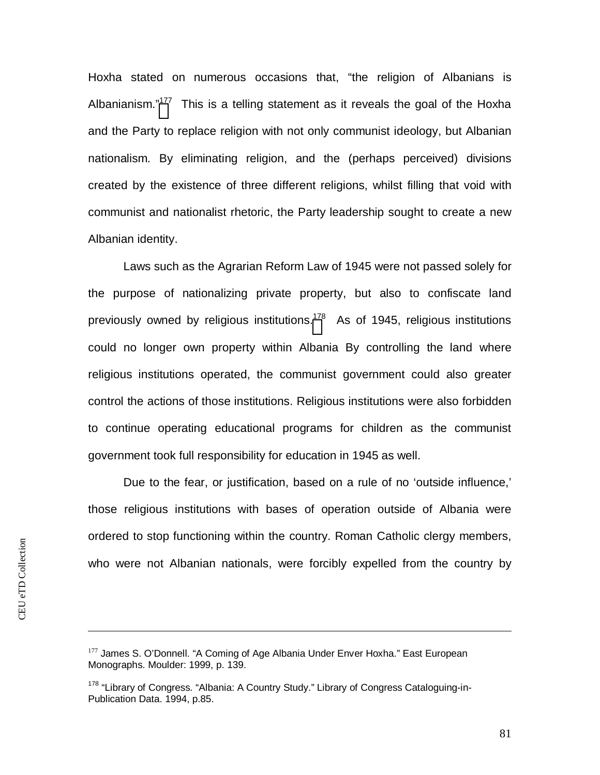Hoxha stated on numerous occasions that, "the religion of Albanians is Albanianism."<sup>[177](#page-81-0)</sup> This is a telling statement as it reveals the goal of the Hoxha and the Party to replace religion with not only communist ideology, but Albanian nationalism. By eliminating religion, and the (perhaps perceived) divisions created by the existence of three different religions, whilst filling that void with communist and nationalist rhetoric, the Party leadership sought to create a new Albanian identity.

Laws such as the Agrarian Reform Law of 1945 were not passed solely for the purpose of nationalizing private property, but also to confiscate land previously owned by religious institutions.<sup>[17](#page-81-1)8</sup> As of 1945, religious institutions could no longer own property within Albania By controlling the land where religious institutions operated, the communist government could also greater control the actions of those institutions. Religious institutions were also forbidden to continue operating educational programs for children as the communist government took full responsibility for education in 1945 as well.

Due to the fear, or justification, based on a rule of no 'outside influence,' those religious institutions with bases of operation outside of Albania were ordered to stop functioning within the country. Roman Catholic clergy members, who were not Albanian nationals, were forcibly expelled from the country by

<span id="page-81-0"></span><sup>&</sup>lt;sup>177</sup> James S. O'Donnell. "A Coming of Age Albania Under Enver Hoxha." East European Monographs. Moulder: 1999, p. 139.

<span id="page-81-1"></span><sup>&</sup>lt;sup>178</sup> "Library of Congress. "Albania: A Country Study." Library of Congress Cataloguing-in-Publication Data. 1994, p.85.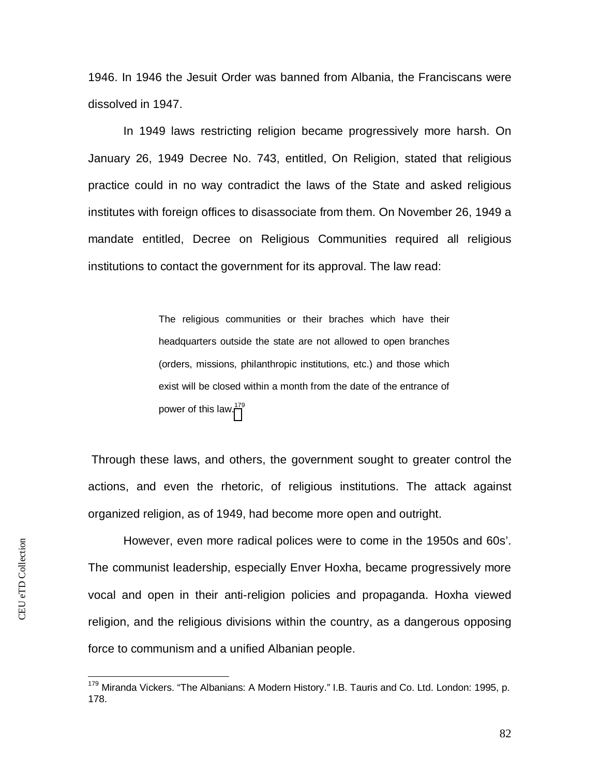1946. In 1946 the Jesuit Order was banned from Albania, the Franciscans were dissolved in 1947.

In 1949 laws restricting religion became progressively more harsh. On January 26, 1949 Decree No. 743, entitled, On Religion, stated that religious practice could in no way contradict the laws of the State and asked religious institutes with foreign offices to disassociate from them. On November 26, 1949 a mandate entitled, Decree on Religious Communities required all religious institutions to contact the government for its approval. The law read:

> The religious communities or their braches which have their headquarters outside the state are not allowed to open branches (orders, missions, philanthropic institutions, etc.) and those which exist will be closed within a month from the date of the entrance of power of this law[.](#page-82-0)<sup>179</sup>

 Through these laws, and others, the government sought to greater control the actions, and even the rhetoric, of religious institutions. The attack against organized religion, as of 1949, had become more open and outright.

However, even more radical polices were to come in the 1950s and 60s'. The communist leadership, especially Enver Hoxha, became progressively more vocal and open in their anti-religion policies and propaganda. Hoxha viewed religion, and the religious divisions within the country, as a dangerous opposing force to communism and a unified Albanian people.

<span id="page-82-0"></span><sup>&</sup>lt;sup>179</sup> Miranda Vickers. "The Albanians: A Modern History." I.B. Tauris and Co. Ltd. London: 1995, p. 178.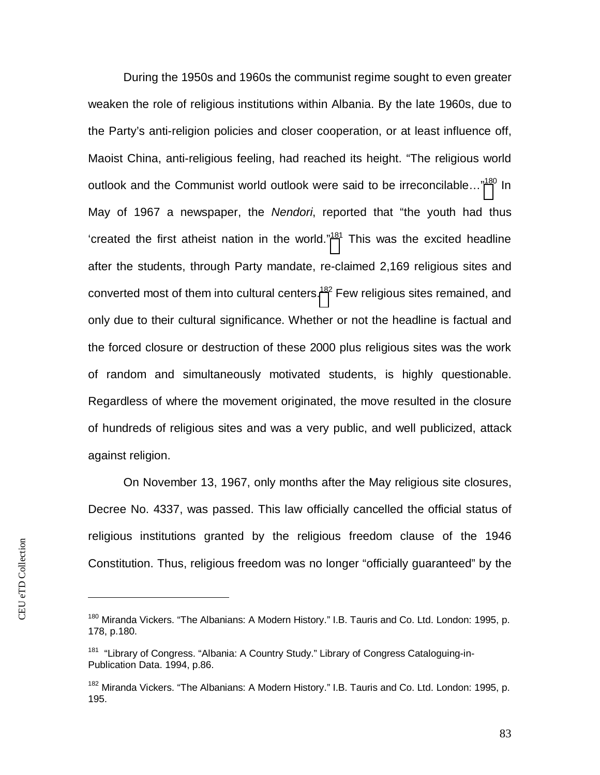During the 1950s and 1960s the communist regime sought to even greater weaken the role of religious institutions within Albania. By the late 1960s, due to the Party's anti-religion policies and closer cooperation, or at least influence off, Maoist China, anti-religious feeling, had reached its height. "The religious world outlook and the Communist world outlook were said to be irreconcilable...["](#page-83-0)<sup>180</sup> In May of 1967 a newspaper, the *Nendori*, reported that "the youth had thus 'created the first atheist nation in the world." $181$  This was the excited headline after the students, through Party mandate, re-claimed 2,169 religious sites and converted most of them into cultural centers.<sup>[18](#page-83-2)2</sup> Few religious sites remained, and only due to their cultural significance. Whether or not the headline is factual and the forced closure or destruction of these 2000 plus religious sites was the work of random and simultaneously motivated students, is highly questionable. Regardless of where the movement originated, the move resulted in the closure of hundreds of religious sites and was a very public, and well publicized, attack against religion.

On November 13, 1967, only months after the May religious site closures, Decree No. 4337, was passed. This law officially cancelled the official status of religious institutions granted by the religious freedom clause of the 1946 Constitution. Thus, religious freedom was no longer "officially guaranteed" by the

<span id="page-83-0"></span><sup>&</sup>lt;sup>180</sup> Miranda Vickers. "The Albanians: A Modern History." I.B. Tauris and Co. Ltd. London: 1995, p. 178, p.180.

<span id="page-83-1"></span><sup>&</sup>lt;sup>181</sup> "Library of Congress. "Albania: A Country Study." Library of Congress Cataloguing-in-Publication Data. 1994, p.86.

<span id="page-83-2"></span><sup>&</sup>lt;sup>182</sup> Miranda Vickers. "The Albanians: A Modern History." I.B. Tauris and Co. Ltd. London: 1995, p. 195.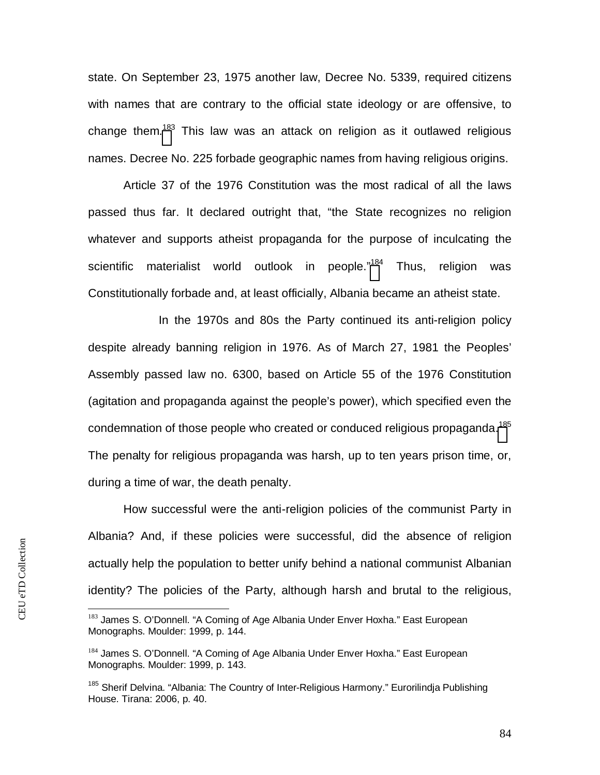state. On September 23, 1975 another law, Decree No. 5339, required citizens with names that are contrary to the official state ideology or are offensive, to change them.<sup>[183](#page-84-0)</sup> This law was an attack on religion as it outlawed religious names. Decree No. 225 forbade geographic names from having religious origins.

Article 37 of the 1976 Constitution was the most radical of all the laws passed thus far. It declared outright that, "the State recognizes no religion whatever and supports atheist propaganda for the purpose of inculcating the scientific materialist world outlook in people."<sup>[184](#page-84-1)</sup> Thus, religion was Constitutionally forbade and, at least officially, Albania became an atheist state.

In the 1970s and 80s the Party continued its anti-religion policy despite already banning religion in 1976. As of March 27, 1981 the Peoples' Assembly passed law no. 6300, based on Article 55 of the 1976 Constitution (agitation and propaganda against the people's power), which specified even the condemnation of those people who created or conduced religious propaganda.<sup>[185](#page-84-2)</sup> The penalty for religious propaganda was harsh, up to ten years prison time, or, during a time of war, the death penalty.

How successful were the anti-religion policies of the communist Party in Albania? And, if these policies were successful, did the absence of religion actually help the population to better unify behind a national communist Albanian identity? The policies of the Party, although harsh and brutal to the religious,

<span id="page-84-0"></span><sup>&</sup>lt;sup>183</sup> James S. O'Donnell. "A Coming of Age Albania Under Enver Hoxha." East European Monographs. Moulder: 1999, p. 144.

<span id="page-84-1"></span><sup>&</sup>lt;sup>184</sup> James S. O'Donnell. "A Coming of Age Albania Under Enver Hoxha." East European Monographs. Moulder: 1999, p. 143.

<span id="page-84-2"></span><sup>&</sup>lt;sup>185</sup> Sherif Delvina. "Albania: The Country of Inter-Religious Harmony." Eurorilindja Publishing House. Tirana: 2006, p. 40.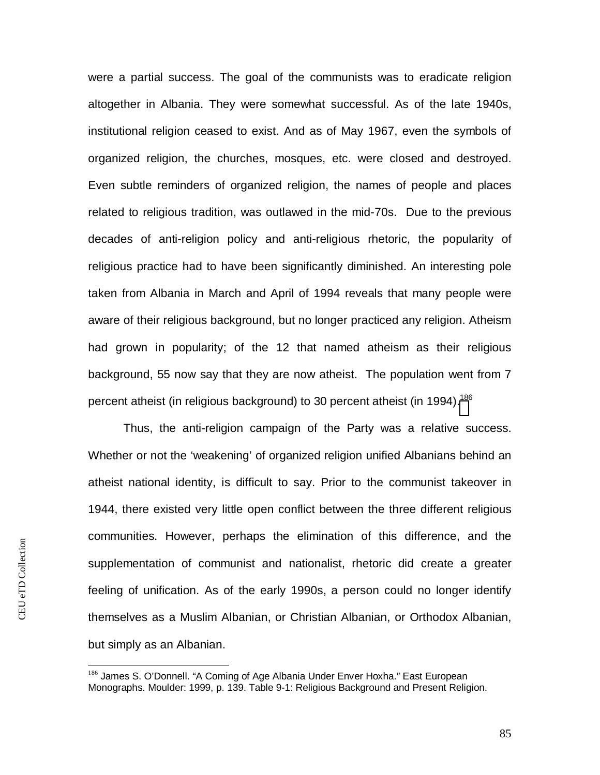were a partial success. The goal of the communists was to eradicate religion altogether in Albania. They were somewhat successful. As of the late 1940s, institutional religion ceased to exist. And as of May 1967, even the symbols of organized religion, the churches, mosques, etc. were closed and destroyed. Even subtle reminders of organized religion, the names of people and places related to religious tradition, was outlawed in the mid-70s. Due to the previous decades of anti-religion policy and anti-religious rhetoric, the popularity of religious practice had to have been significantly diminished. An interesting pole taken from Albania in March and April of 1994 reveals that many people were aware of their religious background, but no longer practiced any religion. Atheism had grown in popularity; of the 12 that named atheism as their religious background, 55 now say that they are now atheist. The population went from 7 percent atheist (in religious background) to 30 percent atheist (in 1994).<sup>[18](#page-85-0)6</sup>

Thus, the anti-religion campaign of the Party was a relative success. Whether or not the 'weakening' of organized religion unified Albanians behind an atheist national identity, is difficult to say. Prior to the communist takeover in 1944, there existed very little open conflict between the three different religious communities. However, perhaps the elimination of this difference, and the supplementation of communist and nationalist, rhetoric did create a greater feeling of unification. As of the early 1990s, a person could no longer identify themselves as a Muslim Albanian, or Christian Albanian, or Orthodox Albanian, but simply as an Albanian.

<span id="page-85-0"></span><sup>186</sup> James S. O'Donnell. "A Coming of Age Albania Under Enver Hoxha." East European Monographs. Moulder: 1999, p. 139. Table 9-1: Religious Background and Present Religion.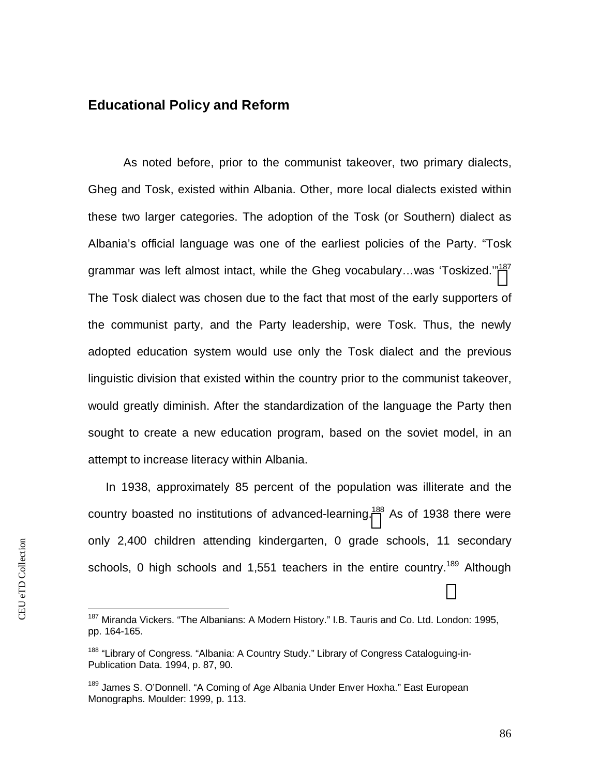### **Educational Policy and Reform**

As noted before, prior to the communist takeover, two primary dialects, Gheg and Tosk, existed within Albania. Other, more local dialects existed within these two larger categories. The adoption of the Tosk (or Southern) dialect as Albania's official language was one of the earliest policies of the Party. "Tosk grammar was left almost intact, while the Gheg vocabulary...was 'Toskized."<sup>[187](#page-86-0)</sup> The Tosk dialect was chosen due to the fact that most of the early supporters of the communist party, and the Party leadership, were Tosk. Thus, the newly adopted education system would use only the Tosk dialect and the previous linguistic division that existed within the country prior to the communist takeover, would greatly diminish. After the standardization of the language the Party then sought to create a new education program, based on the soviet model, in an attempt to increase literacy within Albania.

In 1938, approximately 85 percent of the population was illiterate and the country boasted no institutions of advanced-learning.<sup>[18](#page-86-1)8</sup> As of 1938 there were only 2,400 children attending kindergarten, 0 grade schools, 11 secondary schools, 0 high schools and 1,551 teachers in the entire country.<sup>189</sup> Although

<span id="page-86-0"></span><sup>&</sup>lt;sup>187</sup> Miranda Vickers. "The Albanians: A Modern History." I.B. Tauris and Co. Ltd. London: 1995, pp. 164-165.

<span id="page-86-1"></span><sup>&</sup>lt;sup>188</sup> "Library of Congress. "Albania: A Country Study." Library of Congress Cataloguing-in-Publication Data. 1994, p. 87, 90.

<sup>&</sup>lt;sup>189</sup> James S. O'Donnell. "A Coming of Age Albania Under Enver Hoxha." East European Monographs. Moulder: 1999, p. 113.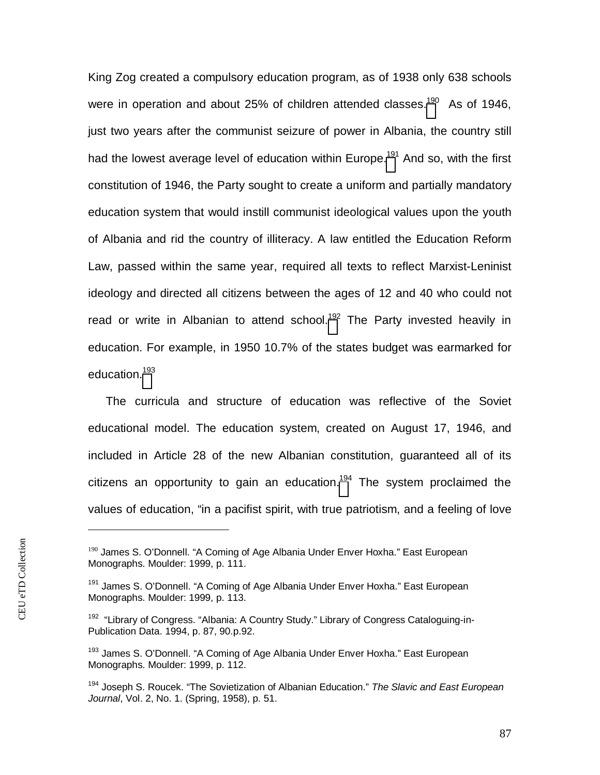King Zog created a compulsory education program, as of 1938 only 638 schools were in operation and about 25% of children attended classes.<sup>[190](#page-87-0)</sup> As of 1946, just two years after the communist seizure of power in Albania, the country still had the lowest average level of education within Europe.<sup>[191](#page-87-1)</sup> And so, with the first constitution of 1946, the Party sought to create a uniform and partially mandatory education system that would instill communist ideological values upon the youth of Albania and rid the country of illiteracy. A law entitled the Education Reform Law, passed within the same year, required all texts to reflect Marxist-Leninist ideology and directed all citizens between the ages of 12 and 40 who could not read or write in Albanian to attend school.<sup>[192](#page-87-2)</sup> The Party invested heavily in education. For example, in 1950 10.7% of the states budget was earmarked for education.<sup>[19](#page-87-3)3</sup>

The curricula and structure of education was reflective of the Soviet educational model. The education system, created on August 17, 1946, and included in Article 28 of the new Albanian constitution, guaranteed all of its citizens an opportunity to gain an education.<sup>[194](#page-87-4)</sup> The system proclaimed the values of education, "in a pacifist spirit, with true patriotism, and a feeling of love

<span id="page-87-0"></span><sup>&</sup>lt;sup>190</sup> James S. O'Donnell. "A Coming of Age Albania Under Enver Hoxha." East European Monographs. Moulder: 1999, p. 111.

<span id="page-87-1"></span><sup>&</sup>lt;sup>191</sup> James S. O'Donnell. "A Coming of Age Albania Under Enver Hoxha." East European Monographs. Moulder: 1999, p. 113.

<span id="page-87-2"></span><sup>&</sup>lt;sup>192</sup> "Library of Congress. "Albania: A Country Study." Library of Congress Cataloguing-in-Publication Data. 1994, p. 87, 90.p.92.

<span id="page-87-3"></span><sup>&</sup>lt;sup>193</sup> James S. O'Donnell. "A Coming of Age Albania Under Enver Hoxha." East European Monographs. Moulder: 1999, p. 112.

<span id="page-87-4"></span><sup>194</sup> Joseph S. Roucek. "The Sovietization of Albanian Education." *The Slavic and East European Journal*, Vol. 2, No. 1. (Spring, 1958), p. 51.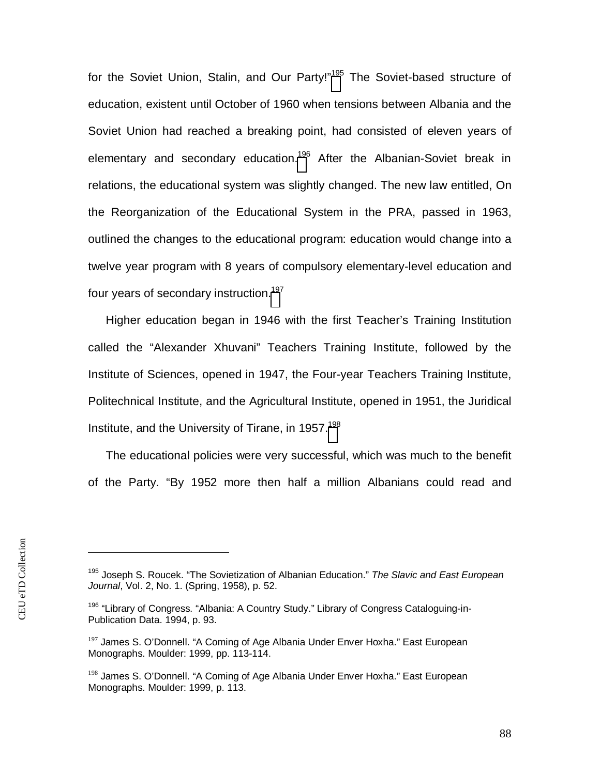for the Soviet Union, Stalin, and Our Party!"<sup>[195](#page-88-0)</sup> The Soviet-based structure of education, existent until October of 1960 when tensions between Albania and the Soviet Union had reached a breaking point, had consisted of eleven years of elementary and secondary education.<sup>[196](#page-88-1)</sup> After the Albanian-Soviet break in relations, the educational system was slightly changed. The new law entitled, On the Reorganization of the Educational System in the PRA, passed in 1963, outlined the changes to the educational program: education would change into a twelve year program with 8 years of compulsory elementary-level education and four years of secondary instruction.<sup>[197](#page-88-2)</sup>

Higher education began in 1946 with the first Teacher's Training Institution called the "Alexander Xhuvani" Teachers Training Institute, followed by the Institute of Sciences, opened in 1947, the Four-year Teachers Training Institute, Politechnical Institute, and the Agricultural Institute, opened in 1951, the Juridical Institute, and the University of Tirane, in 1957.<sup>[198](#page-88-3)</sup>

The educational policies were very successful, which was much to the benefit of the Party. "By 1952 more then half a million Albanians could read and

<span id="page-88-0"></span><sup>195</sup> Joseph S. Roucek. "The Sovietization of Albanian Education." *The Slavic and East European Journal*, Vol. 2, No. 1. (Spring, 1958), p. 52.

<span id="page-88-1"></span><sup>&</sup>lt;sup>196</sup> "Library of Congress. "Albania: A Country Study." Library of Congress Cataloguing-in-Publication Data. 1994, p. 93.

<span id="page-88-2"></span><sup>&</sup>lt;sup>197</sup> James S. O'Donnell. "A Coming of Age Albania Under Enver Hoxha." East European Monographs. Moulder: 1999, pp. 113-114.

<span id="page-88-3"></span><sup>&</sup>lt;sup>198</sup> James S. O'Donnell. "A Coming of Age Albania Under Enver Hoxha." East European Monographs. Moulder: 1999, p. 113.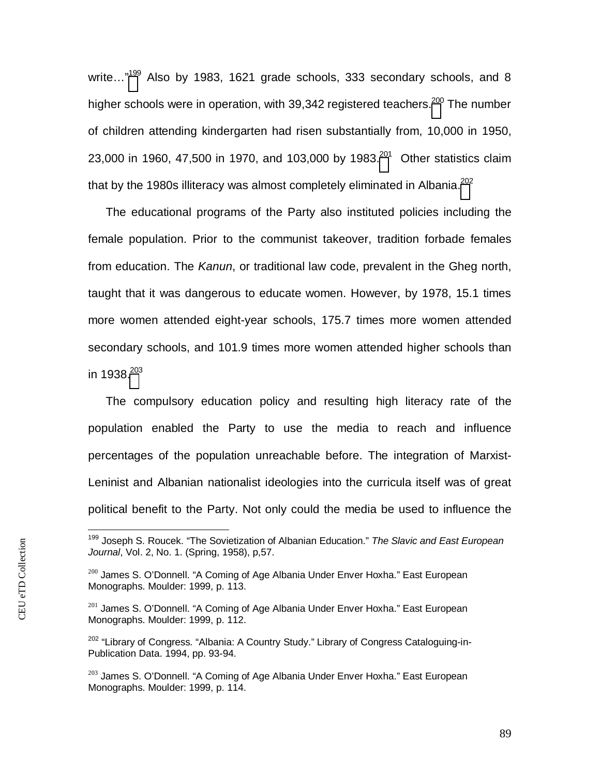write..."<sup>[199](#page-89-0)</sup> Also by 1983, 1621 grade schools, 333 secondary schools, and 8 higher schools were in operation, with 39,342 registered teachers.<sup>[200](#page-89-1)</sup> The number of children attending kindergarten had risen substantially from, 10,000 in 1950, 23,000 in 1960, 47,500 in 1970, and 103,000 by 1983.<sup>[201](#page-89-2)</sup> Other statistics claim that by the 1980s illiteracy was almost completely eliminated in Albania. $^{202}$  $^{202}$  $^{202}$ 

The educational programs of the Party also instituted policies including the female population. Prior to the communist takeover, tradition forbade females from education. The *Kanun*, or traditional law code, prevalent in the Gheg north, taught that it was dangerous to educate women. However, by 1978, 15.1 times more women attended eight-year schools, 175.7 times more women attended secondary schools, and 101.9 times more women attended higher schools than in 1938. $^{203}$  $^{203}$  $^{203}$ 

The compulsory education policy and resulting high literacy rate of the population enabled the Party to use the media to reach and influence percentages of the population unreachable before. The integration of Marxist-Leninist and Albanian nationalist ideologies into the curricula itself was of great political benefit to the Party. Not only could the media be used to influence the

<span id="page-89-0"></span><sup>199</sup> Joseph S. Roucek. "The Sovietization of Albanian Education." *The Slavic and East European Journal*, Vol. 2, No. 1. (Spring, 1958), p,57.

<span id="page-89-1"></span><sup>&</sup>lt;sup>200</sup> James S. O'Donnell. "A Coming of Age Albania Under Enver Hoxha." East European Monographs. Moulder: 1999, p. 113.

<span id="page-89-2"></span><sup>&</sup>lt;sup>201</sup> James S. O'Donnell. "A Coming of Age Albania Under Enver Hoxha." East European Monographs. Moulder: 1999, p. 112.

<span id="page-89-3"></span><sup>&</sup>lt;sup>202</sup> "Library of Congress. "Albania: A Country Study." Library of Congress Cataloguing-in-Publication Data. 1994, pp. 93-94.

<span id="page-89-4"></span><sup>&</sup>lt;sup>203</sup> James S. O'Donnell. "A Coming of Age Albania Under Enver Hoxha." East European Monographs. Moulder: 1999, p. 114.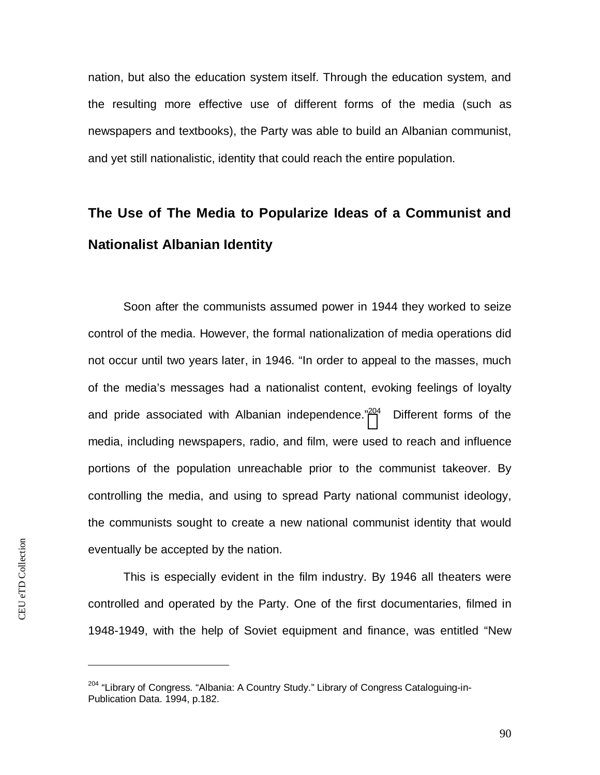nation, but also the education system itself. Through the education system, and the resulting more effective use of different forms of the media (such as newspapers and textbooks), the Party was able to build an Albanian communist, and yet still nationalistic, identity that could reach the entire population.

## **The Use of The Media to Popularize Ideas of a Communist and Nationalist Albanian Identity**

Soon after the communists assumed power in 1944 they worked to seize control of the media. However, the formal nationalization of media operations did not occur until two years later, in 1946. "In order to appeal to the masses, much of the media's messages had a nationalist content, evoking feelings of loyalty and pride associated with Albanian independence."<sup>[204](#page-90-0)</sup> Different forms of the media, including newspapers, radio, and film, were used to reach and influence portions of the population unreachable prior to the communist takeover. By controlling the media, and using to spread Party national communist ideology, the communists sought to create a new national communist identity that would eventually be accepted by the nation.

This is especially evident in the film industry. By 1946 all theaters were controlled and operated by the Party. One of the first documentaries, filmed in 1948-1949, with the help of Soviet equipment and finance, was entitled "New

<span id="page-90-0"></span><sup>&</sup>lt;sup>204</sup> "Library of Congress. "Albania: A Country Study." Library of Congress Cataloguing-in-Publication Data. 1994, p.182.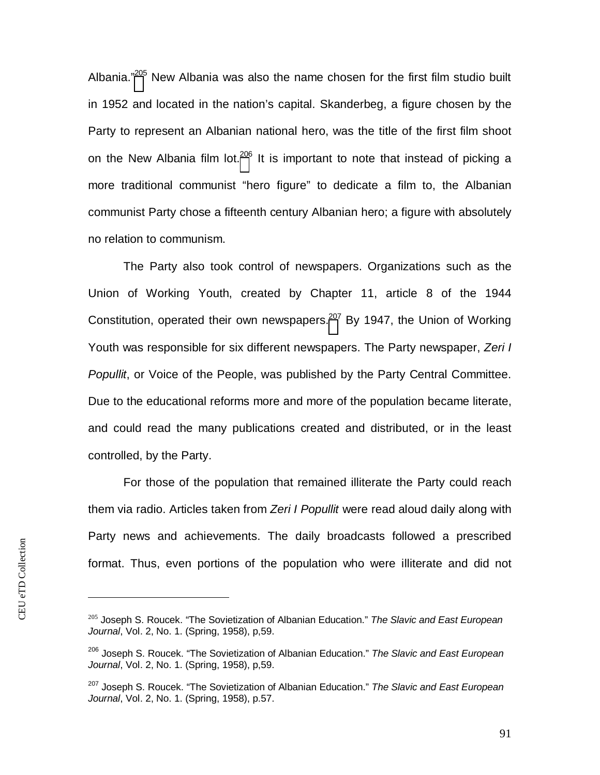Albania."[205](#page-91-0) New Albania was also the name chosen for the first film studio built in 1952 and located in the nation's capital. Skanderbeg, a figure chosen by the Party to represent an Albanian national hero, was the title of the first film shoot on the New Albania film lot.<sup>[206](#page-91-1)</sup> It is important to note that instead of picking a more traditional communist "hero figure" to dedicate a film to, the Albanian communist Party chose a fifteenth century Albanian hero; a figure with absolutely no relation to communism.

The Party also took control of newspapers. Organizations such as the Union of Working Youth, created by Chapter 11, article 8 of the 1944 Constitution, operated their own newspapers.<sup>[207](#page-91-2)</sup> By 1947, the Union of Working Youth was responsible for six different newspapers. The Party newspaper, *Zeri I Popullit*, or Voice of the People, was published by the Party Central Committee. Due to the educational reforms more and more of the population became literate, and could read the many publications created and distributed, or in the least controlled, by the Party.

For those of the population that remained illiterate the Party could reach them via radio. Articles taken from *Zeri I Popullit* were read aloud daily along with Party news and achievements. The daily broadcasts followed a prescribed format. Thus, even portions of the population who were illiterate and did not

<span id="page-91-0"></span><sup>205</sup> Joseph S. Roucek. "The Sovietization of Albanian Education." *The Slavic and East European Journal*, Vol. 2, No. 1. (Spring, 1958), p,59.

<span id="page-91-1"></span><sup>206</sup> Joseph S. Roucek. "The Sovietization of Albanian Education." *The Slavic and East European Journal*, Vol. 2, No. 1. (Spring, 1958), p,59.

<span id="page-91-2"></span><sup>207</sup> Joseph S. Roucek. "The Sovietization of Albanian Education." *The Slavic and East European Journal*, Vol. 2, No. 1. (Spring, 1958), p.57.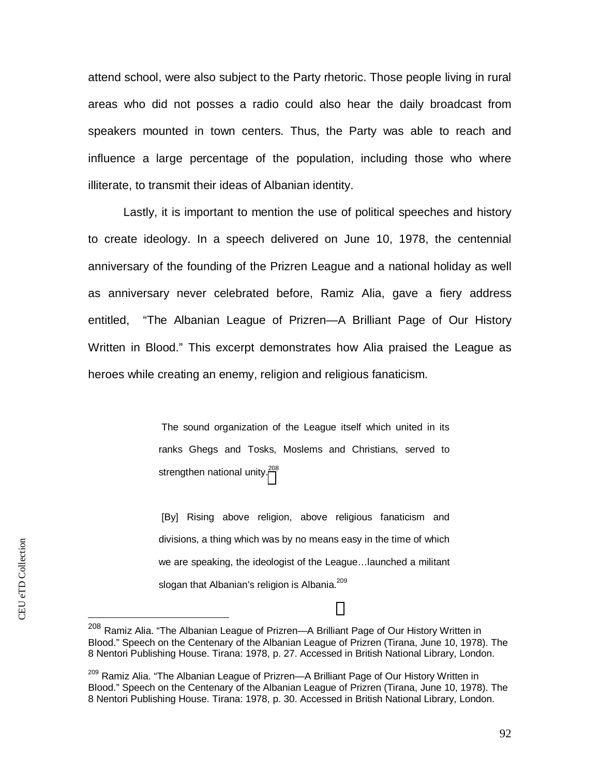attend school, were also subject to the Party rhetoric. Those people living in rural areas who did not posses a radio could also hear the daily broadcast from speakers mounted in town centers. Thus, the Party was able to reach and influence a large percentage of the population, including those who where illiterate, to transmit their ideas of Albanian identity.

Lastly, it is important to mention the use of political speeches and history to create ideology. In a speech delivered on June 10, 1978, the centennial anniversary of the founding of the Prizren League and a national holiday as well as anniversary never celebrated before, Ramiz Alia, gave a fiery address entitled, "The Albanian League of Prizren—A Brilliant Page of Our History Written in Blood." This excerpt demonstrates how Alia praised the League as heroes while creating an enemy, religion and religious fanaticism.

> The sound organization of the League itself which united in its ranks Ghegs and Tosks, Moslems and Christians, served to strengthen national unity.<sup>[20](#page-92-0)8</sup>

> [By] Rising above religion, above religious fanaticism and divisions, a thing which was by no means easy in the time of which we are speaking, the ideologist of the League…launched a militant slogan that Albanian's religion is Albania.<sup>209</sup>

<span id="page-92-0"></span><sup>208</sup> Ramiz Alia. "The Albanian League of Prizren—A Brilliant Page of Our History Written in Blood." Speech on the Centenary of the Albanian League of Prizren (Tirana, June 10, 1978). The 8 Nentori Publishing House. Tirana: 1978, p. 27. Accessed in British National Library, London.

<sup>&</sup>lt;sup>209</sup> Ramiz Alia. "The Albanian League of Prizren—A Brilliant Page of Our History Written in Blood." Speech on the Centenary of the Albanian League of Prizren (Tirana, June 10, 1978). The 8 Nentori Publishing House. Tirana: 1978, p. 30. Accessed in British National Library, London.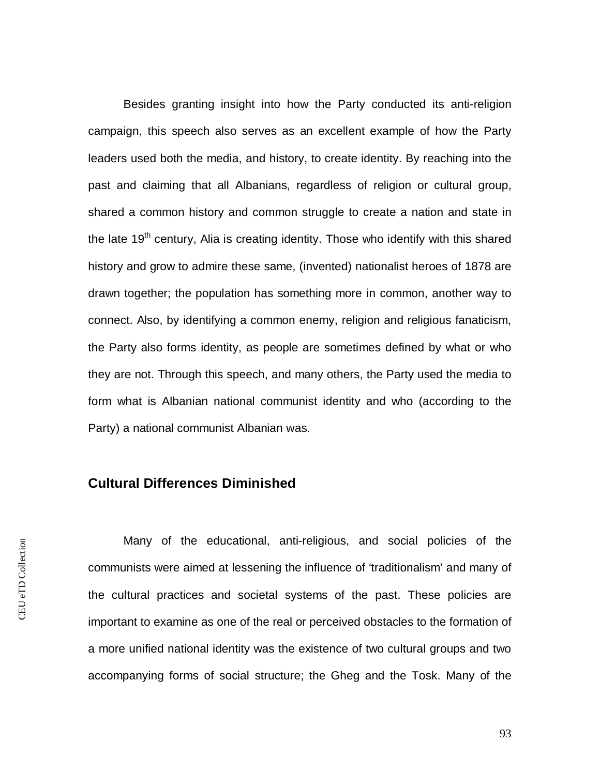Besides granting insight into how the Party conducted its anti-religion campaign, this speech also serves as an excellent example of how the Party leaders used both the media, and history, to create identity. By reaching into the past and claiming that all Albanians, regardless of religion or cultural group, shared a common history and common struggle to create a nation and state in the late  $19<sup>th</sup>$  century, Alia is creating identity. Those who identify with this shared history and grow to admire these same, (invented) nationalist heroes of 1878 are drawn together; the population has something more in common, another way to connect. Also, by identifying a common enemy, religion and religious fanaticism, the Party also forms identity, as people are sometimes defined by what or who they are not. Through this speech, and many others, the Party used the media to form what is Albanian national communist identity and who (according to the Party) a national communist Albanian was.

#### **Cultural Differences Diminished**

Many of the educational, anti-religious, and social policies of the communists were aimed at lessening the influence of 'traditionalism' and many of the cultural practices and societal systems of the past. These policies are important to examine as one of the real or perceived obstacles to the formation of a more unified national identity was the existence of two cultural groups and two accompanying forms of social structure; the Gheg and the Tosk. Many of the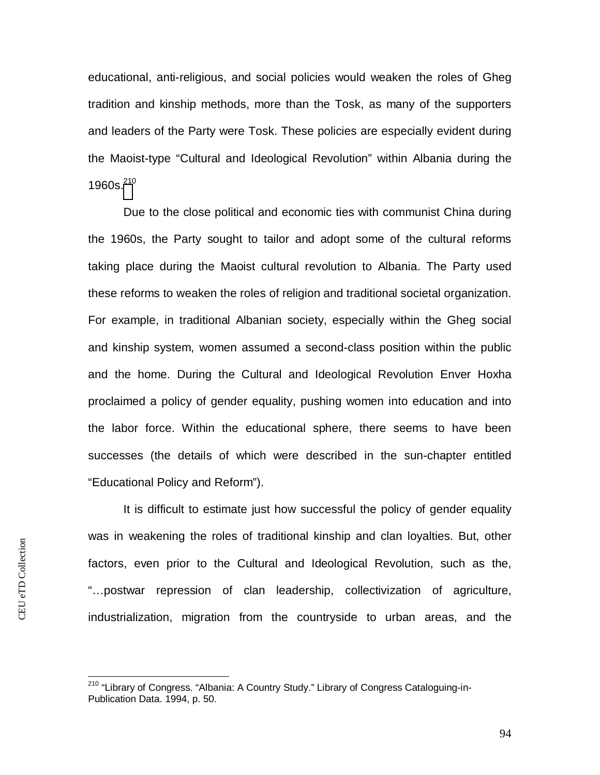educational, anti-religious, and social policies would weaken the roles of Gheg tradition and kinship methods, more than the Tosk, as many of the supporters and leaders of the Party were Tosk. These policies are especially evident during the Maoist-type "Cultural and Ideological Revolution" within Albania during the 1960s. $^{210}$  $^{210}$  $^{210}$ 

Due to the close political and economic ties with communist China during the 1960s, the Party sought to tailor and adopt some of the cultural reforms taking place during the Maoist cultural revolution to Albania. The Party used these reforms to weaken the roles of religion and traditional societal organization. For example, in traditional Albanian society, especially within the Gheg social and kinship system, women assumed a second-class position within the public and the home. During the Cultural and Ideological Revolution Enver Hoxha proclaimed a policy of gender equality, pushing women into education and into the labor force. Within the educational sphere, there seems to have been successes (the details of which were described in the sun-chapter entitled "Educational Policy and Reform").

It is difficult to estimate just how successful the policy of gender equality was in weakening the roles of traditional kinship and clan loyalties. But, other factors, even prior to the Cultural and Ideological Revolution, such as the, "…postwar repression of clan leadership, collectivization of agriculture, industrialization, migration from the countryside to urban areas, and the

<span id="page-94-0"></span><sup>&</sup>lt;sup>210</sup> "Library of Congress. "Albania: A Country Study." Library of Congress Cataloguing-in-Publication Data. 1994, p. 50.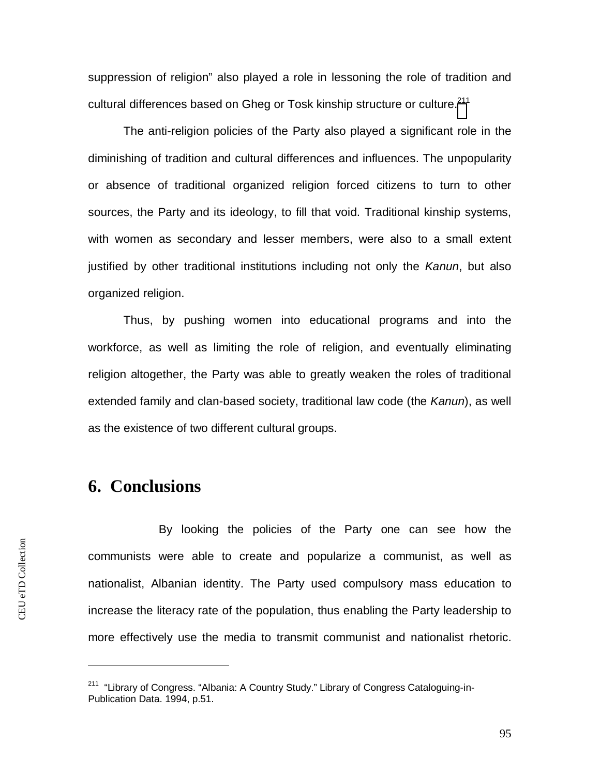suppression of religion" also played a role in lessoning the role of tradition and cultural differences based on Gheg or Tosk kinship structure or culture.<sup>[211](#page-95-0)</sup>

The anti-religion policies of the Party also played a significant role in the diminishing of tradition and cultural differences and influences. The unpopularity or absence of traditional organized religion forced citizens to turn to other sources, the Party and its ideology, to fill that void. Traditional kinship systems, with women as secondary and lesser members, were also to a small extent justified by other traditional institutions including not only the *Kanun*, but also organized religion.

Thus, by pushing women into educational programs and into the workforce, as well as limiting the role of religion, and eventually eliminating religion altogether, the Party was able to greatly weaken the roles of traditional extended family and clan-based society, traditional law code (the *Kanun*), as well as the existence of two different cultural groups.

## **6. Conclusions**

By looking the policies of the Party one can see how the communists were able to create and popularize a communist, as well as nationalist, Albanian identity. The Party used compulsory mass education to increase the literacy rate of the population, thus enabling the Party leadership to more effectively use the media to transmit communist and nationalist rhetoric.

<span id="page-95-0"></span><sup>&</sup>lt;sup>211</sup> "Library of Congress. "Albania: A Country Study." Library of Congress Cataloguing-in-Publication Data. 1994, p.51.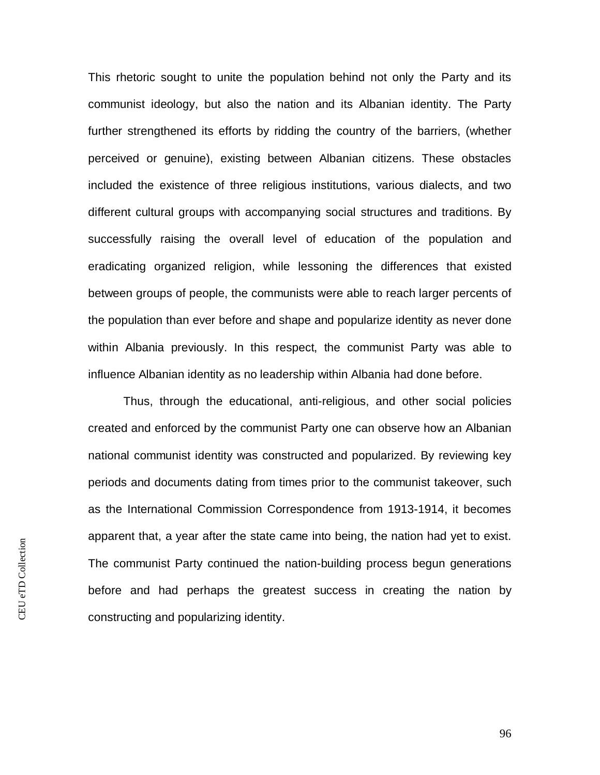This rhetoric sought to unite the population behind not only the Party and its communist ideology, but also the nation and its Albanian identity. The Party further strengthened its efforts by ridding the country of the barriers, (whether perceived or genuine), existing between Albanian citizens. These obstacles included the existence of three religious institutions, various dialects, and two different cultural groups with accompanying social structures and traditions. By successfully raising the overall level of education of the population and eradicating organized religion, while lessoning the differences that existed between groups of people, the communists were able to reach larger percents of the population than ever before and shape and popularize identity as never done within Albania previously. In this respect, the communist Party was able to influence Albanian identity as no leadership within Albania had done before.

Thus, through the educational, anti-religious, and other social policies created and enforced by the communist Party one can observe how an Albanian national communist identity was constructed and popularized. By reviewing key periods and documents dating from times prior to the communist takeover, such as the International Commission Correspondence from 1913-1914, it becomes apparent that, a year after the state came into being, the nation had yet to exist. The communist Party continued the nation-building process begun generations before and had perhaps the greatest success in creating the nation by constructing and popularizing identity.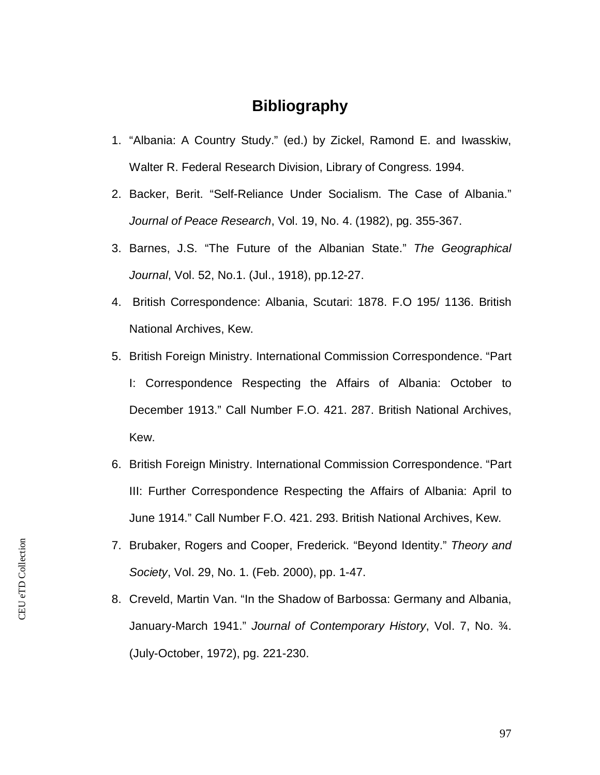## **Bibliography**

- 1. "Albania: A Country Study." (ed.) by Zickel, Ramond E. and Iwasskiw, Walter R. Federal Research Division, Library of Congress. 1994.
- 2. Backer, Berit. "Self-Reliance Under Socialism. The Case of Albania." *Journal of Peace Research*, Vol. 19, No. 4. (1982), pg. 355-367.
- 3. Barnes, J.S. "The Future of the Albanian State." *The Geographical Journal*, Vol. 52, No.1. (Jul., 1918), pp.12-27.
- 4. British Correspondence: Albania, Scutari: 1878. F.O 195/ 1136. British National Archives, Kew.
- 5. British Foreign Ministry. International Commission Correspondence. "Part I: Correspondence Respecting the Affairs of Albania: October to December 1913." Call Number F.O. 421. 287. British National Archives, Kew.
- 6. British Foreign Ministry. International Commission Correspondence. "Part III: Further Correspondence Respecting the Affairs of Albania: April to June 1914." Call Number F.O. 421. 293. British National Archives, Kew.
- 7. Brubaker, Rogers and Cooper, Frederick. "Beyond Identity." *Theory and Society*, Vol. 29, No. 1. (Feb. 2000), pp. 1-47.
- 8. Creveld, Martin Van. "In the Shadow of Barbossa: Germany and Albania, January-March 1941." *Journal of Contemporary History*, Vol. 7, No. ¾. (July-October, 1972), pg. 221-230.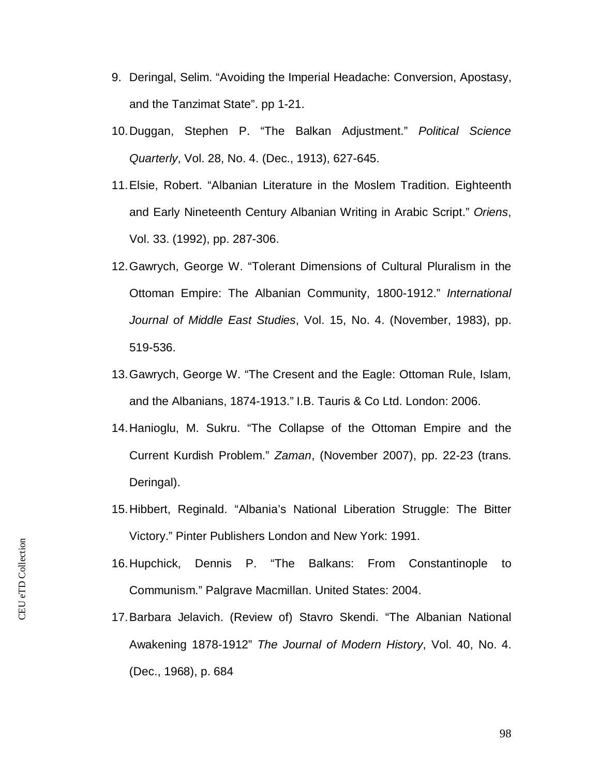- 9. Deringal, Selim. "Avoiding the Imperial Headache: Conversion, Apostasy, and the Tanzimat State". pp 1-21.
- 10. Duggan, Stephen P. "The Balkan Adjustment." *Political Science Quarterly*, Vol. 28, No. 4. (Dec., 1913), 627-645.
- 11. Elsie, Robert. "Albanian Literature in the Moslem Tradition. Eighteenth and Early Nineteenth Century Albanian Writing in Arabic Script." *Oriens*, Vol. 33. (1992), pp. 287-306.
- 12. Gawrych, George W. "Tolerant Dimensions of Cultural Pluralism in the Ottoman Empire: The Albanian Community, 1800-1912." *International Journal of Middle East Studies*, Vol. 15, No. 4. (November, 1983), pp. 519-536.
- 13. Gawrych, George W. "The Cresent and the Eagle: Ottoman Rule, Islam, and the Albanians, 1874-1913." I.B. Tauris & Co Ltd. London: 2006.
- 14. Hanioglu, M. Sukru. "The Collapse of the Ottoman Empire and the Current Kurdish Problem." *Zaman*, (November 2007), pp. 22-23 (trans. Deringal).
- 15. Hibbert, Reginald. "Albania's National Liberation Struggle: The Bitter Victory." Pinter Publishers London and New York: 1991.
- 16. Hupchick, Dennis P. "The Balkans: From Constantinople to Communism." Palgrave Macmillan. United States: 2004.
- 17. Barbara Jelavich. (Review of) Stavro Skendi. "The Albanian National Awakening 1878-1912" *The Journal of Modern History*, Vol. 40, No. 4. (Dec., 1968), p. 684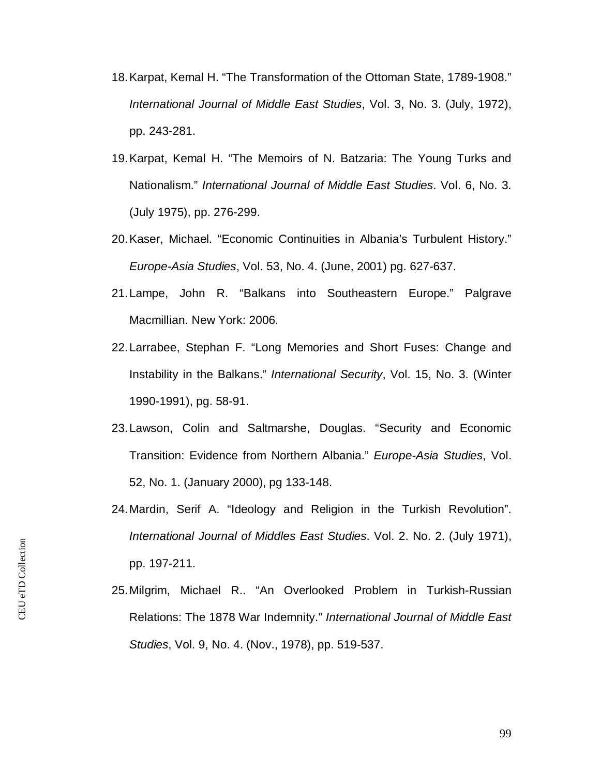- 18. Karpat, Kemal H. "The Transformation of the Ottoman State, 1789-1908." *International Journal of Middle East Studies*, Vol. 3, No. 3. (July, 1972), pp. 243-281.
- 19. Karpat, Kemal H. "The Memoirs of N. Batzaria: The Young Turks and Nationalism." *International Journal of Middle East Studies*. Vol. 6, No. 3. (July 1975), pp. 276-299.
- 20. Kaser, Michael. "Economic Continuities in Albania's Turbulent History." *Europe-Asia Studies*, Vol. 53, No. 4. (June, 2001) pg. 627-637.
- 21. Lampe, John R. "Balkans into Southeastern Europe." Palgrave Macmillian. New York: 2006.
- 22. Larrabee, Stephan F. "Long Memories and Short Fuses: Change and Instability in the Balkans." *International Security*, Vol. 15, No. 3. (Winter 1990-1991), pg. 58-91.
- 23. Lawson, Colin and Saltmarshe, Douglas. "Security and Economic Transition: Evidence from Northern Albania." *Europe-Asia Studies*, Vol. 52, No. 1. (January 2000), pg 133-148.
- 24. Mardin, Serif A. "Ideology and Religion in the Turkish Revolution". *International Journal of Middles East Studies*. Vol. 2. No. 2. (July 1971), pp. 197-211.
- 25. Milgrim, Michael R.. "An Overlooked Problem in Turkish-Russian Relations: The 1878 War Indemnity." *International Journal of Middle East Studies*, Vol. 9, No. 4. (Nov., 1978), pp. 519-537.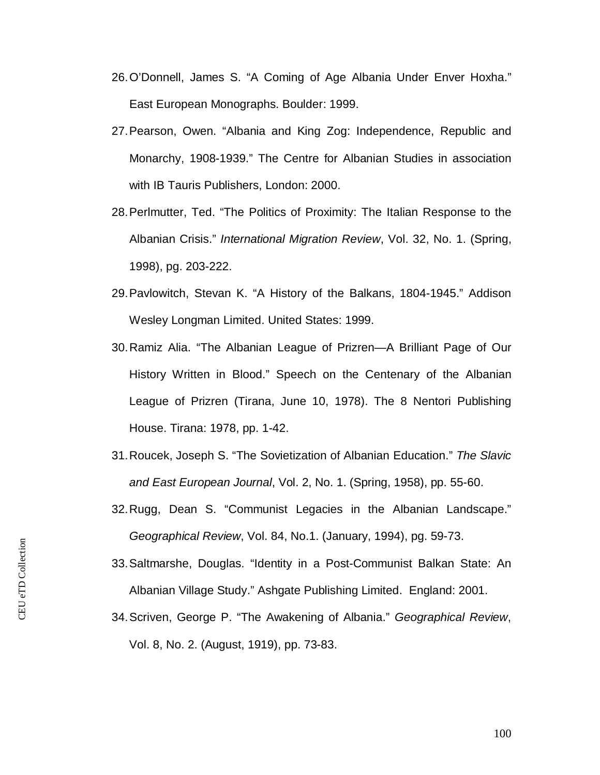- 26. O'Donnell, James S. "A Coming of Age Albania Under Enver Hoxha." East European Monographs. Boulder: 1999.
- 27. Pearson, Owen. "Albania and King Zog: Independence, Republic and Monarchy, 1908-1939." The Centre for Albanian Studies in association with IB Tauris Publishers, London: 2000.
- 28. Perlmutter, Ted. "The Politics of Proximity: The Italian Response to the Albanian Crisis." *International Migration Review*, Vol. 32, No. 1. (Spring, 1998), pg. 203-222.
- 29. Pavlowitch, Stevan K. "A History of the Balkans, 1804-1945." Addison Wesley Longman Limited. United States: 1999.
- 30. Ramiz Alia. "The Albanian League of Prizren—A Brilliant Page of Our History Written in Blood." Speech on the Centenary of the Albanian League of Prizren (Tirana, June 10, 1978). The 8 Nentori Publishing House. Tirana: 1978, pp. 1-42.
- 31. Roucek, Joseph S. "The Sovietization of Albanian Education." *The Slavic and East European Journal*, Vol. 2, No. 1. (Spring, 1958), pp. 55-60.
- 32. Rugg, Dean S. "Communist Legacies in the Albanian Landscape." *Geographical Review*, Vol. 84, No.1. (January, 1994), pg. 59-73.
- 33. Saltmarshe, Douglas. "Identity in a Post-Communist Balkan State: An Albanian Village Study." Ashgate Publishing Limited. England: 2001.
- 34. Scriven, George P. "The Awakening of Albania." *Geographical Review*, Vol. 8, No. 2. (August, 1919), pp. 73-83.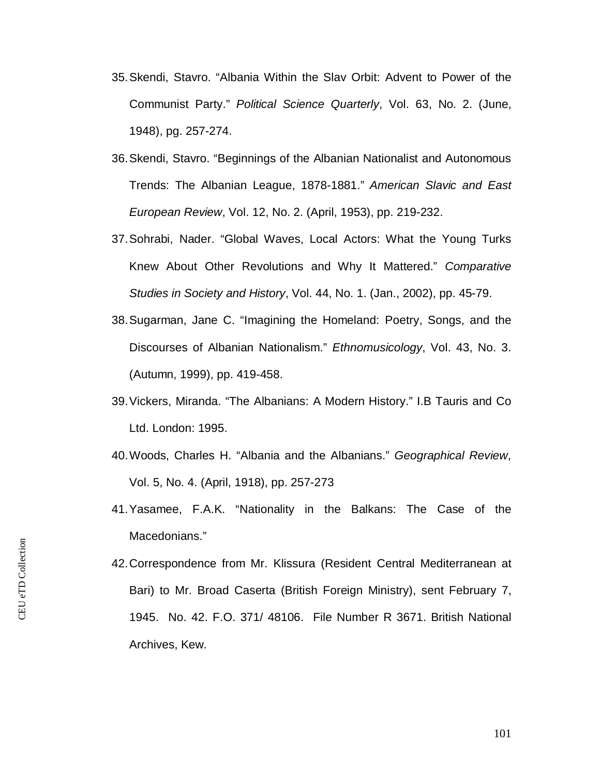- 35. Skendi, Stavro. "Albania Within the Slav Orbit: Advent to Power of the Communist Party." *Political Science Quarterly*, Vol. 63, No. 2. (June, 1948), pg. 257-274.
- 36. Skendi, Stavro. "Beginnings of the Albanian Nationalist and Autonomous Trends: The Albanian League, 1878-1881." *American Slavic and East European Review*, Vol. 12, No. 2. (April, 1953), pp. 219-232.
- 37. Sohrabi, Nader. "Global Waves, Local Actors: What the Young Turks Knew About Other Revolutions and Why It Mattered." *Comparative Studies in Society and History*, Vol. 44, No. 1. (Jan., 2002), pp. 45-79.
- 38. Sugarman, Jane C. "Imagining the Homeland: Poetry, Songs, and the Discourses of Albanian Nationalism." *Ethnomusicology*, Vol. 43, No. 3. (Autumn, 1999), pp. 419-458.
- 39. Vickers, Miranda. "The Albanians: A Modern History." I.B Tauris and Co Ltd. London: 1995.
- 40. Woods, Charles H. "Albania and the Albanians." *Geographical Review*, Vol. 5, No. 4. (April, 1918), pp. 257-273
- 41. Yasamee, F.A.K. "Nationality in the Balkans: The Case of the Macedonians."
- 42. Correspondence from Mr. Klissura (Resident Central Mediterranean at Bari) to Mr. Broad Caserta (British Foreign Ministry), sent February 7, 1945. No. 42. F.O. 371/ 48106. File Number R 3671. British National Archives, Kew.